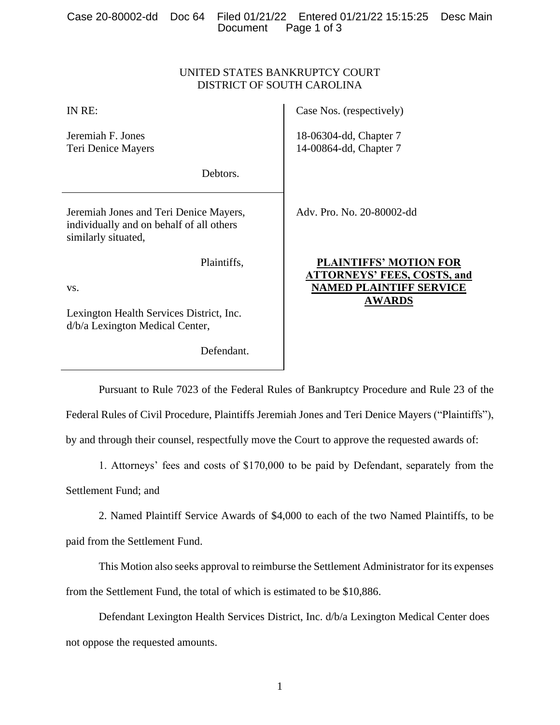|  |                      | Case 20-80002-dd Doc 64 Filed 01/21/22 Entered 01/21/22 15:15:25 Desc Main |  |
|--|----------------------|----------------------------------------------------------------------------|--|
|  | Document Page 1 of 3 |                                                                            |  |

### UNITED STATES BANKRUPTCY COURT DISTRICT OF SOUTH CAROLINA

| IN RE:                                                                                                    | Case Nos. (respectively)                                                              |
|-----------------------------------------------------------------------------------------------------------|---------------------------------------------------------------------------------------|
| Jeremiah F. Jones<br>Teri Denice Mayers                                                                   | 18-06304-dd, Chapter 7<br>14-00864-dd, Chapter 7                                      |
| Debtors.                                                                                                  |                                                                                       |
| Jeremiah Jones and Teri Denice Mayers,<br>individually and on behalf of all others<br>similarly situated, | Adv. Pro. No. 20-80002-dd                                                             |
| Plaintiffs,                                                                                               | <b>PLAINTIFFS' MOTION FOR</b>                                                         |
| VS.                                                                                                       | <b>ATTORNEYS' FEES, COSTS, and</b><br><b>NAMED PLAINTIFF SERVICE</b><br><b>AWARDS</b> |
| Lexington Health Services District, Inc.<br>d/b/a Lexington Medical Center,                               |                                                                                       |
| Defendant                                                                                                 |                                                                                       |

Pursuant to Rule 7023 of the Federal Rules of Bankruptcy Procedure and Rule 23 of the

Federal Rules of Civil Procedure, Plaintiffs Jeremiah Jones and Teri Denice Mayers ("Plaintiffs"),

by and through their counsel, respectfully move the Court to approve the requested awards of:

1. Attorneys' fees and costs of \$170,000 to be paid by Defendant, separately from the Settlement Fund; and

2. Named Plaintiff Service Awards of \$4,000 to each of the two Named Plaintiffs, to be paid from the Settlement Fund.

This Motion also seeks approval to reimburse the Settlement Administrator for its expenses from the Settlement Fund, the total of which is estimated to be \$10,886.

Defendant Lexington Health Services District, Inc. d/b/a Lexington Medical Center does not oppose the requested amounts.

1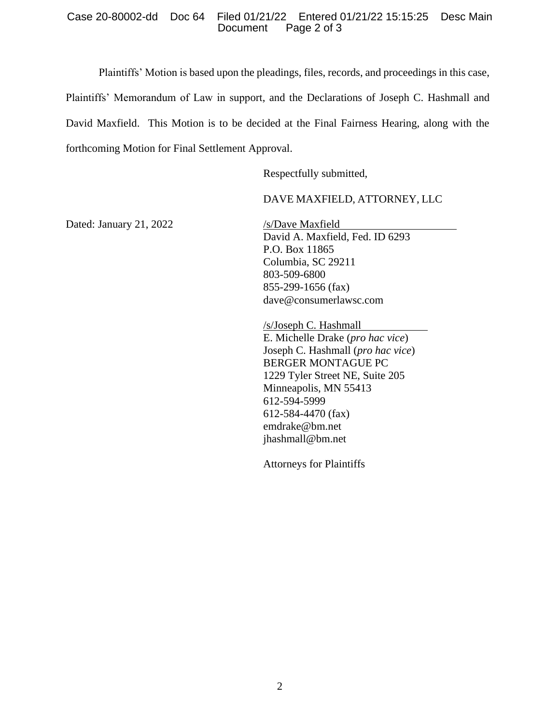### Case 20-80002-dd Doc 64 Filed 01/21/22 Entered 01/21/22 15:15:25 Desc Main Page 2 of 3

Plaintiffs' Motion is based upon the pleadings, files, records, and proceedings in this case,

Plaintiffs' Memorandum of Law in support, and the Declarations of Joseph C. Hashmall and David Maxfield. This Motion is to be decided at the Final Fairness Hearing, along with the forthcoming Motion for Final Settlement Approval.

Respectfully submitted,

### DAVE MAXFIELD, ATTORNEY, LLC

Dated: January 21, 2022 /s/Dave Maxfield

David A. Maxfield, Fed. ID 6293 P.O. Box 11865 Columbia, SC 29211 803-509-6800 855-299-1656 (fax) dave@consumerlawsc.com

/s/Joseph C. Hashmall E. Michelle Drake (*pro hac vice*) Joseph C. Hashmall (*pro hac vice*) BERGER MONTAGUE PC 1229 Tyler Street NE, Suite 205 Minneapolis, MN 55413 612-594-5999 612-584-4470 (fax) emdrake@bm.net jhashmall@bm.net

Attorneys for Plaintiffs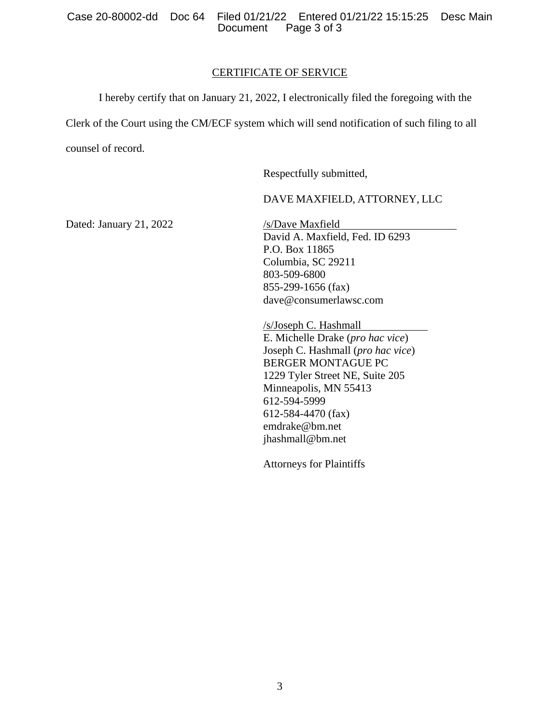Case 20-80002-dd Doc 64 Filed 01/21/22 Entered 01/21/22 15:15:25 Desc Main Page 3 of 3

### CERTIFICATE OF SERVICE

I hereby certify that on January 21, 2022, I electronically filed the foregoing with the Clerk of the Court using the CM/ECF system which will send notification of such filing to all counsel of record.

Respectfully submitted,

### DAVE MAXFIELD, ATTORNEY, LLC

Dated: January 21, 2022 /s/Dave Maxfield

David A. Maxfield, Fed. ID 6293 P.O. Box 11865 Columbia, SC 29211 803-509-6800 855-299-1656 (fax) dave@consumerlawsc.com

/s/Joseph C. Hashmall E. Michelle Drake (*pro hac vice*) Joseph C. Hashmall (*pro hac vice*) BERGER MONTAGUE PC 1229 Tyler Street NE, Suite 205 Minneapolis, MN 55413 612-594-5999 612-584-4470 (fax) emdrake@bm.net jhashmall@bm.net

Attorneys for Plaintiffs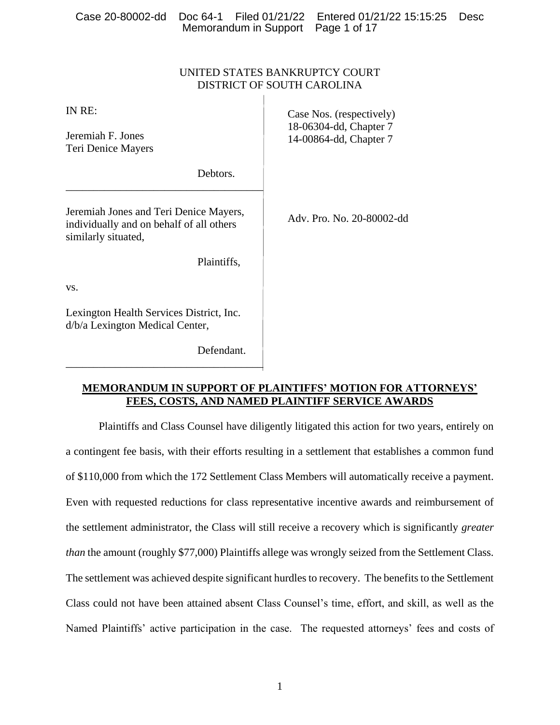| Case 20-80002-dd<br>Doc 64-1<br>Memorandum in Support                                                     | Filed 01/21/22<br>Entered 01/21/22 15:15:25<br>Page 1 of 17 | <b>Desc</b> |
|-----------------------------------------------------------------------------------------------------------|-------------------------------------------------------------|-------------|
|                                                                                                           |                                                             |             |
|                                                                                                           | UNITED STATES BANKRUPTCY COURT                              |             |
|                                                                                                           | DISTRICT OF SOUTH CAROLINA                                  |             |
| IN RE:                                                                                                    | Case Nos. (respectively)                                    |             |
| Jeremiah F. Jones<br>Teri Denice Mayers                                                                   | 18-06304-dd, Chapter 7<br>14-00864-dd, Chapter 7            |             |
| Debtors.                                                                                                  |                                                             |             |
| Jeremiah Jones and Teri Denice Mayers,<br>individually and on behalf of all others<br>similarly situated, | Adv. Pro. No. 20-80002-dd                                   |             |
| Plaintiffs,                                                                                               |                                                             |             |
| VS.                                                                                                       |                                                             |             |
| Lexington Health Services District, Inc.<br>d/b/a Lexington Medical Center,                               |                                                             |             |

\_\_\_\_\_\_\_\_\_\_\_\_\_\_\_\_\_\_\_\_\_\_\_\_\_\_\_\_\_\_\_\_\_\_\_\_

Defendant.

### **MEMORANDUM IN SUPPORT OF PLAINTIFFS' MOTION FOR ATTORNEYS' FEES, COSTS, AND NAMED PLAINTIFF SERVICE AWARDS**

Plaintiffs and Class Counsel have diligently litigated this action for two years, entirely on a contingent fee basis, with their efforts resulting in a settlement that establishes a common fund of \$110,000 from which the 172 Settlement Class Members will automatically receive a payment. Even with requested reductions for class representative incentive awards and reimbursement of the settlement administrator, the Class will still receive a recovery which is significantly *greater than* the amount (roughly \$77,000) Plaintiffs allege was wrongly seized from the Settlement Class. The settlement was achieved despite significant hurdles to recovery. The benefits to the Settlement Class could not have been attained absent Class Counsel's time, effort, and skill, as well as the Named Plaintiffs' active participation in the case. The requested attorneys' fees and costs of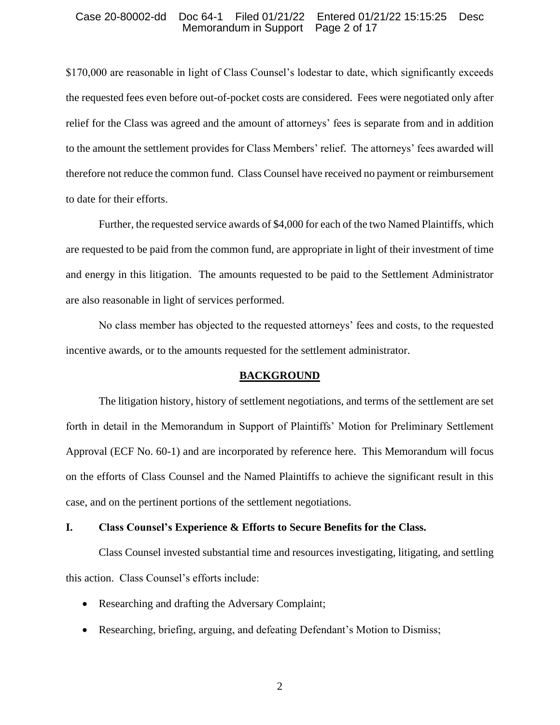#### Case 20-80002-dd Doc 64-1 Filed 01/21/22 Entered 01/21/22 15:15:25 Desc Memorandum in Support

\$170,000 are reasonable in light of Class Counsel's lodestar to date, which significantly exceeds the requested fees even before out-of-pocket costs are considered. Fees were negotiated only after relief for the Class was agreed and the amount of attorneys' fees is separate from and in addition to the amount the settlement provides for Class Members' relief. The attorneys' fees awarded will therefore not reduce the common fund. Class Counsel have received no payment or reimbursement to date for their efforts.

Further, the requested service awards of \$4,000 for each of the two Named Plaintiffs, which are requested to be paid from the common fund, are appropriate in light of their investment of time and energy in this litigation. The amounts requested to be paid to the Settlement Administrator are also reasonable in light of services performed.

No class member has objected to the requested attorneys' fees and costs, to the requested incentive awards, or to the amounts requested for the settlement administrator.

#### **BACKGROUND**

The litigation history, history of settlement negotiations, and terms of the settlement are set forth in detail in the Memorandum in Support of Plaintiffs' Motion for Preliminary Settlement Approval (ECF No. 60-1) and are incorporated by reference here. This Memorandum will focus on the efforts of Class Counsel and the Named Plaintiffs to achieve the significant result in this case, and on the pertinent portions of the settlement negotiations.

### **I. Class Counsel's Experience & Efforts to Secure Benefits for the Class.**

Class Counsel invested substantial time and resources investigating, litigating, and settling this action. Class Counsel's efforts include:

- Researching and drafting the Adversary Complaint;
- Researching, briefing, arguing, and defeating Defendant's Motion to Dismiss;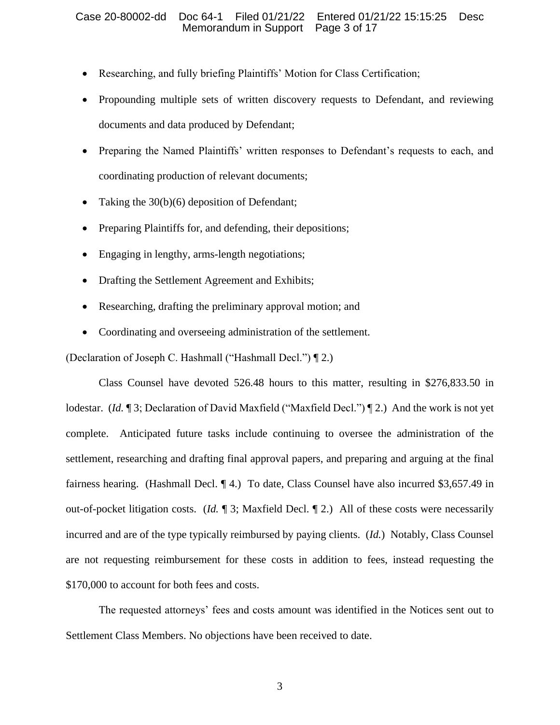### Case 20-80002-dd Doc 64-1 Filed 01/21/22 Entered 01/21/22 15:15:25 Desc Memorandum in Support Page 3 of 17

- Researching, and fully briefing Plaintiffs' Motion for Class Certification;
- Propounding multiple sets of written discovery requests to Defendant, and reviewing documents and data produced by Defendant;
- Preparing the Named Plaintiffs' written responses to Defendant's requests to each, and coordinating production of relevant documents;
- Taking the 30(b)(6) deposition of Defendant;
- Preparing Plaintiffs for, and defending, their depositions;
- Engaging in lengthy, arms-length negotiations;
- Drafting the Settlement Agreement and Exhibits;
- Researching, drafting the preliminary approval motion; and
- Coordinating and overseeing administration of the settlement.

(Declaration of Joseph C. Hashmall ("Hashmall Decl.") ¶ 2.)

Class Counsel have devoted 526.48 hours to this matter, resulting in \$276,833.50 in lodestar. (*Id.* 13; Declaration of David Maxfield ("Maxfield Decl.") 12.) And the work is not yet complete. Anticipated future tasks include continuing to oversee the administration of the settlement, researching and drafting final approval papers, and preparing and arguing at the final fairness hearing. (Hashmall Decl. ¶ 4.) To date, Class Counsel have also incurred \$3,657.49 in out-of-pocket litigation costs. (*Id.* ¶ 3; Maxfield Decl. ¶ 2.) All of these costs were necessarily incurred and are of the type typically reimbursed by paying clients. (*Id.*) Notably, Class Counsel are not requesting reimbursement for these costs in addition to fees, instead requesting the \$170,000 to account for both fees and costs.

The requested attorneys' fees and costs amount was identified in the Notices sent out to Settlement Class Members. No objections have been received to date.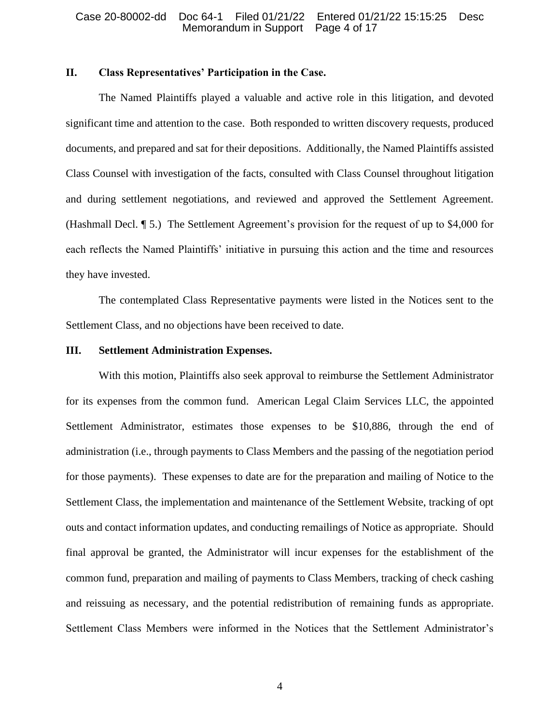### **II. Class Representatives' Participation in the Case.**

The Named Plaintiffs played a valuable and active role in this litigation, and devoted significant time and attention to the case. Both responded to written discovery requests, produced documents, and prepared and sat for their depositions. Additionally, the Named Plaintiffs assisted Class Counsel with investigation of the facts, consulted with Class Counsel throughout litigation and during settlement negotiations, and reviewed and approved the Settlement Agreement. (Hashmall Decl. ¶ 5.) The Settlement Agreement's provision for the request of up to \$4,000 for each reflects the Named Plaintiffs' initiative in pursuing this action and the time and resources they have invested.

The contemplated Class Representative payments were listed in the Notices sent to the Settlement Class, and no objections have been received to date.

### **III. Settlement Administration Expenses.**

With this motion, Plaintiffs also seek approval to reimburse the Settlement Administrator for its expenses from the common fund. American Legal Claim Services LLC, the appointed Settlement Administrator, estimates those expenses to be \$10,886, through the end of administration (i.e., through payments to Class Members and the passing of the negotiation period for those payments). These expenses to date are for the preparation and mailing of Notice to the Settlement Class, the implementation and maintenance of the Settlement Website, tracking of opt outs and contact information updates, and conducting remailings of Notice as appropriate. Should final approval be granted, the Administrator will incur expenses for the establishment of the common fund, preparation and mailing of payments to Class Members, tracking of check cashing and reissuing as necessary, and the potential redistribution of remaining funds as appropriate. Settlement Class Members were informed in the Notices that the Settlement Administrator's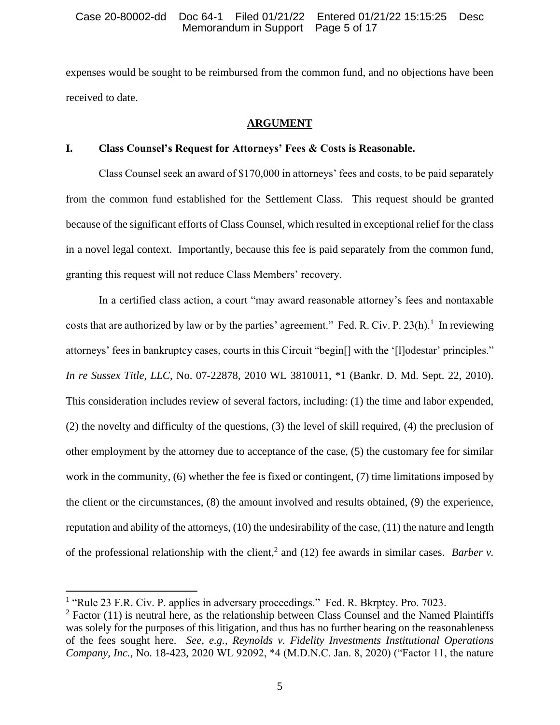expenses would be sought to be reimbursed from the common fund, and no objections have been received to date.

## **ARGUMENT**

## **I. Class Counsel's Request for Attorneys' Fees & Costs is Reasonable.**

Class Counsel seek an award of \$170,000 in attorneys' fees and costs, to be paid separately from the common fund established for the Settlement Class. This request should be granted because of the significant efforts of Class Counsel, which resulted in exceptional relief for the class in a novel legal context. Importantly, because this fee is paid separately from the common fund, granting this request will not reduce Class Members' recovery.

In a certified class action, a court "may award reasonable attorney's fees and nontaxable costs that are authorized by law or by the parties' agreement." Fed. R. Civ. P. 23(h).<sup>1</sup> In reviewing attorneys' fees in bankruptcy cases, courts in this Circuit "begin[] with the '[l]odestar' principles." *In re Sussex Title, LLC*, No. 07-22878, 2010 WL 3810011, \*1 (Bankr. D. Md. Sept. 22, 2010). This consideration includes review of several factors, including: (1) the time and labor expended, (2) the novelty and difficulty of the questions, (3) the level of skill required, (4) the preclusion of other employment by the attorney due to acceptance of the case, (5) the customary fee for similar work in the community, (6) whether the fee is fixed or contingent, (7) time limitations imposed by the client or the circumstances, (8) the amount involved and results obtained, (9) the experience, reputation and ability of the attorneys, (10) the undesirability of the case, (11) the nature and length of the professional relationship with the client,<sup>2</sup> and (12) fee awards in similar cases. *Barber v.* 

<sup>&</sup>lt;sup>1</sup> "Rule 23 F.R. Civ. P. applies in adversary proceedings." Fed. R. Bkrptcy. Pro. 7023.

 $2$  Factor (11) is neutral here, as the relationship between Class Counsel and the Named Plaintiffs was solely for the purposes of this litigation, and thus has no further bearing on the reasonableness of the fees sought here. *See*, *e.g.*, *Reynolds v. Fidelity Investments Institutional Operations Company, Inc.*, No. 18-423, 2020 WL 92092, \*4 (M.D.N.C. Jan. 8, 2020) ("Factor 11, the nature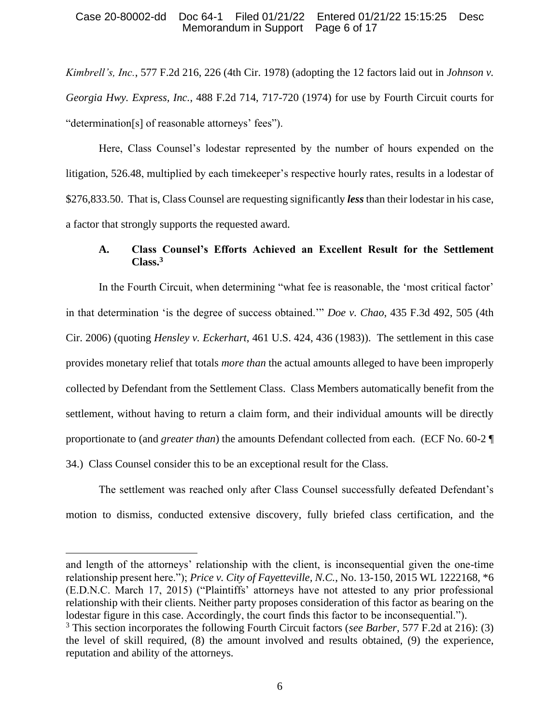### Case 20-80002-dd Doc 64-1 Filed 01/21/22 Entered 01/21/22 15:15:25 Desc Memorandum in Support Page 6 of 17

*Kimbrell's, Inc.*, 577 F.2d 216, 226 (4th Cir. 1978) (adopting the 12 factors laid out in *Johnson v. Georgia Hwy. Express, Inc.*, 488 F.2d 714, 717-720 (1974) for use by Fourth Circuit courts for "determination[s] of reasonable attorneys' fees").

Here, Class Counsel's lodestar represented by the number of hours expended on the litigation, 526.48, multiplied by each timekeeper's respective hourly rates, results in a lodestar of \$276,833.50. That is, Class Counsel are requesting significantly *less* than their lodestar in his case, a factor that strongly supports the requested award.

### **A. Class Counsel's Efforts Achieved an Excellent Result for the Settlement Class.<sup>3</sup>**

In the Fourth Circuit, when determining "what fee is reasonable, the 'most critical factor' in that determination 'is the degree of success obtained.'" *Doe v. Chao*, 435 F.3d 492, 505 (4th Cir. 2006) (quoting *Hensley v. Eckerhart*, 461 U.S. 424, 436 (1983)). The settlement in this case provides monetary relief that totals *more than* the actual amounts alleged to have been improperly collected by Defendant from the Settlement Class. Class Members automatically benefit from the settlement, without having to return a claim form, and their individual amounts will be directly proportionate to (and *greater than*) the amounts Defendant collected from each. (ECF No. 60-2 ¶ 34.) Class Counsel consider this to be an exceptional result for the Class.

The settlement was reached only after Class Counsel successfully defeated Defendant's motion to dismiss, conducted extensive discovery, fully briefed class certification, and the

and length of the attorneys' relationship with the client, is inconsequential given the one-time relationship present here."); *Price v. City of Fayetteville, N.C.*, No. 13-150, 2015 WL 1222168, \*6 (E.D.N.C. March 17, 2015) ("Plaintiffs' attorneys have not attested to any prior professional relationship with their clients. Neither party proposes consideration of this factor as bearing on the lodestar figure in this case. Accordingly, the court finds this factor to be inconsequential.").

<sup>3</sup> This section incorporates the following Fourth Circuit factors (*see Barber*, 577 F.2d at 216): (3) the level of skill required, (8) the amount involved and results obtained, (9) the experience, reputation and ability of the attorneys.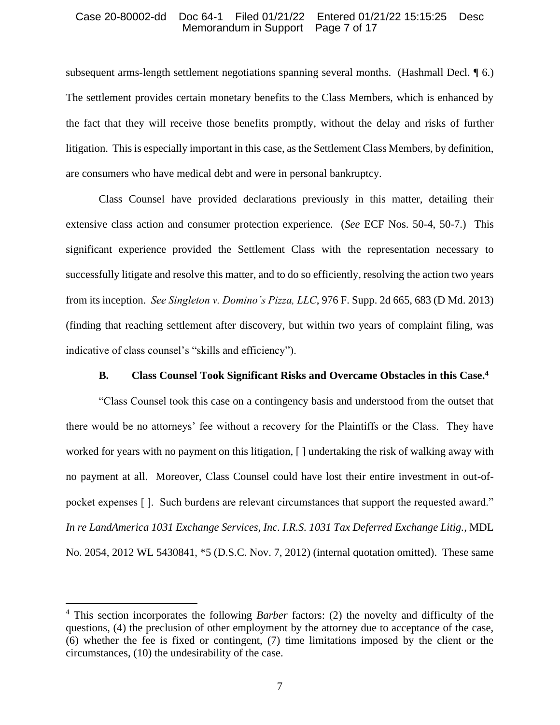### Case 20-80002-dd Doc 64-1 Filed 01/21/22 Entered 01/21/22 15:15:25 Desc Memorandum in Support Page 7 of 17

subsequent arms-length settlement negotiations spanning several months. (Hashmall Decl. ¶ 6.) The settlement provides certain monetary benefits to the Class Members, which is enhanced by the fact that they will receive those benefits promptly, without the delay and risks of further litigation. This is especially important in this case, as the Settlement Class Members, by definition, are consumers who have medical debt and were in personal bankruptcy.

Class Counsel have provided declarations previously in this matter, detailing their extensive class action and consumer protection experience. (*See* ECF Nos. 50-4, 50-7.) This significant experience provided the Settlement Class with the representation necessary to successfully litigate and resolve this matter, and to do so efficiently, resolving the action two years from its inception. *See Singleton v. Domino's Pizza, LLC*, 976 F. Supp. 2d 665, 683 (D Md. 2013) (finding that reaching settlement after discovery, but within two years of complaint filing, was indicative of class counsel's "skills and efficiency").

### **B. Class Counsel Took Significant Risks and Overcame Obstacles in this Case.<sup>4</sup>**

"Class Counsel took this case on a contingency basis and understood from the outset that there would be no attorneys' fee without a recovery for the Plaintiffs or the Class. They have worked for years with no payment on this litigation, [ ] undertaking the risk of walking away with no payment at all. Moreover, Class Counsel could have lost their entire investment in out-ofpocket expenses [ ]. Such burdens are relevant circumstances that support the requested award." *In re LandAmerica 1031 Exchange Services, Inc. I.R.S. 1031 Tax Deferred Exchange Litig.*, MDL No. 2054, 2012 WL 5430841, \*5 (D.S.C. Nov. 7, 2012) (internal quotation omitted). These same

<sup>4</sup> This section incorporates the following *Barber* factors: (2) the novelty and difficulty of the questions, (4) the preclusion of other employment by the attorney due to acceptance of the case, (6) whether the fee is fixed or contingent, (7) time limitations imposed by the client or the circumstances, (10) the undesirability of the case.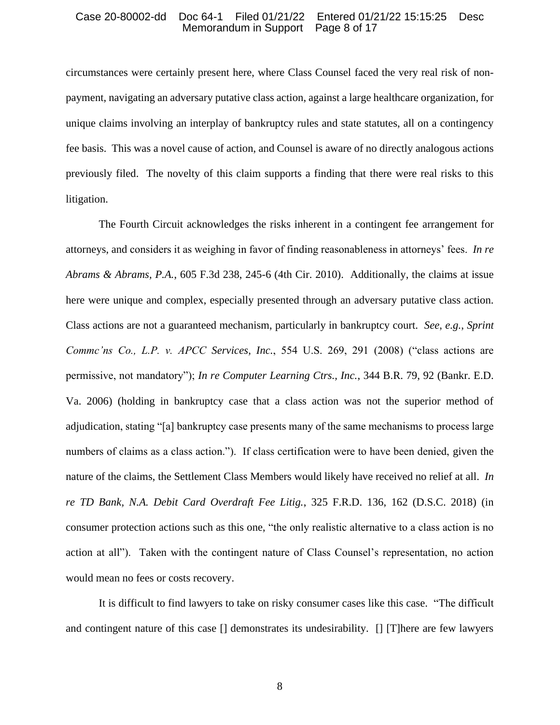### Case 20-80002-dd Doc 64-1 Filed 01/21/22 Entered 01/21/22 15:15:25 Desc Memorandum in Support

circumstances were certainly present here, where Class Counsel faced the very real risk of nonpayment, navigating an adversary putative class action, against a large healthcare organization, for unique claims involving an interplay of bankruptcy rules and state statutes, all on a contingency fee basis. This was a novel cause of action, and Counsel is aware of no directly analogous actions previously filed. The novelty of this claim supports a finding that there were real risks to this litigation.

The Fourth Circuit acknowledges the risks inherent in a contingent fee arrangement for attorneys, and considers it as weighing in favor of finding reasonableness in attorneys' fees. *In re Abrams & Abrams, P.A.*, 605 F.3d 238, 245-6 (4th Cir. 2010). Additionally, the claims at issue here were unique and complex, especially presented through an adversary putative class action. Class actions are not a guaranteed mechanism, particularly in bankruptcy court. *See*, *e.g.*, *Sprint Commc'ns Co., L.P. v. APCC Services, Inc.*, 554 U.S. 269, 291 (2008) ("class actions are permissive, not mandatory"); *In re Computer Learning Ctrs., Inc.*, 344 B.R. 79, 92 (Bankr. E.D. Va. 2006) (holding in bankruptcy case that a class action was not the superior method of adjudication, stating "[a] bankruptcy case presents many of the same mechanisms to process large numbers of claims as a class action."). If class certification were to have been denied, given the nature of the claims, the Settlement Class Members would likely have received no relief at all. *In re TD Bank, N.A. Debit Card Overdraft Fee Litig.*, 325 F.R.D. 136, 162 (D.S.C. 2018) (in consumer protection actions such as this one, "the only realistic alternative to a class action is no action at all"). Taken with the contingent nature of Class Counsel's representation, no action would mean no fees or costs recovery.

It is difficult to find lawyers to take on risky consumer cases like this case. "The difficult and contingent nature of this case [] demonstrates its undesirability. [] [T]here are few lawyers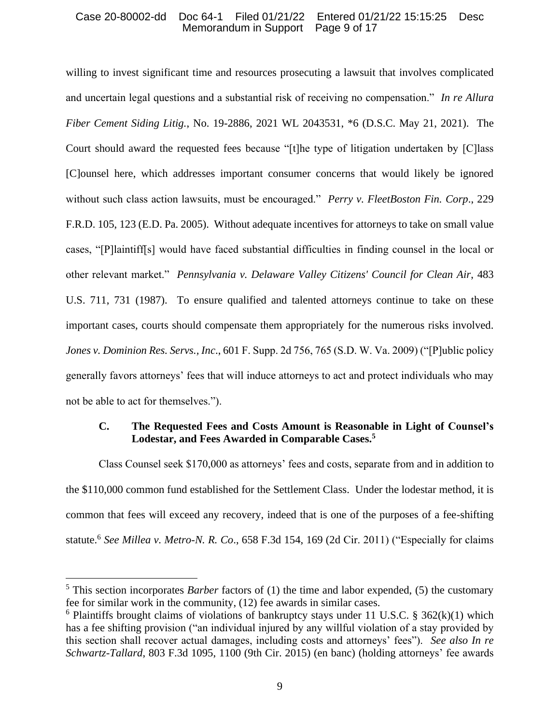### Case 20-80002-dd Doc 64-1 Filed 01/21/22 Entered 01/21/22 15:15:25 Desc Memorandum in Support Page 9 of 17

willing to invest significant time and resources prosecuting a lawsuit that involves complicated and uncertain legal questions and a substantial risk of receiving no compensation." *In re Allura Fiber Cement Siding Litig.*, No. 19-2886, 2021 WL 2043531, \*6 (D.S.C. May 21, 2021). The Court should award the requested fees because "[t]he type of litigation undertaken by [C]lass [C]ounsel here, which addresses important consumer concerns that would likely be ignored without such class action lawsuits, must be encouraged." *Perry v. FleetBoston Fin. Corp*., 229 F.R.D. 105, 123 (E.D. Pa. 2005). Without adequate incentives for attorneys to take on small value cases, "[P]laintiff[s] would have faced substantial difficulties in finding counsel in the local or other relevant market." *Pennsylvania v. Delaware Valley Citizens' Council for Clean Air*, 483 U.S. 711, 731 (1987). To ensure qualified and talented attorneys continue to take on these important cases, courts should compensate them appropriately for the numerous risks involved. *Jones v. Dominion Res. Servs., Inc*., 601 F. Supp. 2d 756, 765 (S.D. W. Va. 2009) ("[P]ublic policy generally favors attorneys' fees that will induce attorneys to act and protect individuals who may not be able to act for themselves.").

### **C. The Requested Fees and Costs Amount is Reasonable in Light of Counsel's Lodestar, and Fees Awarded in Comparable Cases.<sup>5</sup>**

Class Counsel seek \$170,000 as attorneys' fees and costs, separate from and in addition to the \$110,000 common fund established for the Settlement Class. Under the lodestar method, it is common that fees will exceed any recovery, indeed that is one of the purposes of a fee-shifting statute.<sup>6</sup> *See Millea v. Metro-N. R. Co*., 658 F.3d 154, 169 (2d Cir. 2011) ("Especially for claims

<sup>5</sup> This section incorporates *Barber* factors of (1) the time and labor expended, (5) the customary fee for similar work in the community, (12) fee awards in similar cases.

<sup>&</sup>lt;sup>6</sup> Plaintiffs brought claims of violations of bankruptcy stays under 11 U.S.C. § 362 $(k)(1)$  which has a fee shifting provision ("an individual injured by any willful violation of a stay provided by this section shall recover actual damages, including costs and attorneys' fees"). *See also In re Schwartz-Tallard*, 803 F.3d 1095, 1100 (9th Cir. 2015) (en banc) (holding attorneys' fee awards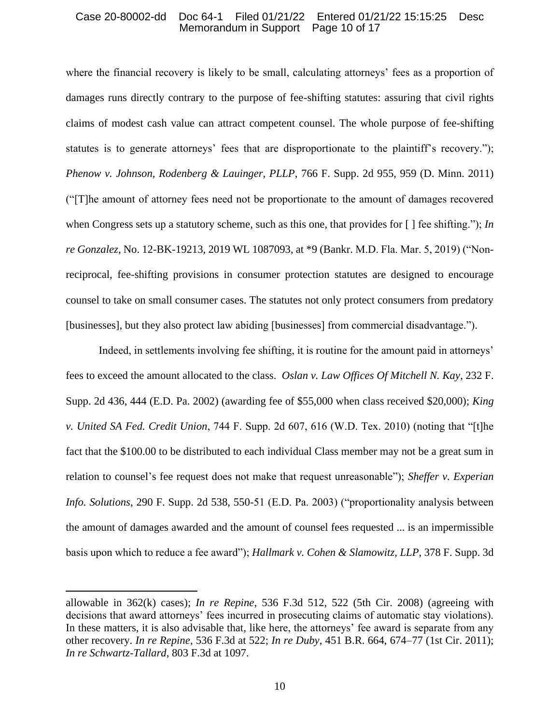### Case 20-80002-dd Doc 64-1 Filed 01/21/22 Entered 01/21/22 15:15:25 Desc Memorandum in Support Page 10 of 17

where the financial recovery is likely to be small, calculating attorneys' fees as a proportion of damages runs directly contrary to the purpose of fee-shifting statutes: assuring that civil rights claims of modest cash value can attract competent counsel. The whole purpose of fee-shifting statutes is to generate attorneys' fees that are disproportionate to the plaintiff's recovery."); *Phenow v. Johnson, Rodenberg & Lauinger, PLLP*, 766 F. Supp. 2d 955, 959 (D. Minn. 2011) ("[T]he amount of attorney fees need not be proportionate to the amount of damages recovered when Congress sets up a statutory scheme, such as this one, that provides for [ ] fee shifting."); *In re Gonzalez*, No. 12-BK-19213, 2019 WL 1087093, at \*9 (Bankr. M.D. Fla. Mar. 5, 2019) ("Nonreciprocal, fee-shifting provisions in consumer protection statutes are designed to encourage counsel to take on small consumer cases. The statutes not only protect consumers from predatory [businesses], but they also protect law abiding [businesses] from commercial disadvantage.").

Indeed, in settlements involving fee shifting, it is routine for the amount paid in attorneys' fees to exceed the amount allocated to the class. *Oslan v. Law Offices Of Mitchell N. Kay*, 232 F. Supp. 2d 436, 444 (E.D. Pa. 2002) (awarding fee of \$55,000 when class received \$20,000); *King v. United SA Fed. Credit Union*, 744 F. Supp. 2d 607, 616 (W.D. Tex. 2010) (noting that "[t]he fact that the \$100.00 to be distributed to each individual Class member may not be a great sum in relation to counsel's fee request does not make that request unreasonable"); *Sheffer v. Experian Info. Solutions*, 290 F. Supp. 2d 538, 550-51 (E.D. Pa. 2003) ("proportionality analysis between the amount of damages awarded and the amount of counsel fees requested ... is an impermissible basis upon which to reduce a fee award"); *Hallmark v. Cohen & Slamowitz, LLP*, 378 F. Supp. 3d

allowable in 362(k) cases); *In re Repine*, 536 F.3d 512, 522 (5th Cir. 2008) (agreeing with decisions that award attorneys' fees incurred in prosecuting claims of automatic stay violations). In these matters, it is also advisable that, like here, the attorneys' fee award is separate from any other recovery. *In re Repine*, 536 F.3d at 522; *In re Duby*, 451 B.R. 664, 674–77 (1st Cir. 2011); *In re Schwartz-Tallard*, 803 F.3d at 1097.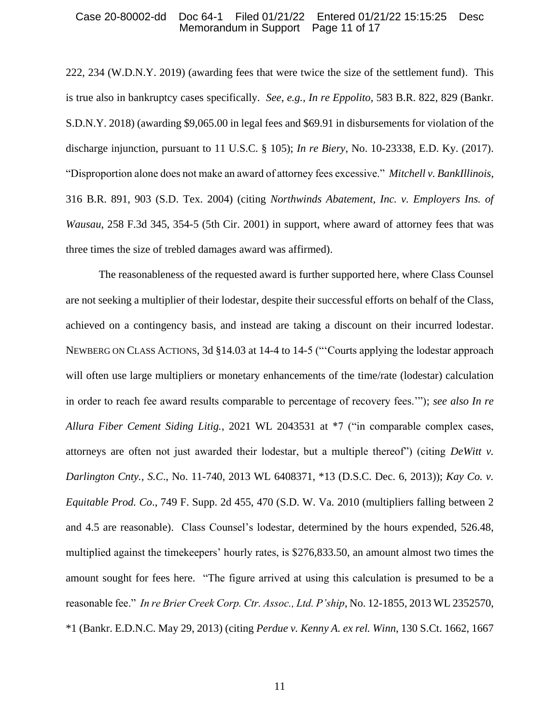#### Case 20-80002-dd Doc 64-1 Filed 01/21/22 Entered 01/21/22 15:15:25 Desc Memorandum in Support Page 11 of 17

222, 234 (W.D.N.Y. 2019) (awarding fees that were twice the size of the settlement fund). This is true also in bankruptcy cases specifically. *See*, *e.g.*, *In re Eppolito*, 583 B.R. 822, 829 (Bankr. S.D.N.Y. 2018) (awarding \$9,065.00 in legal fees and \$69.91 in disbursements for violation of the discharge injunction, pursuant to 11 U.S.C. § 105); *In re Biery*, No. 10-23338, E.D. Ky. (2017). "Disproportion alone does not make an award of attorney fees excessive." *Mitchell v. BankIllinois*, 316 B.R. 891, 903 (S.D. Tex. 2004) (citing *Northwinds Abatement, Inc. v. Employers Ins. of Wausau*, 258 F.3d 345, 354-5 (5th Cir. 2001) in support, where award of attorney fees that was three times the size of trebled damages award was affirmed).

The reasonableness of the requested award is further supported here, where Class Counsel are not seeking a multiplier of their lodestar, despite their successful efforts on behalf of the Class, achieved on a contingency basis, and instead are taking a discount on their incurred lodestar. NEWBERG ON CLASS ACTIONS, 3d §14.03 at 14-4 to 14-5 ("'Courts applying the lodestar approach will often use large multipliers or monetary enhancements of the time/rate (lodestar) calculation in order to reach fee award results comparable to percentage of recovery fees.'"); *see also In re Allura Fiber Cement Siding Litig.*, 2021 WL 2043531 at \*7 ("in comparable complex cases, attorneys are often not just awarded their lodestar, but a multiple thereof") (citing *DeWitt v. Darlington Cnty., S.C*., No. 11-740, 2013 WL 6408371, \*13 (D.S.C. Dec. 6, 2013)); *Kay Co. v. Equitable Prod. Co*., 749 F. Supp. 2d 455, 470 (S.D. W. Va. 2010 (multipliers falling between 2 and 4.5 are reasonable). Class Counsel's lodestar, determined by the hours expended, 526.48, multiplied against the timekeepers' hourly rates, is \$276,833.50, an amount almost two times the amount sought for fees here. "The figure arrived at using this calculation is presumed to be a reasonable fee." *In re Brier Creek Corp. Ctr. Assoc., Ltd. P'ship*, No. 12-1855, 2013 WL 2352570, \*1 (Bankr. E.D.N.C. May 29, 2013) (citing *Perdue v. Kenny A. ex rel. Winn*, 130 S.Ct. 1662, 1667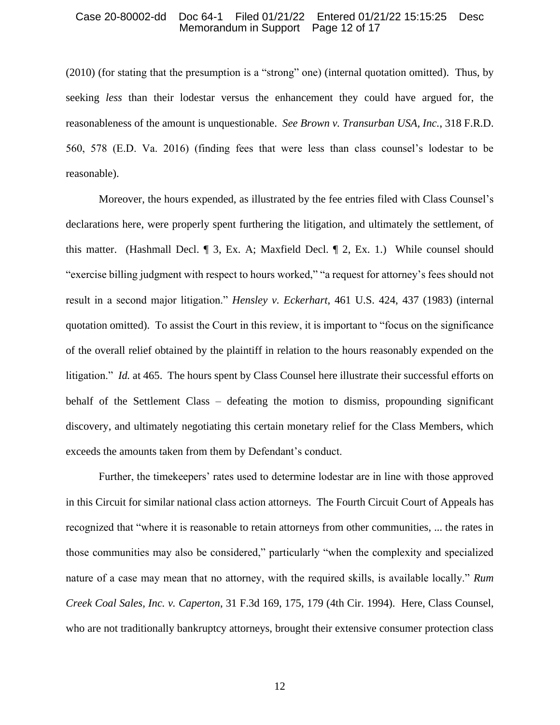#### Case 20-80002-dd Doc 64-1 Filed 01/21/22 Entered 01/21/22 15:15:25 Desc Memorandum in Support Page 12 of 17

(2010) (for stating that the presumption is a "strong" one) (internal quotation omitted). Thus, by seeking *less* than their lodestar versus the enhancement they could have argued for, the reasonableness of the amount is unquestionable. *See Brown v. Transurban USA, Inc.*, 318 F.R.D. 560, 578 (E.D. Va. 2016) (finding fees that were less than class counsel's lodestar to be reasonable).

Moreover, the hours expended, as illustrated by the fee entries filed with Class Counsel's declarations here, were properly spent furthering the litigation, and ultimately the settlement, of this matter. (Hashmall Decl. ¶ 3, Ex. A; Maxfield Decl. ¶ 2, Ex. 1.) While counsel should "exercise billing judgment with respect to hours worked," "a request for attorney's fees should not result in a second major litigation." *Hensley v. Eckerhart*, 461 U.S. 424, 437 (1983) (internal quotation omitted). To assist the Court in this review, it is important to "focus on the significance of the overall relief obtained by the plaintiff in relation to the hours reasonably expended on the litigation." *Id.* at 465. The hours spent by Class Counsel here illustrate their successful efforts on behalf of the Settlement Class – defeating the motion to dismiss, propounding significant discovery, and ultimately negotiating this certain monetary relief for the Class Members, which exceeds the amounts taken from them by Defendant's conduct.

Further, the timekeepers' rates used to determine lodestar are in line with those approved in this Circuit for similar national class action attorneys. The Fourth Circuit Court of Appeals has recognized that "where it is reasonable to retain attorneys from other communities, ... the rates in those communities may also be considered," particularly "when the complexity and specialized nature of a case may mean that no attorney, with the required skills, is available locally." *Rum Creek Coal Sales, Inc. v. Caperton*, 31 F.3d 169, 175, 179 (4th Cir. 1994). Here, Class Counsel, who are not traditionally bankruptcy attorneys, brought their extensive consumer protection class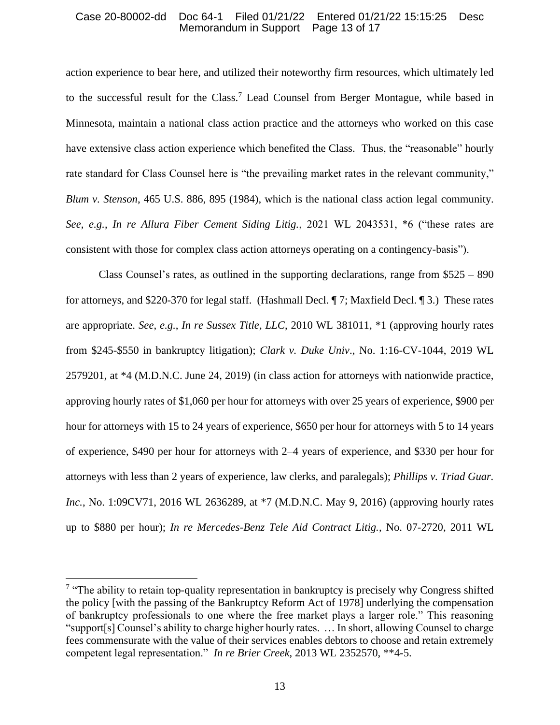### Case 20-80002-dd Doc 64-1 Filed 01/21/22 Entered 01/21/22 15:15:25 Desc Memorandum in Support Page 13 of 17

action experience to bear here, and utilized their noteworthy firm resources, which ultimately led to the successful result for the Class.<sup>7</sup> Lead Counsel from Berger Montague, while based in Minnesota, maintain a national class action practice and the attorneys who worked on this case have extensive class action experience which benefited the Class. Thus, the "reasonable" hourly rate standard for Class Counsel here is "the prevailing market rates in the relevant community," *Blum v. Stenson*, 465 U.S. 886, 895 (1984), which is the national class action legal community. *See*, *e.g.*, *In re Allura Fiber Cement Siding Litig.*, 2021 WL 2043531, \*6 ("these rates are consistent with those for complex class action attorneys operating on a contingency-basis").

Class Counsel's rates, as outlined in the supporting declarations, range from  $$525 - 890$ for attorneys, and \$220-370 for legal staff. (Hashmall Decl. ¶ 7; Maxfield Decl. ¶ 3.) These rates are appropriate. *See*, *e.g.*, *In re Sussex Title, LLC*, 2010 WL 381011, \*1 (approving hourly rates from \$245-\$550 in bankruptcy litigation); *Clark v. Duke Univ*., No. 1:16-CV-1044, 2019 WL 2579201, at \*4 (M.D.N.C. June 24, 2019) (in class action for attorneys with nationwide practice, approving hourly rates of \$1,060 per hour for attorneys with over 25 years of experience, \$900 per hour for attorneys with 15 to 24 years of experience, \$650 per hour for attorneys with 5 to 14 years of experience, \$490 per hour for attorneys with 2–4 years of experience, and \$330 per hour for attorneys with less than 2 years of experience, law clerks, and paralegals); *Phillips v. Triad Guar. Inc.*, No. 1:09CV71, 2016 WL 2636289, at \*7 (M.D.N.C. May 9, 2016) (approving hourly rates up to \$880 per hour); *In re Mercedes-Benz Tele Aid Contract Litig.*, No. 07-2720, 2011 WL

<sup>&</sup>lt;sup>7</sup> "The ability to retain top-quality representation in bankruptcy is precisely why Congress shifted the policy [with the passing of the Bankruptcy Reform Act of 1978] underlying the compensation of bankruptcy professionals to one where the free market plays a larger role." This reasoning "support[s] Counsel's ability to charge higher hourly rates. … In short, allowing Counsel to charge fees commensurate with the value of their services enables debtors to choose and retain extremely competent legal representation." *In re Brier Creek*, 2013 WL 2352570, \*\*4-5.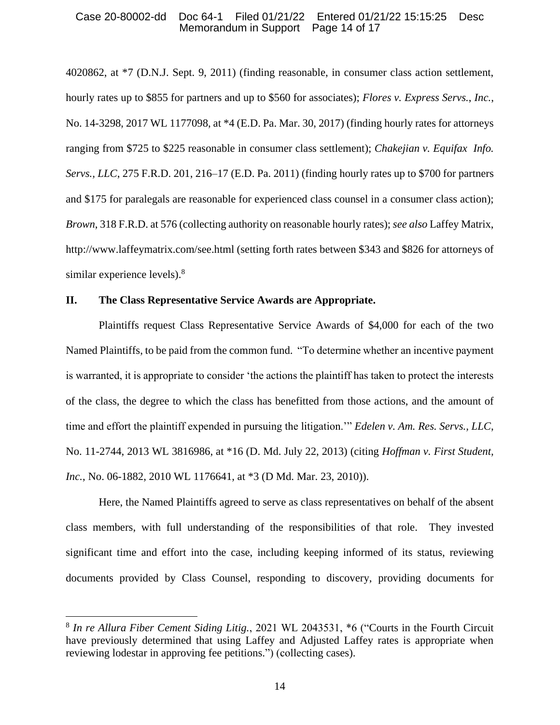#### Case 20-80002-dd Doc 64-1 Filed 01/21/22 Entered 01/21/22 15:15:25 Desc Memorandum in Support Page 14 of 17

4020862, at \*7 (D.N.J. Sept. 9, 2011) (finding reasonable, in consumer class action settlement, hourly rates up to \$855 for partners and up to \$560 for associates); *Flores v. Express Servs.*, *Inc.*, No. 14-3298, 2017 WL 1177098, at \*4 (E.D. Pa. Mar. 30, 2017) (finding hourly rates for attorneys ranging from \$725 to \$225 reasonable in consumer class settlement); *Chakejian v. Equifax Info. Servs., LLC*, 275 F.R.D. 201, 216–17 (E.D. Pa. 2011) (finding hourly rates up to \$700 for partners and \$175 for paralegals are reasonable for experienced class counsel in a consumer class action); *Brown*, 318 F.R.D. at 576 (collecting authority on reasonable hourly rates); *see also* Laffey Matrix, http://www.laffeymatrix.com/see.html (setting forth rates between \$343 and \$826 for attorneys of similar experience levels).<sup>8</sup>

### **II. The Class Representative Service Awards are Appropriate.**

Plaintiffs request Class Representative Service Awards of \$4,000 for each of the two Named Plaintiffs, to be paid from the common fund. "To determine whether an incentive payment is warranted, it is appropriate to consider 'the actions the plaintiff has taken to protect the interests of the class, the degree to which the class has benefitted from those actions, and the amount of time and effort the plaintiff expended in pursuing the litigation.'" *Edelen v. Am. Res. Servs., LLC*, No. 11-2744, 2013 WL 3816986, at \*16 (D. Md. July 22, 2013) (citing *Hoffman v. First Student, Inc.*, No. 06-1882, 2010 WL 1176641, at \*3 (D Md. Mar. 23, 2010)).

Here, the Named Plaintiffs agreed to serve as class representatives on behalf of the absent class members, with full understanding of the responsibilities of that role. They invested significant time and effort into the case, including keeping informed of its status, reviewing documents provided by Class Counsel, responding to discovery, providing documents for

<sup>8</sup> *In re Allura Fiber Cement Siding Litig.*, 2021 WL 2043531, \*6 ("Courts in the Fourth Circuit have previously determined that using Laffey and Adjusted Laffey rates is appropriate when reviewing lodestar in approving fee petitions.") (collecting cases).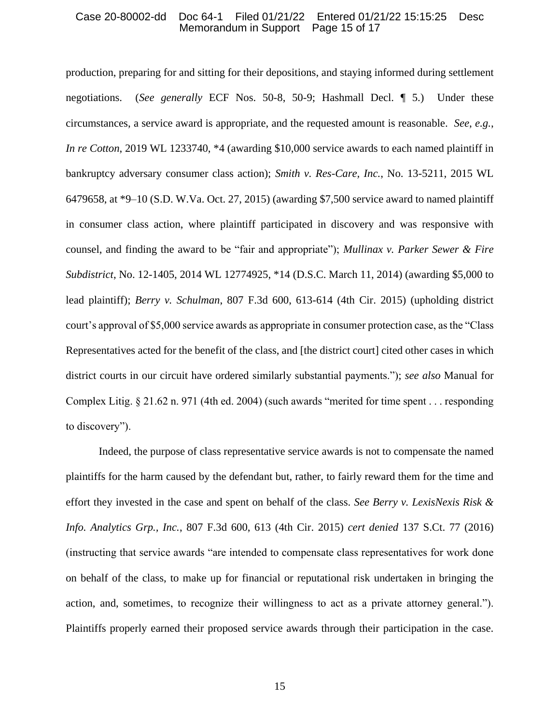#### Case 20-80002-dd Doc 64-1 Filed 01/21/22 Entered 01/21/22 15:15:25 Desc Memorandum in Support

production, preparing for and sitting for their depositions, and staying informed during settlement negotiations. (*See generally* ECF Nos. 50-8, 50-9; Hashmall Decl. ¶ 5.) Under these circumstances, a service award is appropriate, and the requested amount is reasonable. *See*, *e.g.*, *In re Cotton*, 2019 WL 1233740, \*4 (awarding \$10,000 service awards to each named plaintiff in bankruptcy adversary consumer class action); *Smith v. Res-Care, Inc.*, No. 13-5211, 2015 WL 6479658, at \*9–10 (S.D. W.Va. Oct. 27, 2015) (awarding \$7,500 service award to named plaintiff in consumer class action, where plaintiff participated in discovery and was responsive with counsel, and finding the award to be "fair and appropriate"); *Mullinax v. Parker Sewer & Fire Subdistrict*, No. 12-1405, 2014 WL 12774925, \*14 (D.S.C. March 11, 2014) (awarding \$5,000 to lead plaintiff); *Berry v. Schulman*, 807 F.3d 600, 613-614 (4th Cir. 2015) (upholding district court's approval of \$5,000 service awards as appropriate in consumer protection case, as the "Class Representatives acted for the benefit of the class, and [the district court] cited other cases in which district courts in our circuit have ordered similarly substantial payments."); *see also* Manual for Complex Litig. § 21.62 n. 971 (4th ed. 2004) (such awards "merited for time spent . . . responding to discovery").

Indeed, the purpose of class representative service awards is not to compensate the named plaintiffs for the harm caused by the defendant but, rather, to fairly reward them for the time and effort they invested in the case and spent on behalf of the class. *See Berry v. LexisNexis Risk & Info. Analytics Grp., Inc.*, 807 F.3d 600, 613 (4th Cir. 2015) *cert denied* 137 S.Ct. 77 (2016) (instructing that service awards "are intended to compensate class representatives for work done on behalf of the class, to make up for financial or reputational risk undertaken in bringing the action, and, sometimes, to recognize their willingness to act as a private attorney general."). Plaintiffs properly earned their proposed service awards through their participation in the case.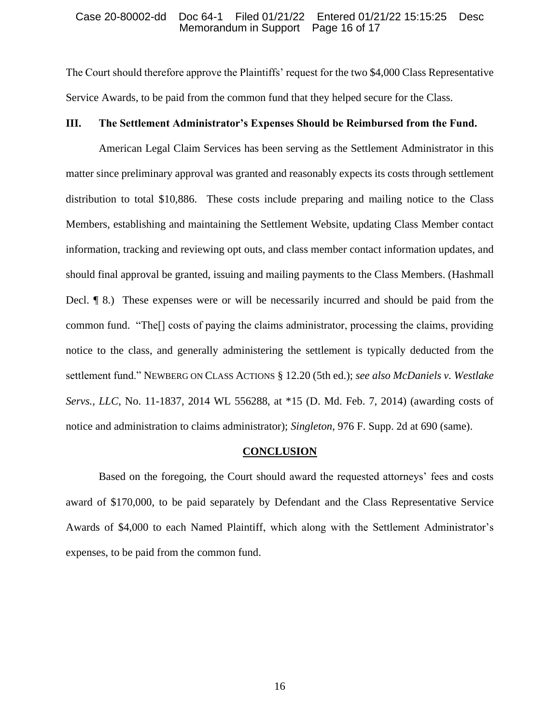#### Case 20-80002-dd Doc 64-1 Filed 01/21/22 Entered 01/21/22 15:15:25 Desc Memorandum in Support

The Court should therefore approve the Plaintiffs' request for the two \$4,000 Class Representative Service Awards, to be paid from the common fund that they helped secure for the Class.

### **III. The Settlement Administrator's Expenses Should be Reimbursed from the Fund.**

American Legal Claim Services has been serving as the Settlement Administrator in this matter since preliminary approval was granted and reasonably expects its costs through settlement distribution to total \$10,886. These costs include preparing and mailing notice to the Class Members, establishing and maintaining the Settlement Website, updating Class Member contact information, tracking and reviewing opt outs, and class member contact information updates, and should final approval be granted, issuing and mailing payments to the Class Members. (Hashmall Decl. ¶ 8.) These expenses were or will be necessarily incurred and should be paid from the common fund. "The[] costs of paying the claims administrator, processing the claims, providing notice to the class, and generally administering the settlement is typically deducted from the settlement fund." NEWBERG ON CLASS ACTIONS § 12.20 (5th ed.); *see also McDaniels v. Westlake Servs., LLC*, No. 11-1837, 2014 WL 556288, at \*15 (D. Md. Feb. 7, 2014) (awarding costs of notice and administration to claims administrator); *Singleton*, 976 F. Supp. 2d at 690 (same).

#### **CONCLUSION**

Based on the foregoing, the Court should award the requested attorneys' fees and costs award of \$170,000, to be paid separately by Defendant and the Class Representative Service Awards of \$4,000 to each Named Plaintiff, which along with the Settlement Administrator's expenses, to be paid from the common fund.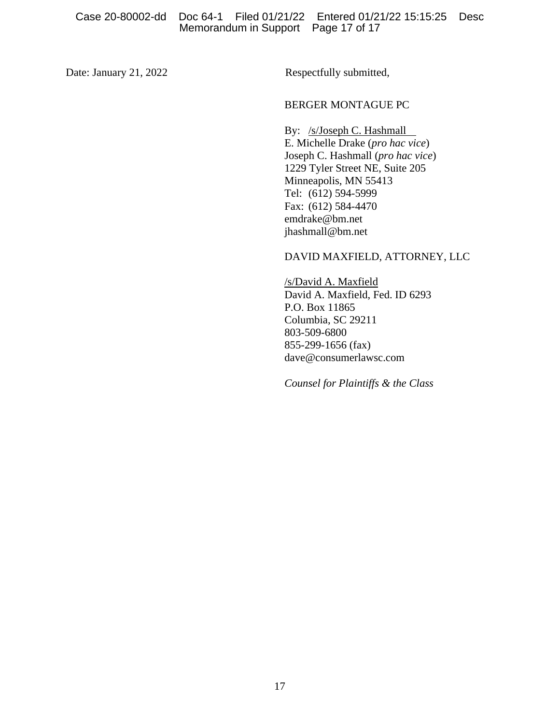Date: January 21, 2022 Respectfully submitted,

#### BERGER MONTAGUE PC

By: /s/Joseph C. Hashmall E. Michelle Drake (*pro hac vice*) Joseph C. Hashmall (*pro hac vice*) 1229 Tyler Street NE, Suite 205 Minneapolis, MN 55413 Tel: (612) 594-5999 Fax: (612) 584-4470 emdrake@bm.net jhashmall@bm.net

DAVID MAXFIELD, ATTORNEY, LLC

/s/David A. Maxfield David A. Maxfield, Fed. ID 6293 P.O. Box 11865 Columbia, SC 29211 803-509-6800 855-299-1656 (fax) dave@consumerlawsc.com

*Counsel for Plaintiffs & the Class*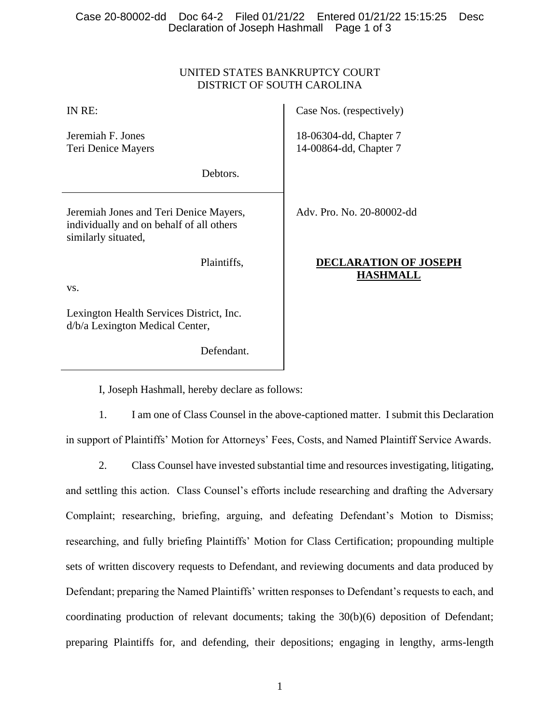## UNITED STATES BANKRUPTCY COURT DISTRICT OF SOUTH CAROLINA

| IN RE:                                                                                                    | Case Nos. (respectively)                         |
|-----------------------------------------------------------------------------------------------------------|--------------------------------------------------|
| Jeremiah F. Jones<br>Teri Denice Mayers                                                                   | 18-06304-dd, Chapter 7<br>14-00864-dd, Chapter 7 |
| Debtors.                                                                                                  |                                                  |
| Jeremiah Jones and Teri Denice Mayers,<br>individually and on behalf of all others<br>similarly situated, | Adv. Pro. No. 20-80002-dd                        |
| Plaintiffs,                                                                                               | <b>DECLARATION OF JOSEPH</b><br><b>HASHMALL</b>  |
| VS.                                                                                                       |                                                  |
| Lexington Health Services District, Inc.<br>d/b/a Lexington Medical Center,                               |                                                  |

I, Joseph Hashmall, hereby declare as follows:

Defendant.

1. I am one of Class Counsel in the above-captioned matter. I submit this Declaration in support of Plaintiffs' Motion for Attorneys' Fees, Costs, and Named Plaintiff Service Awards.

2. Class Counsel have invested substantial time and resources investigating, litigating, and settling this action. Class Counsel's efforts include researching and drafting the Adversary Complaint; researching, briefing, arguing, and defeating Defendant's Motion to Dismiss; researching, and fully briefing Plaintiffs' Motion for Class Certification; propounding multiple sets of written discovery requests to Defendant, and reviewing documents and data produced by Defendant; preparing the Named Plaintiffs' written responses to Defendant's requests to each, and coordinating production of relevant documents; taking the 30(b)(6) deposition of Defendant; preparing Plaintiffs for, and defending, their depositions; engaging in lengthy, arms-length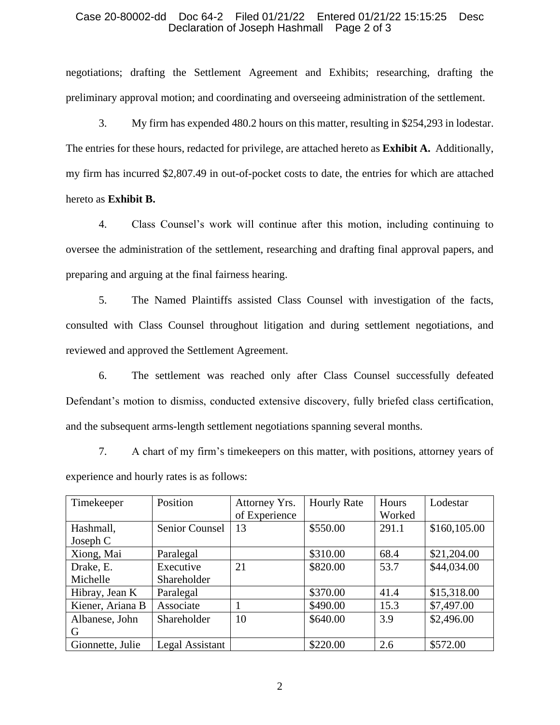#### Case 20-80002-dd Doc 64-2 Filed 01/21/22 Entered 01/21/22 15:15:25 Desc Declaration of Joseph Hashmall

negotiations; drafting the Settlement Agreement and Exhibits; researching, drafting the preliminary approval motion; and coordinating and overseeing administration of the settlement.

3. My firm has expended 480.2 hours on this matter, resulting in \$254,293 in lodestar. The entries for these hours, redacted for privilege, are attached hereto as **Exhibit A.** Additionally, my firm has incurred \$2,807.49 in out-of-pocket costs to date, the entries for which are attached hereto as **Exhibit B.** 

4. Class Counsel's work will continue after this motion, including continuing to oversee the administration of the settlement, researching and drafting final approval papers, and preparing and arguing at the final fairness hearing.

5. The Named Plaintiffs assisted Class Counsel with investigation of the facts, consulted with Class Counsel throughout litigation and during settlement negotiations, and reviewed and approved the Settlement Agreement.

6. The settlement was reached only after Class Counsel successfully defeated Defendant's motion to dismiss, conducted extensive discovery, fully briefed class certification, and the subsequent arms-length settlement negotiations spanning several months.

7. A chart of my firm's timekeepers on this matter, with positions, attorney years of experience and hourly rates is as follows:

| Timekeeper       | Position              | Attorney Yrs. | <b>Hourly Rate</b> | Hours  | Lodestar     |
|------------------|-----------------------|---------------|--------------------|--------|--------------|
|                  |                       | of Experience |                    | Worked |              |
| Hashmall,        | <b>Senior Counsel</b> | 13            | \$550.00           | 291.1  | \$160,105.00 |
| Joseph $C$       |                       |               |                    |        |              |
| Xiong, Mai       | Paralegal             |               | \$310.00           | 68.4   | \$21,204.00  |
| Drake, E.        | Executive             | 21            | \$820.00           | 53.7   | \$44,034.00  |
| Michelle         | Shareholder           |               |                    |        |              |
| Hibray, Jean K   | Paralegal             |               | \$370.00           | 41.4   | \$15,318.00  |
| Kiener, Ariana B | Associate             |               | \$490.00           | 15.3   | \$7,497.00   |
| Albanese, John   | Shareholder           | 10            | \$640.00           | 3.9    | \$2,496.00   |
| G                |                       |               |                    |        |              |
| Gionnette, Julie | Legal Assistant       |               | \$220.00           | 2.6    | \$572.00     |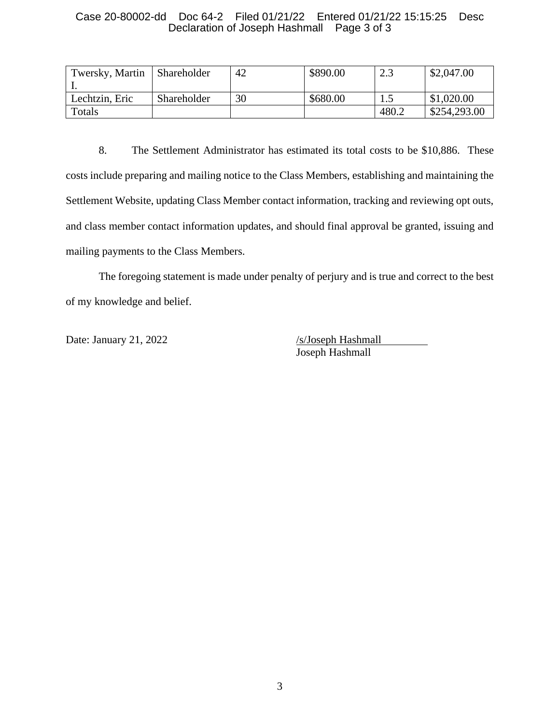### Case 20-80002-dd Doc 64-2 Filed 01/21/22 Entered 01/21/22 15:15:25 Desc Declaration of Joseph Hashmall Page 3 of 3

| Twersky, Martin | <b>Shareholder</b> | 42 | \$890.00 | 2.3   | \$2,047.00   |
|-----------------|--------------------|----|----------|-------|--------------|
| Lechtzin, Eric  | Shareholder        | 30 | \$680.00 |       | \$1,020.00   |
| Totals          |                    |    |          | 480.2 | \$254,293.00 |

8. The Settlement Administrator has estimated its total costs to be \$10,886. These costs include preparing and mailing notice to the Class Members, establishing and maintaining the Settlement Website, updating Class Member contact information, tracking and reviewing opt outs, and class member contact information updates, and should final approval be granted, issuing and mailing payments to the Class Members.

The foregoing statement is made under penalty of perjury and is true and correct to the best of my knowledge and belief.

Date: January 21, 2022 /s/Joseph Hashmall

Joseph Hashmall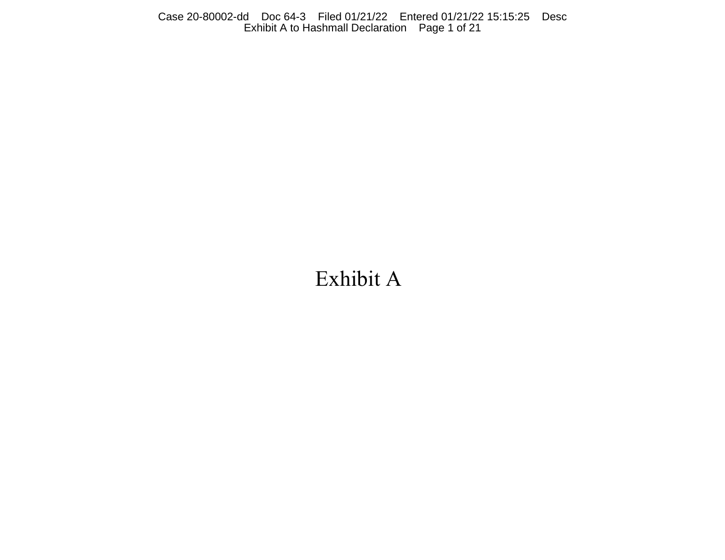Case 20-80002-dd Doc 64-3 Filed 01/21/22 Entered 01/21/22 15:15:25 Desc Exhibit A to Hashmall Declaration Page 1 of 21

# Exhibit A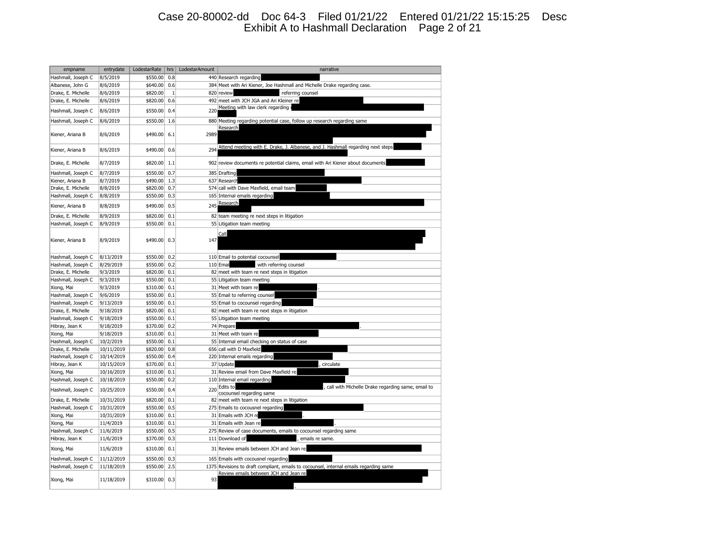## Case 20-80002-dd Doc 64-3 Filed 01/21/22 Entered 01/21/22 15:15:25 Desc Exhibit A to Hashmall Declaration Page 2 of 21

| empname            | entrydate  | LodestarRate | hrs | LodestarAmount | narrative                                                                              |
|--------------------|------------|--------------|-----|----------------|----------------------------------------------------------------------------------------|
| Hashmall, Joseph C | 8/5/2019   | \$550.00     | 0.8 |                | 440 Research regarding                                                                 |
| Albanese, John G   | 8/6/2019   | \$640.00     | 0.6 |                | 384 Meet with Ari Kiener, Joe Hashmall and Michelle Drake regarding case.              |
| Drake, E. Michelle | 8/6/2019   | \$820.00     | 1   |                | 820 review<br>referring counsel                                                        |
| Drake, E. Michelle | 8/6/2019   | \$820.00     | 0.6 | 492            | meet with JCH JGA and Ari Kleiner re                                                   |
| Hashmall, Joseph C | 8/6/2019   | \$550.00     | 0.4 | 220            | Meeting with law clerk regarding                                                       |
|                    |            |              |     |                |                                                                                        |
| Hashmall, Joseph C | 8/6/2019   | \$550.00     | 1.6 |                | 880 Meeting regarding potential case, follow up research regarding same                |
| Kiener, Ariana B   | 8/6/2019   | \$490.00     | 6.1 | 2989           | Research                                                                               |
|                    |            |              |     |                |                                                                                        |
|                    |            |              |     |                | Attend meeting with E. Drake, J. Albanese, and J. Hashmall regarding next steps        |
| Kiener, Ariana B   | 8/6/2019   | \$490.00     | 0.6 | 294            |                                                                                        |
| Drake, E. Michelle | 8/7/2019   | \$820.00     | 1.1 |                | 902 review documents re potential claims, email with Ari Kiener about documents        |
| Hashmall, Joseph C | 8/7/2019   | \$550.00     | 0.7 |                | 385 Drafting                                                                           |
| Kiener, Ariana B   | 8/7/2019   | \$490.00     | 1.3 |                | 637 Research                                                                           |
|                    |            |              | 0.7 |                |                                                                                        |
| Drake, E. Michelle | 8/8/2019   | \$820.00     |     |                | 574 call with Dave Maxfield, email team                                                |
| Hashmall, Joseph C | 8/8/2019   | \$550.00     | 0.3 |                | 165 Internal emails regarding<br>Research                                              |
| Kiener, Ariana B   | 8/8/2019   | \$490.00     | 0.5 | 245            |                                                                                        |
| Drake, E. Michelle | 8/9/2019   | \$820.00     | 0.1 |                | 82 team meeting re next steps in litigation                                            |
| Hashmall, Joseph C | 8/9/2019   | \$550.00     | 0.1 |                | 55 Litigation team meeting                                                             |
|                    |            |              |     |                |                                                                                        |
|                    |            |              |     |                | Call                                                                                   |
| Kiener, Ariana B   | 8/9/2019   | \$490.00     | 0.3 | 147            |                                                                                        |
|                    |            |              |     |                |                                                                                        |
| Hashmall, Joseph C | 8/13/2019  | \$550.00     | 0.2 |                | 110 Email to potential cocounsel                                                       |
| Hashmall, Joseph C | 8/29/2019  | \$550.00     | 0.2 |                | with referring counsel<br>110 Emai                                                     |
| Drake, E. Michelle | 9/3/2019   | \$820.00     | 0.1 |                | 82 meet with team re next steps in litigation                                          |
| Hashmall, Joseph C | 9/3/2019   | \$550.00     | 0.1 |                | 55 Litigation team meeting                                                             |
| Xiong, Mai         | 9/3/2019   | \$310.00     | 0.1 |                | 31 Meet with team re                                                                   |
| Hashmall, Joseph C | 9/6/2019   | \$550.00     | 0.1 |                | 55 Email to referring counsel                                                          |
| Hashmall, Joseph C | 9/13/2019  | \$550.00     | 0.1 |                | 55 Email to cocounsel regarding                                                        |
| Drake, E. Michelle | 9/18/2019  | \$820.00     | 0.1 |                | 82 meet with team re next steps in litigation                                          |
| Hashmall, Joseph C | 9/18/2019  | \$550.00     | 0.1 |                | 55 Litigation team meeting                                                             |
| Hibray, Jean K     | 9/18/2019  | \$370.00     | 0.2 |                | 74 Prepare                                                                             |
| Xiong, Mai         | 9/18/2019  | \$310.00     | 0.1 |                | 31 Meet with team re                                                                   |
| Hashmall, Joseph C | 10/2/2019  | \$550.00     | 0.1 |                | 55 Internal email checking on status of case                                           |
| Drake, E. Michelle | 10/11/2019 | \$820.00     | 0.8 |                | 656 call with D Maxfield                                                               |
| Hashmall, Joseph C | 10/14/2019 | \$550.00     | 0.4 |                | 220 Internal emails regarding                                                          |
| Hibray, Jean K     | 10/15/2019 | \$370.00     | 0.1 |                | 37 Update<br>circulate                                                                 |
| Xiong, Mai         | 10/16/2019 | \$310.00     | 0.1 |                | 31 Review email from Dave Maxfield re                                                  |
| Hashmall, Joseph C | 10/18/2019 | \$550.00     | 0.2 |                | 110 Internal email regarding                                                           |
| Hashmall, Joseph C | 10/25/2019 | \$550.00     | 0.4 | 220            | Edits to<br>call with Michelle Drake regarding same, email to                          |
|                    |            |              |     |                | cocounsel regarding same                                                               |
| Drake, E. Michelle | 10/31/2019 | \$820.00     | 0.1 |                | 82 meet with team re next steps in litigation                                          |
| Hashmall, Joseph C | 10/31/2019 | \$550.00     | 0.5 |                | 275 Emails to cocousnel regarding                                                      |
| Xiong, Mai         | 10/31/2019 | \$310.00     | 0.1 |                | 31 Emails with JCH re                                                                  |
| Xiong, Mai         | 11/4/2019  | \$310.00     | 0.1 |                | 31 Emails with Jean re                                                                 |
| Hashmall, Joseph C | 11/6/2019  | \$550.00     | 0.5 |                | 275 Review of case documents, emails to cocounsel regarding same                       |
| Hibray, Jean K     | 11/6/2019  | \$370.00     | 0.3 |                | 111 Download of<br>emails re same.                                                     |
| Xiong, Mai         | 11/6/2019  | \$310.00     | 0.1 |                | 31 Review emails between JCH and Jean re                                               |
| Hashmall, Joseph C | 11/12/2019 | \$550.00     | 0.3 |                | 165 Emails with cocousnel regarding                                                    |
| Hashmall, Joseph C | 11/18/2019 | \$550.00     | 2.5 |                | 1375 Revisions to draft compliant, emails to cocounsel, internal emails regarding same |
|                    |            |              |     |                | Review emails between JCH and Jean re                                                  |
| Xiong, Mai         | 11/18/2019 | \$310.00     | 0.3 | 93             |                                                                                        |
|                    |            |              |     |                |                                                                                        |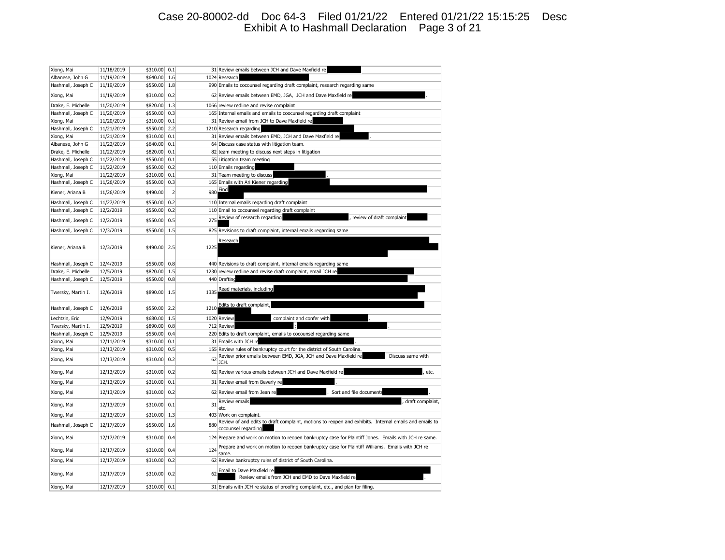## Case 20-80002-dd Doc 64-3 Filed 01/21/22 Entered 01/21/22 15:15:25 Desc Exhibit A to Hashmall Declaration Page 3 of 21

| Xiong, Mai         | 11/18/2019 | \$310.00 | 0.1            |      | 31 Review emails between JCH and Dave Maxfield re                                                                            |
|--------------------|------------|----------|----------------|------|------------------------------------------------------------------------------------------------------------------------------|
| Albanese, John G   | 11/19/2019 | \$640.00 | 1.6            |      | 1024 Research                                                                                                                |
| Hashmall, Joseph C | 11/19/2019 | \$550.00 | 1.8            |      | 990 Emails to cocounsel regarding draft complaint, research regarding same                                                   |
| Xiong, Mai         | 11/19/2019 | \$310.00 | 0.2            |      | 62 Review emails between EMD, JGA, JCH and Dave Maxfield re                                                                  |
| Drake, E. Michelle | 11/20/2019 | \$820.00 | 1.3            |      | 1066 review redline and revise complaint                                                                                     |
| Hashmall, Joseph C | 11/20/2019 | \$550.00 | 0.3            |      | 165 Internal emails and emails to coocunsel regarding draft complaint                                                        |
| Xiong, Mai         | 11/20/2019 | \$310.00 | 0.1            |      | 31 Review email from JCH to Dave Maxfield re                                                                                 |
| Hashmall, Joseph C | 11/21/2019 | \$550.00 | 2.2            |      | 1210 Research regarding                                                                                                      |
| Xiong, Mai         | 11/21/2019 | \$310.00 | 0.1            |      | 31 Review emails between EMD, JCH and Dave Maxfield re                                                                       |
| Albanese, John G   | 11/22/2019 | \$640.00 | 0.1            |      | 64 Discuss case status with litigation team.                                                                                 |
| Drake, E. Michelle | 11/22/2019 | \$820.00 | 0.1            |      | 82 team meeting to discuss next steps in litigation                                                                          |
| Hashmall, Joseph C | 11/22/2019 | \$550.00 | 0.1            |      | 55 Litigation team meeting                                                                                                   |
| Hashmall, Joseph C | 11/22/2019 | \$550.00 | 0.2            |      | 110 Emails regarding                                                                                                         |
| Xiong, Mai         | 11/22/2019 | \$310.00 | 0.1            |      | 31 Team meeting to discuss                                                                                                   |
| Hashmall, Joseph C | 11/26/2019 | \$550.00 | 0.3            |      | 165 Emails with Ari Kiener regarding                                                                                         |
| Kiener, Ariana B   | 11/26/2019 | \$490.00 | $\overline{2}$ | 980  | Find                                                                                                                         |
| Hashmall, Joseph C | 11/27/2019 | \$550.00 | 0.2            |      | 110 Internal emails regarding draft complaint                                                                                |
| Hashmall, Joseph C | 12/2/2019  | \$550.00 | 0.2            |      | 110 Email to cocounsel regarding draft complaint                                                                             |
| Hashmall, Joseph C | 12/2/2019  | \$550.00 | 0.5            | 275  | Review of research regarding<br>review of draft complaint                                                                    |
| Hashmall, Joseph C | 12/3/2019  | \$550.00 | 1.5            |      | 825 Revisions to draft complaint, internal emails regarding same                                                             |
|                    |            |          |                |      |                                                                                                                              |
| Kiener, Ariana B   | 12/3/2019  | \$490.00 | 2.5            | 1225 | Research                                                                                                                     |
| Hashmall, Joseph C | 12/4/2019  | \$550.00 | 0.8            |      | 440 Revisions to draft complaint, internal emails regarding same                                                             |
| Drake, E. Michelle | 12/5/2019  | \$820.00 | 1.5            |      | 1230 review redline and revise draft complaint, email JCH re                                                                 |
| Hashmall, Joseph C | 12/5/2019  | \$550.00 | 0.8            |      | 440 Drafting                                                                                                                 |
| Twersky, Martin I. | 12/6/2019  | \$890.00 | 1.5            | 1335 | Read materials, including                                                                                                    |
| Hashmall, Joseph C | 12/6/2019  | \$550.00 | 2.2            | 1210 | Edits to draft complaint,                                                                                                    |
| Lechtzin, Eric     | 12/9/2019  | \$680.00 | 1.5            |      | 1020 Review<br>complaint and confer with                                                                                     |
| Twersky, Martin I. | 12/9/2019  | \$890.00 | 0.8            |      | 712 Review                                                                                                                   |
| Hashmall, Joseph C | 12/9/2019  | \$550.00 | 0.4            |      | 220 Edits to draft complaint, emails to cocounsel regarding same                                                             |
| Xiong, Mai         | 12/11/2019 | \$310.00 | 0.1            |      | 31 Emails with JCH re                                                                                                        |
| Xiong, Mai         | 12/13/2019 | \$310.00 | 0.5            |      | 155 Review rules of bankruptcy court for the district of South Carolina.                                                     |
| Xiong, Mai         | 12/13/2019 | \$310.00 | 0.2            | 62   | Review prior emails between EMD, JGA, JCH and Dave Maxfield re<br>Discuss same with<br>JCH.                                  |
| Xiong, Mai         | 12/13/2019 | \$310.00 | 0.2            |      | 62 Review various emails between JCH and Dave Maxfield re<br>etc.                                                            |
| Xiong, Mai         | 12/13/2019 | \$310.00 | 0.1            |      | 31 Review email from Beverly re                                                                                              |
| Xiong, Mai         | 12/13/2019 | \$310.00 | 0.2            |      | 62 Review email from Jean re<br>Sort and file document                                                                       |
| Xiong, Mai         | 12/13/2019 | \$310.00 | 0.1            | 31   | Review emails<br>draft complaint,<br>etc                                                                                     |
| Xiong, Mai         | 12/13/2019 | \$310.00 | 1.3            |      | 403 Work on complaint.                                                                                                       |
| Hashmall, Joseph C | 12/17/2019 | \$550.00 | 1.6            | 880  | Review of and edits to draft complaint, motions to reopen and exhibits. Internal emails and emails to<br>cocounsel regarding |
| Xiong, Mai         | 12/17/2019 | \$310.00 | 0.4            |      | 124 Prepare and work on motion to reopen bankruptcy case for Plaintiff Jones. Emails with JCH re same.                       |
| Xiong, Mai         | 12/17/2019 | \$310.00 | 0.4            | 124  | Prepare and work on motion to reopen bankruptcy case for Plaintiff Williams. Emails with JCH re<br>same.                     |
| Xiong, Mai         | 12/17/2019 | \$310.00 | 0.2            |      | 62 Review bankruptcy rules of district of South Carolina.                                                                    |
| Xiong, Mai         | 12/17/2019 | \$310.00 | 0.2            | 62   | Email to Dave Maxfield re<br>Review emails from JCH and EMD to Dave Maxfield re                                              |
| Xiong, Mai         | 12/17/2019 | \$310.00 | 0.1            |      | 31 Emails with JCH re status of proofing complaint, etc., and plan for filing                                                |
|                    |            |          |                |      |                                                                                                                              |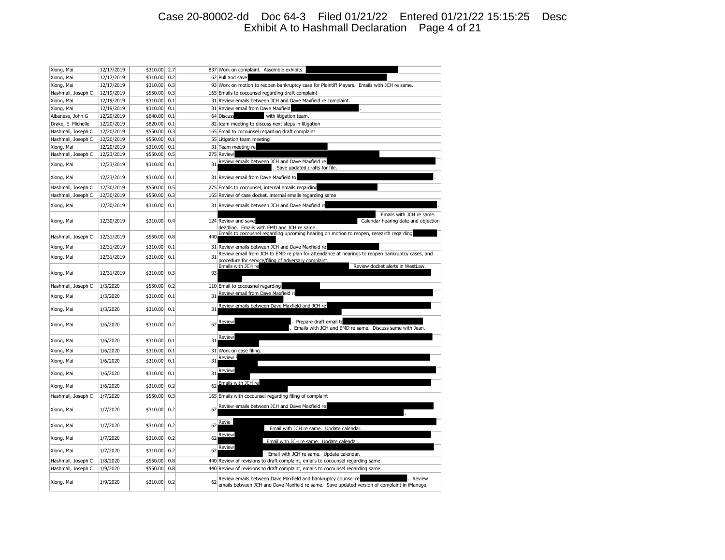## Case 20-80002-dd Doc 64-3 Filed 01/21/22 Entered 01/21/22 15:15:25 Desc Exhibit A to Hashmall Declaration Page 4 of 21

| Xiong, Mai         | 12/17/2019 | \$310.00 | 2.7 |     | 837 Work on complaint. Assemble exhibits.                                                                                                                              |
|--------------------|------------|----------|-----|-----|------------------------------------------------------------------------------------------------------------------------------------------------------------------------|
| Xiong, Mai         | 12/17/2019 | \$310.00 | 0.2 |     | 62 Pull and save                                                                                                                                                       |
| Xiong, Mai         | 12/17/2019 | \$310.00 | 0.3 |     | 93 Work on motion to reopen bankruptcy case for Plaintiff Mayers. Emails with JCH re same.                                                                             |
| Hashmall, Joseph C | 12/19/2019 | \$550.00 | 0.3 |     | 165 Emails to cocounsel regarding draft complaint                                                                                                                      |
| Xiong, Mai         | 12/19/2019 | \$310.00 | 0.1 |     | 31 Review emails between JCH and Dave Maxfield re complaint.                                                                                                           |
| Xiong, Mai         | 12/19/2019 | \$310.00 | 0.1 |     | 31 Review email from Dave Maxfield                                                                                                                                     |
| Albanese, John G   | 12/20/2019 | \$640.00 | 0.1 |     | 64 Discuss<br>with litigation team.                                                                                                                                    |
| Drake, E. Michelle | 12/20/2019 | \$820.00 | 0.1 |     | 82 team meeting to discuss next steps in litigation                                                                                                                    |
| Hashmall, Joseph C | 12/20/2019 | \$550.00 | 0.3 |     | 165 Email to cocounsel regarding draft complaint                                                                                                                       |
| Hashmall, Joseph C | 12/20/2019 | \$550.00 | 0.1 |     | 55 Litigation team meeting                                                                                                                                             |
| Xiong, Mai         | 12/20/2019 | \$310.00 | 0.1 |     | 31 Team meeting re                                                                                                                                                     |
| Hashmall, Joseph C | 12/23/2019 | \$550.00 | 0.5 |     | 275 Review                                                                                                                                                             |
| Xiong, Mai         | 12/23/2019 | \$310.00 | 0.1 | 31  | Review emails between JCH and Dave Maxfield re<br>Save updated drafts for file.                                                                                        |
| Xiong, Mai         | 12/23/2019 | \$310.00 | 0.1 |     | 31 Review email from Dave Maxfield to                                                                                                                                  |
| Hashmall, Joseph C | 12/30/2019 | \$550.00 | 0.5 |     | 275 Emails to cocounsel, internal emails regarding                                                                                                                     |
| Hashmall, Joseph C | 12/30/2019 | \$550.00 | 0.3 |     | 165 Review of case docket, internal emails regarding same                                                                                                              |
| Xiong, Mai         | 12/30/2019 | \$310.00 | 0.1 |     | 31 Review emails between JCH and Dave Maxfield re                                                                                                                      |
| Xiong, Mai         | 12/30/2019 | \$310.00 | 0.4 |     | Emails with JCH re same.<br>Calendar hearing date and objection<br>124 Review and save                                                                                 |
|                    |            |          |     |     | deadline. Emails with EMD and JCH re same.                                                                                                                             |
| Hashmall, Joseph C | 12/31/2019 | \$550.00 | 0.8 | 440 | Emails to cocousnel regarding upcoming hearing on motion to reopen, research regarding                                                                                 |
| Xiong, Mai         | 12/31/2019 | \$310.00 | 0.1 |     | 31 Review emails between JCH and Dave Maxfield re                                                                                                                      |
| Xiong, Mai         | 12/31/2019 | \$310.00 | 0.1 | 31  | Review email from JCH to EMD re plan for attendance at hearings to reopen bankruptcy cases, and<br>procedure for service/filing of adversary complaint                 |
| Xiong, Mai         | 12/31/2019 | \$310.00 | 0.3 | 93  | Review docket alerts in WestLaw.<br>Emails with JCH re                                                                                                                 |
| Hashmall, Joseph C | 1/3/2020   | \$550.00 | 0.2 |     | 110 Email to cocousnel regarding                                                                                                                                       |
| Xiong, Mai         | 1/3/2020   | \$310.00 | 0.1 | 31  | Review email from Dave Maxfield re                                                                                                                                     |
|                    |            |          |     | 31  | Review emails between Dave Maxfield and JCH re                                                                                                                         |
| Xiong, Mai         | 1/3/2020   | \$310.00 | 0.1 |     |                                                                                                                                                                        |
| Xiong, Mai         | 1/6/2020   | \$310.00 | 0.2 | 62  | Review<br>Prepare draft email to<br>Emails with JCH and EMD re same. Discuss same with Jean.                                                                           |
| Xiong, Mai         | 1/6/2020   | \$310.00 | 0.1 | 31  | Review                                                                                                                                                                 |
| Xiong, Mai         | 1/6/2020   | \$310.00 | 0.1 |     | 31 Work on case filing.                                                                                                                                                |
| Xiong, Mai         | 1/6/2020   | \$310.00 | 0.1 | 31  | <b>Review F</b>                                                                                                                                                        |
| Xiong, Mai         | 1/6/2020   | \$310.00 | 0.1 | 31  | Review                                                                                                                                                                 |
| Xiong, Mai         | 1/6/2020   | \$310.00 | 0.2 | 62  | Emails with JCH re                                                                                                                                                     |
| Hashmall, Joseph C | 1/7/2020   | \$550.00 | 0.3 |     | 165 Emails with cocounsel regarding filing of complaint                                                                                                                |
| Xiong, Mai         | 1/7/2020   | \$310.00 | 0.2 | 62  | Review emails between JCH and Dave Maxfield re                                                                                                                         |
| Xiong, Mai         | 1/7/2020   | \$310.00 | 0.2 | 62  | Revie<br>Email with JCH re same. Update calendar                                                                                                                       |
| Xiong, Mai         | 1/7/2020   | \$310.00 | 0.2 | 62  | Review<br>Email with JCH re same. Update calendar                                                                                                                      |
| Xiong, Mai         | 1/7/2020   | \$310.00 | 0.2 | 62  | Review<br>Email with JCH re same. Update calendar.                                                                                                                     |
| Hashmall, Joseph C | 1/8/2020   | \$550.00 | 0.8 |     | 440 Review of revisions to draft complaint, emails to cocounsel regarding same                                                                                         |
| Hashmall, Joseph C | 1/9/2020   | \$550.00 | 0.8 |     | 440 Review of revisions to draft complaint, emails to cocounsel regarding same                                                                                         |
|                    |            |          |     |     |                                                                                                                                                                        |
| Xiong, Mai         | 1/9/2020   | \$310.00 | 0.2 | 62  | Review emails between Dave Maxfield and bankruptcy counsel re<br>Review<br>emails between JCH and Dave Maxfield re same. Save updated version of complaint in iManage. |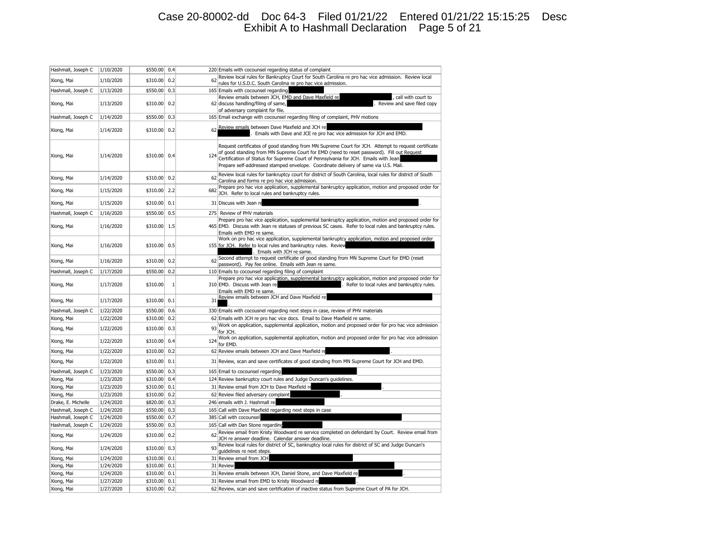## Case 20-80002-dd Doc 64-3 Filed 01/21/22 Entered 01/21/22 15:15:25 Desc Exhibit A to Hashmall Declaration Page 5 of 21

| Hashmall, Joseph C | 1/10/2020 | \$550.00     | 0.4          |     | 220 Emails with cocounsel regarding status of complaint                                                                                                                                                                                                                                                                                                                        |
|--------------------|-----------|--------------|--------------|-----|--------------------------------------------------------------------------------------------------------------------------------------------------------------------------------------------------------------------------------------------------------------------------------------------------------------------------------------------------------------------------------|
|                    |           |              |              | 62  | Review local rules for Bankruptcy Court for South Carolina re pro hac vice admission. Review local                                                                                                                                                                                                                                                                             |
| Xiong, Mai         | 1/10/2020 | \$310.00     | 0.2          |     | rules for U.S.D.C. South Carolina re pro hac vice admission.                                                                                                                                                                                                                                                                                                                   |
| Hashmall, Joseph C | 1/13/2020 | \$550.00     | 0.3          |     | 165 Emails with cocounsel regarding                                                                                                                                                                                                                                                                                                                                            |
|                    |           |              |              |     | Review emails between JCH, EMD and Dave Maxfield re<br>, call with court to                                                                                                                                                                                                                                                                                                    |
| Xiong, Mai         | 1/13/2020 | \$310.00     | 0.2          |     | 62 discuss handling/filing of same,<br>Review and save filed copy<br>of adversary complaint for file.                                                                                                                                                                                                                                                                          |
| Hashmall, Joseph C | 1/14/2020 | \$550.00     | 0.3          |     | 165 Email exchange with cocounsel regarding filing of complaint, PHV motions                                                                                                                                                                                                                                                                                                   |
|                    |           |              |              |     |                                                                                                                                                                                                                                                                                                                                                                                |
| Xiong, Mai         | 1/14/2020 | \$310.00     | 0.2          | 62  | Review emails between Dave Maxfield and JCH re<br>Emails with Dave and JCE re pro hac vice admission for JCH and EMD.                                                                                                                                                                                                                                                          |
| Xiong, Mai         | 1/14/2020 | \$310.00 0.4 |              | 124 | Request certificates of good standing from MN Supreme Court for JCH. Attempt to request certificate<br>of good standing from MN Supreme Court for EMD (need to reset password). Fill out Request<br>Certification of Status for Supreme Court of Pennsylvania for JCH. Emails with Jean<br>Prepare self-addressed stamped envelope. Coordinate delivery of same via U.S. Mail. |
| Xiong, Mai         | 1/14/2020 | \$310.00     | 0.2          | 62  | Review local rules for bankruptcy court for district of South Carolina, local rules for district of South<br>Carolina and forms re pro hac vice admission.                                                                                                                                                                                                                     |
| Xiong, Mai         | 1/15/2020 | \$310.00     | 2.2          | 682 | Prepare pro hac vice application, supplemental bankruptcy application, motion and proposed order for<br>JCH. Refer to local rules and bankruptcy rules.                                                                                                                                                                                                                        |
| Xiong, Mai         | 1/15/2020 | \$310.00     | 0.1          |     | 31 Discuss with Jean re                                                                                                                                                                                                                                                                                                                                                        |
| Hashmall, Joseph C | 1/16/2020 | \$550.00     | 0.5          |     | 275 Review of PHV materials                                                                                                                                                                                                                                                                                                                                                    |
| Xiong, Mai         | 1/16/2020 | \$310.00     | 1.5          |     | Prepare pro hac vice application, supplemental bankruptcy application, motion and proposed order for<br>465 EMD. Discuss with Jean re statuses of previous SC cases. Refer to local rules and bankruptcy rules.<br>Emails with EMD re same.                                                                                                                                    |
| Xiong, Mai         | 1/16/2020 | \$310.00     | 0.5          |     | Work on pro hac vice application, supplemental bankruptcy application, motion and proposed order<br>155 for JCH. Refer to local rules and bankruptcy rules. Review<br>. Emails with JCH re same.                                                                                                                                                                               |
| Xiong, Mai         | 1/16/2020 | \$310.00     | 0.2          | 62  | Second attempt to request certificate of good standing from MN Supreme Court for EMD (reset<br>password). Pay fee online. Emails with Jean re same.                                                                                                                                                                                                                            |
| Hashmall, Joseph C | 1/17/2020 | \$550.00     | 0.2          |     | 110 Emails to cocounsel regarding filing of complaint                                                                                                                                                                                                                                                                                                                          |
| Xiong, Mai         | 1/17/2020 | \$310.00     | $\mathbf{1}$ |     | Prepare pro hac vice application, supplemental bankruptcy application, motion and proposed order for<br>310 EMD. Discuss with Jean re<br>. Refer to local rules and bankruptcy rules.<br>Emails with EMD re same.                                                                                                                                                              |
| Xiong, Mai         | 1/17/2020 | \$310.00     | 0.1          | 31  | Review emails between JCH and Dave Maxfield re                                                                                                                                                                                                                                                                                                                                 |
| Hashmall, Joseph C | 1/22/2020 | \$550.00     | 0.6          |     | 330 Emails with cocousnel regarding next steps in case, review of PHV materials                                                                                                                                                                                                                                                                                                |
| Xiong, Mai         | 1/22/2020 | \$310.00     | 0.2          |     | 62 Emails with JCH re pro hac vice docs. Email to Dave Maxfield re same.                                                                                                                                                                                                                                                                                                       |
| Xiong, Mai         | 1/22/2020 | \$310.00     | 0.3          | 93  | Work on application, supplemental application, motion and proposed order for pro hac vice admission<br>for JCH.                                                                                                                                                                                                                                                                |
| Xiong, Mai         | 1/22/2020 | \$310.00     | 0.4          | 124 | Work on application, supplemental application, motion and proposed order for pro hac vice admission<br>for EMD.                                                                                                                                                                                                                                                                |
| Xiong, Mai         | 1/22/2020 | \$310.00     | 0.2          |     | 62 Review emails between JCH and Dave Maxfield re                                                                                                                                                                                                                                                                                                                              |
| Xiong, Mai         | 1/22/2020 | \$310.00     | 0.1          |     | 31 Review, scan and save certificates of good standing from MN Supreme Court for JCH and EMD.                                                                                                                                                                                                                                                                                  |
| Hashmall, Joseph C | 1/23/2020 | \$550.00     | 0.3          |     | 165 Email to cocounsel regarding                                                                                                                                                                                                                                                                                                                                               |
| Xiong, Mai         | 1/23/2020 | \$310.00     | 0.4          |     | 124 Review bankruptcy court rules and Judge Duncan's guidelines.                                                                                                                                                                                                                                                                                                               |
| Xiong, Mai         | 1/23/2020 | \$310.00     | 0.1          |     | 31 Review email from JCH to Dave Maxfield re                                                                                                                                                                                                                                                                                                                                   |
| Xiong, Mai         | 1/23/2020 | \$310.00     | 0.2          |     | 62 Review filed adversary complaint                                                                                                                                                                                                                                                                                                                                            |
| Drake, E. Michelle | 1/24/2020 | \$820.00     | 0.3          |     | 246 emails with J. Hashmall re                                                                                                                                                                                                                                                                                                                                                 |
| Hashmall, Joseph C | 1/24/2020 | \$550.00     | 0.3          |     | 165 Call with Dave Maxfield regarding next steps in case                                                                                                                                                                                                                                                                                                                       |
| Hashmall, Joseph C | 1/24/2020 | \$550.00     | 0.7          |     | 385 Call with cocounsel                                                                                                                                                                                                                                                                                                                                                        |
| Hashmall, Joseph C | 1/24/2020 | \$550.00     | 0.3          |     | 165 Call with Dan Stone regarding                                                                                                                                                                                                                                                                                                                                              |
| Xiong, Mai         | 1/24/2020 | \$310.00     | 0.2          | 62  | Review email from Kristy Woodward re service completed on defendant by Court. Review email from<br>JCH re answer deadline. Calendar answer deadline.                                                                                                                                                                                                                           |
| Xiong, Mai         | 1/24/2020 | \$310.00     | 0.3          | 93  | Review local rules for district of SC, bankruptcy local rules for district of SC and Judge Duncan's<br>quidelines re next steps                                                                                                                                                                                                                                                |
| Xiong, Mai         | 1/24/2020 | \$310.00     | 0.1          |     | 31 Review email from JCH                                                                                                                                                                                                                                                                                                                                                       |
| Xiong, Mai         | 1/24/2020 | \$310.00     | 0.1          |     | 31 Review                                                                                                                                                                                                                                                                                                                                                                      |
| Xiong, Mai         | 1/24/2020 | \$310.00     | 0.1          |     | 31 Review emails between JCH, Daniel Stone, and Dave Maxfield re                                                                                                                                                                                                                                                                                                               |
| Xiong, Mai         | 1/27/2020 | \$310.00     | 0.1          |     | 31 Review email from EMD to Kristy Woodward re                                                                                                                                                                                                                                                                                                                                 |
| Xiong, Mai         | 1/27/2020 | \$310.00     | 0.2          |     | 62 Review, scan and save certification of inactive status from Supreme Court of PA for JCH.                                                                                                                                                                                                                                                                                    |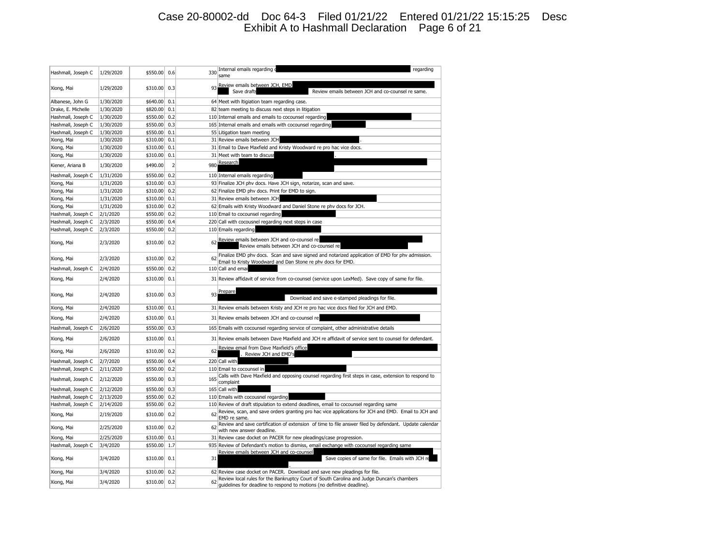## Case 20-80002-dd Doc 64-3 Filed 01/21/22 Entered 01/21/22 15:15:25 Desc Exhibit A to Hashmall Declaration Page 6 of 21

| Hashmall, Joseph C | 1/29/2020 | \$550.00     | 0.6            | 330 | Internal emails regarding<br>regarding<br>same                                                                                                                       |
|--------------------|-----------|--------------|----------------|-----|----------------------------------------------------------------------------------------------------------------------------------------------------------------------|
| Xiong, Mai         | 1/29/2020 | \$310.00 0.3 |                | 93  | Review emails between JCH, EMD<br>Save drafts<br>Review emails between JCH and co-counsel re same.                                                                   |
| Albanese, John G   | 1/30/2020 | \$640.00     | 0.1            |     | 64 Meet with Itigiation team regarding case.                                                                                                                         |
| Drake, E. Michelle | 1/30/2020 | \$820.00 0.1 |                |     | 82 team meeting to discuss next steps in litigation                                                                                                                  |
| Hashmall, Joseph C | 1/30/2020 | \$550.00     | 0.2            |     | 110 Internal emails and emails to cocounsel regarding                                                                                                                |
| Hashmall, Joseph C | 1/30/2020 | \$550.00     | 0.3            |     | 165 Internal emails and emails with cocounsel regarding                                                                                                              |
| Hashmall, Joseph C | 1/30/2020 | \$550.00     | 0.1            |     | 55 Litigation team meeting                                                                                                                                           |
| Xiong, Mai         | 1/30/2020 | \$310.00     | 0.1            |     | 31 Review emails between JCH                                                                                                                                         |
| Xiong, Mai         | 1/30/2020 | \$310.00     | 0.1            |     | 31 Email to Dave Maxfield and Kristy Woodward re pro hac vice docs.                                                                                                  |
| Xiong, Mai         | 1/30/2020 | \$310.00     | 0.1            |     | 31 Meet with team to discuss                                                                                                                                         |
| Kiener, Ariana B   | 1/30/2020 | \$490.00     | $\overline{2}$ | 980 | Research                                                                                                                                                             |
| Hashmall, Joseph C | 1/31/2020 | \$550.00     | 0.2            |     | 110 Internal emails regarding                                                                                                                                        |
| Xiong, Mai         | 1/31/2020 | \$310.00     | 0.3            |     | 93 Finalize JCH phv docs. Have JCH sign, notarize, scan and save.                                                                                                    |
| Xiong, Mai         | 1/31/2020 | \$310.00     | 0.2            |     | 62 Finalize EMD phv docs. Print for EMD to sign.                                                                                                                     |
| Xiong, Mai         | 1/31/2020 | \$310.00     | 0.1            |     | 31 Review emails between JCH                                                                                                                                         |
| Xiong, Mai         | 1/31/2020 | \$310.00     | 0.2            |     | 62 Emails with Kristy Woodward and Daniel Stone re phv docs for JCH.                                                                                                 |
| Hashmall, Joseph C | 2/1/2020  | \$550.00     | 0.2            |     | 110 Email to cocounsel regarding                                                                                                                                     |
| Hashmall, Joseph C | 2/3/2020  | \$550.00     | 0.4            |     | 220 Call with cocousnel regarding next steps in case                                                                                                                 |
| Hashmall, Joseph C | 2/3/2020  | \$550.00     | 0.2            |     | 110 Emails regarding                                                                                                                                                 |
| Xiong, Mai         | 2/3/2020  | \$310.00     | 0.2            | 62  | Review emails between JCH and co-counsel re<br>Review emails between JCH and co-counsel re                                                                           |
| Xiong, Mai         | 2/3/2020  | \$310.00     | 0.2            | 62  | Finalize EMD phv docs. Scan and save signed and notarized application of EMD for phv admission.<br>Email to Kristy Woodward and Dan Stone re phv docs for EMD.       |
| Hashmall, Joseph C | 2/4/2020  | \$550.00     | 0.2            |     | 110 Call and emai                                                                                                                                                    |
| Xiong, Mai         | 2/4/2020  | \$310.00     | 0.1            |     | 31 Review affidavit of service from co-counsel (service upon LexMed). Save copy of same for file.                                                                    |
| Xiong, Mai         | 2/4/2020  | \$310.00     | 0.3            | 93  | Prepare<br>Download and save e-stamped pleadings for file.                                                                                                           |
| Xiong, Mai         | 2/4/2020  | \$310.00     | 0.1            |     | 31 Review emails between Kristy and JCH re pro hac vice docs filed for JCH and EMD.                                                                                  |
| Xiong, Mai         | 2/4/2020  | \$310.00     | 0.1            |     | 31 Review emails between JCH and co-counsel re                                                                                                                       |
| Hashmall, Joseph C | 2/6/2020  | \$550.00     | 0.3            |     | 165 Emails with cocounsel regarding service of complaint, other administrative details                                                                               |
| Xiong, Mai         | 2/6/2020  | \$310.00     | 0.1            |     | 31 Review emails between Dave Maxfield and JCH re affidavit of service sent to counsel for defendant.                                                                |
| Xiong, Mai         | 2/6/2020  | \$310.00     | 0.2            | 62  | Review email from Dave Maxfield's office<br>. Review JCH and EMD's                                                                                                   |
| Hashmall, Joseph C | 2/7/2020  | \$550.00     | 0.4            |     | 220 Call with                                                                                                                                                        |
| Hashmall, Joseph C | 2/11/2020 | \$550.00     | 0.2            |     | 110 Email to cocounsel in                                                                                                                                            |
|                    |           |              |                |     | Calls with Dave Maxfield and opposing counsel regarding first steps in case, extension to respond to                                                                 |
| Hashmall, Joseph C | 2/12/2020 | \$550.00     | 0.3            | 165 | complaint                                                                                                                                                            |
| Hashmall, Joseph C | 2/12/2020 | \$550.00     | 0.3            |     | 165 Call with                                                                                                                                                        |
| Hashmall, Joseph C | 2/13/2020 | \$550.00     | 0.2            |     | 110 Emails with cocousnel regarding                                                                                                                                  |
| Hashmall, Joseph C | 2/14/2020 | \$550.00     | 0.2            |     | 110 Review of draft stipulation to extend deadlines, email to cocounsel regarding same                                                                               |
| Xiong, Mai         | 2/19/2020 | \$310.00     | 0.2            | 62  | Review, scan, and save orders granting pro hac vice applications for JCH and EMD. Email to JCH and<br>EMD re same.                                                   |
| Xiong, Mai         | 2/25/2020 | \$310.00     | 0.2            |     | Review and save certification of extension of time to file answer filed by defendant. Update calendar<br>with new answer deadline.                                   |
| Xiong, Mai         | 2/25/2020 | \$310.00     | 0.1            |     | 31 Review case docket on PACER for new pleadings/case progression.                                                                                                   |
| Hashmall, Joseph C | 3/4/2020  | \$550.00     | 1.7            |     | 935 Review of Defendant's motion to dismiss, email exchange with cocounsel regarding same                                                                            |
| Xiong, Mai         | 3/4/2020  | \$310.00     | 0.1            | 31  | Review emails between JCH and co-counsel<br>Save copies of same for file. Emails with JCH re                                                                         |
| Xiong, Mai         | 3/4/2020  | \$310.00     | 0.2            |     | 62 Review case docket on PACER. Download and save new pleadings for file.                                                                                            |
| Xiong, Mai         | 3/4/2020  | \$310.00     | 0.2            | 62  | Review local rules for the Bankruptcy Court of South Carolina and Judge Duncan's chambers<br>guidelines for deadline to respond to motions (no definitive deadline). |
|                    |           |              |                |     |                                                                                                                                                                      |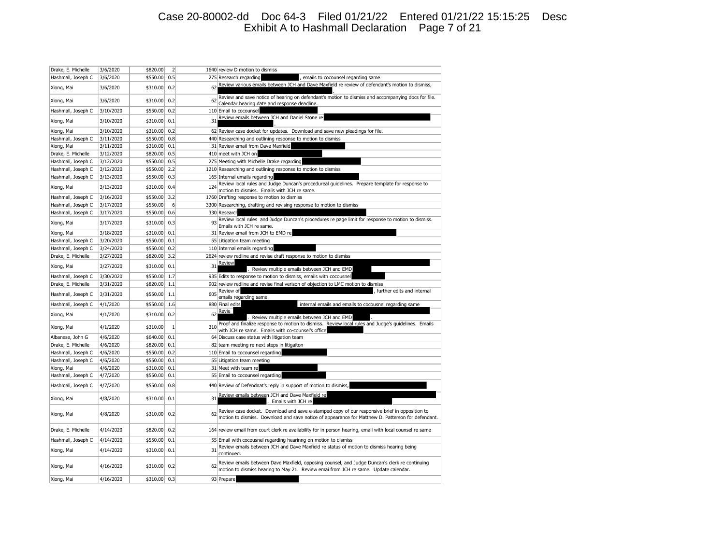## Case 20-80002-dd Doc 64-3 Filed 01/21/22 Entered 01/21/22 15:15:25 Desc Exhibit A to Hashmall Declaration Page 7 of 21

| Drake, E. Michelle | 3/6/2020  | \$820.00     | $\overline{2}$ |     | 1640 review D motion to dismiss                                                                                                                                                                    |
|--------------------|-----------|--------------|----------------|-----|----------------------------------------------------------------------------------------------------------------------------------------------------------------------------------------------------|
| Hashmall, Joseph C | 3/6/2020  | \$550.00     | 0.5            |     | 275 Research regarding<br>, emails to cocounsel regarding same                                                                                                                                     |
| Xiong, Mai         | 3/6/2020  | \$310.00     | 0.2            | 62  | Review various emails between JCH and Dave Maxfield re review of defendant's motion to dismiss,                                                                                                    |
| Xiong, Mai         | 3/6/2020  | \$310.00     | 0.2            | 62  | Review and save notice of hearing on defendant's motion to dismiss and accompanying docs for file.<br>Calendar hearing date and response deadline.                                                 |
| Hashmall, Joseph C | 3/10/2020 | \$550.00     | 0.2            |     | 110 Email to cocounsel                                                                                                                                                                             |
| Xiong, Mai         | 3/10/2020 | \$310.00     | 0.1            | 31  | Review emails between JCH and Daniel Stone re                                                                                                                                                      |
| Xiong, Mai         | 3/10/2020 | \$310.00     | 0.2            |     | 62 Review case docket for updates. Download and save new pleadings for file.                                                                                                                       |
| Hashmall, Joseph C | 3/11/2020 | \$550.00     | 0.8            |     | 440 Researching and outlining response to motion to dismiss                                                                                                                                        |
| Xiong, Mai         | 3/11/2020 | \$310.00     | 0.1            |     | 31 Review email from Dave Maxfield                                                                                                                                                                 |
| Drake, E. Michelle | 3/12/2020 | \$820.00     | 0.5            |     | 410 meet with JCH on                                                                                                                                                                               |
| Hashmall, Joseph C | 3/12/2020 | \$550.00     | 0.5            |     | 275 Meeting with Michelle Drake regarding                                                                                                                                                          |
| Hashmall, Joseph C | 3/12/2020 | \$550.00     | 2.2            |     | 1210 Researching and outlining response to motion to dismiss                                                                                                                                       |
| Hashmall, Joseph C | 3/13/2020 | \$550.00     | 0.3            |     | 165 Internal emails regarding                                                                                                                                                                      |
| Xiong, Mai         | 3/13/2020 | \$310.00     | 0.4            | 124 | Review local rules and Judge Duncan's procedureal guidelines. Prepare template for response to<br>motion to dismiss. Emails with JCH re same.                                                      |
| Hashmall, Joseph C | 3/16/2020 | \$550.00     | 3.2            |     | 1760 Drafting response to motion to dismiss                                                                                                                                                        |
| Hashmall, Joseph C | 3/17/2020 | \$550.00     | 6              |     | 3300 Researching, drafting and revising response to motion to dismiss                                                                                                                              |
| Hashmall, Joseph C | 3/17/2020 | \$550.00     | 0.6            |     | 330 Research                                                                                                                                                                                       |
| Xiong, Mai         | 3/17/2020 | \$310.00     | 0.3            | 93  | Review local rules and Judge Duncan's procedures re page limit for response to motion to dismiss.<br>Emails with JCH re same.                                                                      |
| Xiong, Mai         | 3/18/2020 | \$310.00     | 0.1            |     | 31 Review email from JCH to EMD re                                                                                                                                                                 |
| Hashmall, Joseph C | 3/20/2020 | \$550.00     | 0.1            |     | 55 Litigation team meeting                                                                                                                                                                         |
| Hashmall, Joseph C | 3/24/2020 | \$550.00     | 0.2            |     | 110 Internal emails regarding                                                                                                                                                                      |
| Drake, E. Michelle | 3/27/2020 | \$820.00     | 3.2            |     | 2624 review redline and revise draft response to motion to dismiss                                                                                                                                 |
| Xiong, Mai         | 3/27/2020 | \$310.00     | 0.1            | 31  | Review<br>Review multiple emails between JCH and EMD                                                                                                                                               |
| Hashmall, Joseph C | 3/30/2020 | \$550.00     | 1.7            |     | 935 Edits to response to motion to dismiss, emails with cocousnel                                                                                                                                  |
| Drake, E. Michelle | 3/31/2020 | \$820.00     | 1.1            |     | 902 review redline and revise final verison of objection to LMC motion to dismiss                                                                                                                  |
| Hashmall, Joseph C | 3/31/2020 | \$550.00     | 1.1            | 605 | Review of<br>further edits and internal<br>emails regarding same                                                                                                                                   |
| Hashmall, Joseph C | 4/1/2020  | \$550.00     | 1.6            |     | 880 Final edits<br>internal emails and emails to cocousnel regarding same                                                                                                                          |
| Xiong, Mai         | 4/1/2020  | \$310.00     | 0.2            | 62  | Revie<br>Review multiple emails between JCH and EMD                                                                                                                                                |
| Xiong, Mai         | 4/1/2020  | \$310.00     | $\mathbf{1}$   | 310 | Proof and finalize response to motion to dismiss. Review local rules and Judge's guidelines. Emails<br>with JCH re same. Emails with co-counsel's office                                           |
| Albanese, John G   | 4/6/2020  | \$640.00     | 0.1            |     | 64 Discuss case status with litigation team                                                                                                                                                        |
| Drake, E. Michelle | 4/6/2020  | \$820.00     | 0.1            |     | 82 team meeting re next steps in litigaiton                                                                                                                                                        |
| Hashmall, Joseph C | 4/6/2020  | \$550.00     | 0.2            |     | 110 Email to cocounsel regarding                                                                                                                                                                   |
| Hashmall, Joseph C | 4/6/2020  | \$550.00     | 0.1            |     | 55 Litigation team meeting                                                                                                                                                                         |
| Xiong, Mai         | 4/6/2020  | \$310.00     | 0.1            |     | 31 Meet with team re                                                                                                                                                                               |
| Hashmall, Joseph C | 4/7/2020  | \$550.00     | 0.1            |     | 55 Email to cocounsel regarding                                                                                                                                                                    |
| Hashmall, Joseph C | 4/7/2020  | \$550.00     | 0.8            |     | 440 Review of Defendnat's reply in support of motion to dismiss,                                                                                                                                   |
| Xiong, Mai         | 4/8/2020  | \$310.00     | 0.1            | 31  | Review emails between JCH and Dave Maxfield re<br>. Emails with JCH re                                                                                                                             |
| Xiong, Mai         | 4/8/2020  | \$310.00     | 0.2            | 62  | Review case docket. Download and save e-stamped copy of our responsive brief in opposition to<br>motion to dismiss. Download and save notice of appearance for Matthew D. Patterson for defendant. |
| Drake, E. Michelle | 4/14/2020 | \$820.00     | 0.2            |     | 164 review email from court clerk re availability for in person hearing, email with local counsel re same                                                                                          |
| Hashmall, Joseph C | 4/14/2020 | \$550.00     | 0.1            |     | 55 Email with cocousnel regarding hearinng on motion to dismiss                                                                                                                                    |
| Xiong, Mai         | 4/14/2020 | \$310.00     | 0.1            | 31  | Review emails between JCH and Dave Maxfield re status of motion to dismiss hearing being<br>continued.                                                                                             |
| Xiong, Mai         | 4/16/2020 | \$310.00     | 0.2            | 62  | Review emails between Dave Maxfield, opposing counsel, and Judge Duncan's clerk re continuing<br>motion to dismiss hearing to May 21. Review emai from JCH re same. Update calendar.               |
| Xiong, Mai         | 4/16/2020 | \$310.00 0.3 |                |     | 93 Prepare                                                                                                                                                                                         |
|                    |           |              |                |     |                                                                                                                                                                                                    |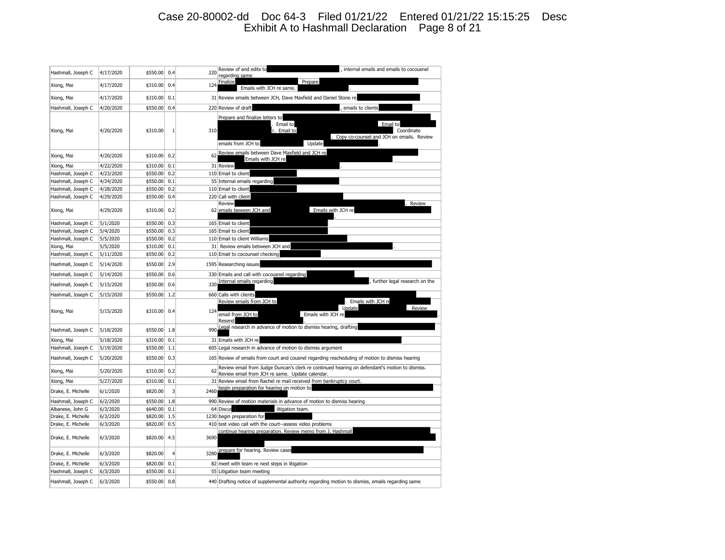## Case 20-80002-dd Doc 64-3 Filed 01/21/22 Entered 01/21/22 15:15:25 Desc Exhibit A to Hashmall Declaration Page 8 of 21

| Hashmall, Joseph C | 4/17/2020 | \$550.00 | 0.4          | 220  | Review of and edits to<br>, internal emails and emails to cocousnel<br>regarding same                                                                          |
|--------------------|-----------|----------|--------------|------|----------------------------------------------------------------------------------------------------------------------------------------------------------------|
| Xiong, Mai         | 4/17/2020 | \$310.00 | 0.4          | 124  | Finalize<br>Prepare<br>Emails with JCH re same.                                                                                                                |
| Xiong, Mai         | 4/17/2020 | \$310.00 | 0.1          |      | 31 Review emails between JCH, Dave Maxfield and Daniel Stone re                                                                                                |
| Hashmall, Joseph C | 4/20/2020 | \$550.00 | 0.4          |      | 220 Review of draft<br>emails to clients                                                                                                                       |
| Xiong, Mai         | 4/20/2020 | \$310.00 | $\mathbf{1}$ | 310  | Prepare and finalize letters to<br>Email to<br>Email to<br>Email to<br>Coordinate<br>Copy co-counsel and JCH on emails. Review<br>emails from JCH to<br>Update |
| Xiong, Mai         | 4/20/2020 | \$310.00 | 0.2          | 62   | Review emails between Dave Maxfield and JCH re<br>Emails with JCH re                                                                                           |
| Xiong, Mai         | 4/22/2020 | \$310.00 | 0.1          |      | 31 Review                                                                                                                                                      |
| Hashmall, Joseph C | 4/23/2020 | \$550.00 | 0.2          |      | 110 Email to client                                                                                                                                            |
| Hashmall, Joseph C | 4/24/2020 | \$550.00 | 0.1          |      | 55 Internal emails regarding                                                                                                                                   |
| Hashmall, Joseph C | 4/28/2020 | \$550.00 | 0.2          |      | 110 Email to client                                                                                                                                            |
| Hashmall, Joseph C | 4/29/2020 | \$550.00 | 0.4          |      | 220 Call with client                                                                                                                                           |
| Xiong, Mai         | 4/29/2020 | \$310.00 | 0.2          |      | <b>Review</b><br>Review<br>62 emails beween JCH and<br>Emails with JCH re                                                                                      |
| Hashmall, Joseph C | 5/1/2020  | \$550.00 | 0.3          |      | 165 Email to client                                                                                                                                            |
| Hashmall, Joseph C | 5/4/2020  | \$550.00 | 0.3          |      | 165 Email to client                                                                                                                                            |
| Hashmall, Joseph C | 5/5/2020  | \$550.00 | 0.2          |      | 110 Email to client Williams                                                                                                                                   |
| Xiong, Mai         | 5/5/2020  | \$310.00 | 0.1          | 31   | Review emails between JCH and                                                                                                                                  |
| Hashmall, Joseph C | 5/11/2020 | \$550.00 | 0.2          |      | 110 Email to cocounsel checking                                                                                                                                |
| Hashmall, Joseph C | 5/14/2020 | \$550.00 | 2.9          |      | 1595 Researching issues                                                                                                                                        |
| Hashmall, Joseph C | 5/14/2020 | \$550.00 | 0.6          |      | 330 Emails and call with cocousnel regarding                                                                                                                   |
| Hashmall, Joseph C | 5/15/2020 | \$550.00 | 0.6          | 330  | Internal emails regarding<br>further legal research on the                                                                                                     |
| Hashmall, Joseph C | 5/15/2020 | \$550.00 | 1.2          |      | 660 Calls with clients                                                                                                                                         |
| Xiong, Mai         | 5/15/2020 | \$310.00 | 0.4          | 124  | Review emails from JCH to<br>Emails with JCH re<br>Update<br>. Review<br>email from JCH to<br>Emails with JCH re<br>Resend                                     |
| Hashmall, Joseph C | 5/18/2020 | \$550.00 | 1.8          | 990  | Legal research in advance of motion to dismiss hearing, drafting                                                                                               |
| Xiong, Mai         | 5/18/2020 | \$310.00 | 0.1          |      | 31 Emails with JCH re                                                                                                                                          |
| Hashmall, Joseph C | 5/19/2020 | \$550.00 | 1.1          |      | 605 Legal research in advance of motion to dismiss argument                                                                                                    |
| Hashmall, Joseph C | 5/20/2020 | \$550.00 | 0.3          |      | 165 Review of emails from court and cousnel regarding rescheduling of motion to dismiss hearing                                                                |
| Xiong, Mai         | 5/20/2020 | \$310.00 | 0.2          | 62   | Review email from Judge Duncan's clerk re continued hearing on defendant's motion to dismiss.<br>Review email from JCH re same. Update calendar.               |
| Xiong, Mai         | 5/27/2020 | \$310.00 | 0.1          |      | 31 Review email from Rachel re mail received from bankruptcy court.                                                                                            |
| Drake, E. Michelle | 6/1/2020  | \$820.00 | 3            | 2460 | begin preparation for hearing on motion to                                                                                                                     |
| Hashmall, Joseph C | 6/2/2020  | \$550.00 | 1.8          |      | 990 Review of motion materials in advance of motion to dismiss hearing                                                                                         |
| Albanese, John G   | 6/3/2020  | \$640.00 | 0.1          |      | 64 Discus<br>litigation team.                                                                                                                                  |
| Drake, E. Michelle | 6/3/2020  | \$820.00 | 1.5          |      | 1230 begin preparation for                                                                                                                                     |
| Drake, E. Michelle | 6/3/2020  | \$820.00 | 0.5          |      | 410 test video call with the court--assess video problems                                                                                                      |
| Drake, E. Michelle | 6/3/2020  | \$820.00 | 4.5          | 3690 | continue hearing preparation. Review memo from J. Hashmall                                                                                                     |
| Drake, E. Michelle | 6/3/2020  | \$820.00 | 4            | 3280 | prepare for hearing. Review cases                                                                                                                              |
| Drake, E. Michelle | 6/3/2020  | \$820.00 | 0.1          |      | 82 meet with team re next steps in litigation                                                                                                                  |
| Hashmall, Joseph C | 6/3/2020  | \$550.00 | 0.1          |      | 55 Litigation team meeting                                                                                                                                     |
| Hashmall, Joseph C | 6/3/2020  | \$550.00 | 0.8          |      | 440 Drafting notice of supplemental authority regarding motion to dismiss, emails regarding same                                                               |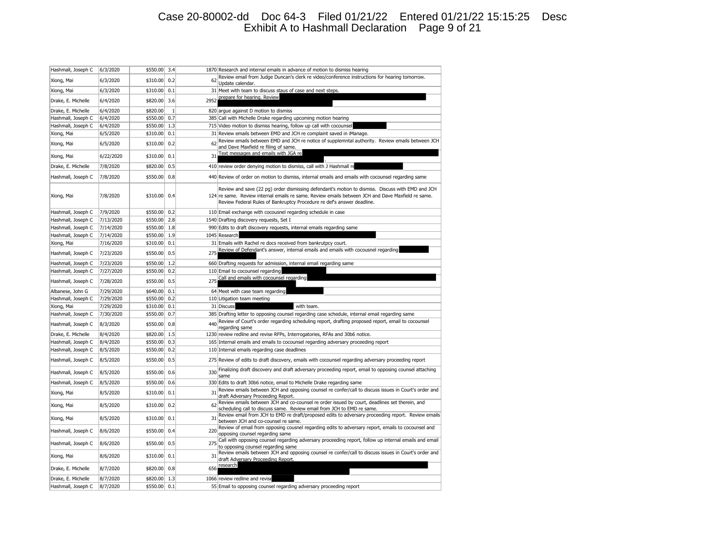## Case 20-80002-dd Doc 64-3 Filed 01/21/22 Entered 01/21/22 15:15:25 Desc Exhibit A to Hashmall Declaration Page 9 of 21

| Hashmall, Joseph C | 6/3/2020  | \$550.00 | 3.4          |      | 1870 Research and internal emails in advance of motion to dismiss hearing                                                                                                                                                                                                       |
|--------------------|-----------|----------|--------------|------|---------------------------------------------------------------------------------------------------------------------------------------------------------------------------------------------------------------------------------------------------------------------------------|
| Xiong, Mai         | 6/3/2020  | \$310.00 | 0.2          | 62   | Review email from Judge Duncan's clerk re video/conference instructions for hearing tomorrow.<br>Update calendar.                                                                                                                                                               |
| Xiong, Mai         | 6/3/2020  | \$310.00 | 0.1          |      | 31 Meet with team to discuss staus of case and next steps.                                                                                                                                                                                                                      |
| Drake, E. Michelle | 6/4/2020  | \$820.00 | 3.6          | 2952 | prepare for hearing. Review                                                                                                                                                                                                                                                     |
| Drake, E. Michelle | 6/4/2020  | \$820.00 | $\mathbf{1}$ |      | 820 argue against D motion to dismiss                                                                                                                                                                                                                                           |
| Hashmall, Joseph C | 6/4/2020  | \$550.00 | 0.7          |      | 385 Call with Michelle Drake regarding upcoming motion hearing                                                                                                                                                                                                                  |
| Hashmall, Joseph C | 6/4/2020  | \$550.00 | 1.3          |      | 715 Video motion to dismiss hearing, follow up call with cocounsel                                                                                                                                                                                                              |
| Xiong, Mai         | 6/5/2020  | \$310.00 | 0.1          |      | 31 Review emails between EMD and JCH re complaint saved in iManage.                                                                                                                                                                                                             |
| Xiong, Mai         | 6/5/2020  | \$310.00 | 0.2          | 62   | Review emails between EMD and JCH re notice of supplemntal authority. Review emails between JCH<br>and Dave Maxfield re filing of same.                                                                                                                                         |
| Xiong, Mai         | 6/22/2020 | \$310.00 | 0.1          | 31   | Text messages and emails with JGA re                                                                                                                                                                                                                                            |
| Drake, E. Michelle | 7/8/2020  | \$820.00 | 0.5          |      | 410 review order denying motion to dismiss, call with J Hashmall re                                                                                                                                                                                                             |
| Hashmall, Joseph C | 7/8/2020  | \$550.00 | 0.8          |      | 440 Review of order on motion to dismiss, internal emails and emails with cocounsel regarding same                                                                                                                                                                              |
| Xiong, Mai         | 7/8/2020  | \$310.00 | 0.4          |      | Review and save (22 pg) order dismissing defendant's motion to dismiss. Discuss with EMD and JCH<br>124 re same. Review internal emails re same. Review emails between JCH and Dave Maxfield re same.<br>Review Federal Rules of Bankruptcy Procedure re def's answer deadline. |
| Hashmall, Joseph C | 7/9/2020  | \$550.00 | 0.2          |      | 110 Email exchange with cocousnel regarding schedule in case                                                                                                                                                                                                                    |
| Hashmall, Joseph C | 7/13/2020 | \$550.00 | 2.8          |      | 1540 Drafting discovery requests, Set I                                                                                                                                                                                                                                         |
| Hashmall, Joseph C | 7/14/2020 | \$550.00 | 1.8          |      | 990 Edits to draft discovery requests, internal emails regarding same                                                                                                                                                                                                           |
| Hashmall, Joseph C | 7/14/2020 | \$550.00 | 1.9          |      | 1045 Research                                                                                                                                                                                                                                                                   |
| Xiong, Mai         | 7/16/2020 | \$310.00 | 0.1          |      | 31 Emails with Rachel re docs received from bankrutpcy court.                                                                                                                                                                                                                   |
| Hashmall, Joseph C | 7/23/2020 | \$550.00 | 0.5          | 275  | Review of Defendant's answer, internal emails and emails with cocousnel regarding                                                                                                                                                                                               |
| Hashmall, Joseph C | 7/23/2020 | \$550.00 | 1.2          |      | 660 Drafting requests for admission, internal email regarding same                                                                                                                                                                                                              |
| Hashmall, Joseph C | 7/27/2020 | \$550.00 | 0.2          |      | 110 Email to cocounsel regarding                                                                                                                                                                                                                                                |
| Hashmall, Joseph C | 7/28/2020 | \$550.00 | 0.5          | 275  | Call and emails with cocounsel regarding                                                                                                                                                                                                                                        |
| Albanese, John G   | 7/29/2020 | \$640.00 | 0.1          |      | 64 Meet with case team regarding                                                                                                                                                                                                                                                |
| Hashmall, Joseph C | 7/29/2020 | \$550.00 | 0.2          |      | 110 Litigation team meeting                                                                                                                                                                                                                                                     |
| Xiong, Mai         | 7/29/2020 | \$310.00 | 0.1          |      | 31 Discuss<br>with team.                                                                                                                                                                                                                                                        |
| Hashmall, Joseph C | 7/30/2020 | \$550.00 | 0.7          |      | 385 Drafting letter to opposing counsel regarding case schedule, internal email regarding same                                                                                                                                                                                  |
| Hashmall, Joseph C | 8/3/2020  | \$550.00 | 0.8          | 440  | Review of Court's order regarding scheduling report, drafting proposed report, email to cocounsel<br>regarding same                                                                                                                                                             |
| Drake, E. Michelle | 8/4/2020  | \$820.00 | 1.5          |      | 1230 review redline and revise RFPs, Interrogatories, RFAs and 30b6 notice.                                                                                                                                                                                                     |
| Hashmall, Joseph C | 8/4/2020  | \$550.00 | 0.3          |      | 165 Internal emails and emails to cocounsel regarding adversary proceeding report                                                                                                                                                                                               |
| Hashmall, Joseph C | 8/5/2020  | \$550.00 | 0.2          |      | 110 Internal emails regarding case deadlines                                                                                                                                                                                                                                    |
| Hashmall, Joseph C | 8/5/2020  | \$550.00 | 0.5          |      | 275 Review of edits to draft discovery, emails with cocounsel regarding adversary proceeding report                                                                                                                                                                             |
| Hashmall, Joseph C | 8/5/2020  | \$550.00 | 0.6          | 330  | Finalizing draft discovery and draft adversary proceeding report, email to opposing counsel attaching<br>same                                                                                                                                                                   |
| Hashmall, Joseph C | 8/5/2020  | \$550.00 | 0.6          |      | 330 Edits to draft 30b6 notice, email to Michelle Drake regarding same                                                                                                                                                                                                          |
| Xiong, Mai         | 8/5/2020  | \$310.00 | 0.1          | 31   | Review emails between JCH and opposing counsel re confer/call to discuss issues in Court's order and<br>draft Adversary Proceeding Report.                                                                                                                                      |
| Xiong, Mai         | 8/5/2020  | \$310.00 | 0.2          | 62   | Review emails between JCH and co-counsel re order issued by court, deadlines set therein, and<br>scheduling call to discuss same. Review email from JCH to EMD re same.                                                                                                         |
| Xiong, Mai         | 8/5/2020  | \$310.00 | 0.1          | 31   | Review email from JCH to EMD re draft/proposed edits to adversary proceeding report. Review emails<br>between JCH and co-counsel re same.                                                                                                                                       |
| Hashmall, Joseph C | 8/6/2020  | \$550.00 | 0.4          | 220  | Review of email from opposing cousnel regarding edits to adversary report, emails to cocounsel and<br>opposing counsel regarding same                                                                                                                                           |
| Hashmall, Joseph C | 8/6/2020  | \$550.00 | 0.5          | 275  | Call with opposing counsel regarding adversary proceeding report, follow up internal emails and email<br>to opposing counsel regarding same                                                                                                                                     |
| Xiong, Mai         | 8/6/2020  | \$310.00 | 0.1          | 31   | Review emails between JCH and opposing counsel re confer/call to discuss issues in Court's order and<br>draft Adversary Proceeding Report.                                                                                                                                      |
| Drake, E. Michelle | 8/7/2020  | \$820.00 | 0.8          | 656  | research                                                                                                                                                                                                                                                                        |
| Drake, E. Michelle | 8/7/2020  | \$820.00 | 1.3          |      | 1066 review redline and revise                                                                                                                                                                                                                                                  |
| Hashmall, Joseph C | 8/7/2020  | \$550.00 | 0.1          |      | 55 Email to opposing counsel regarding adversary proceeding report                                                                                                                                                                                                              |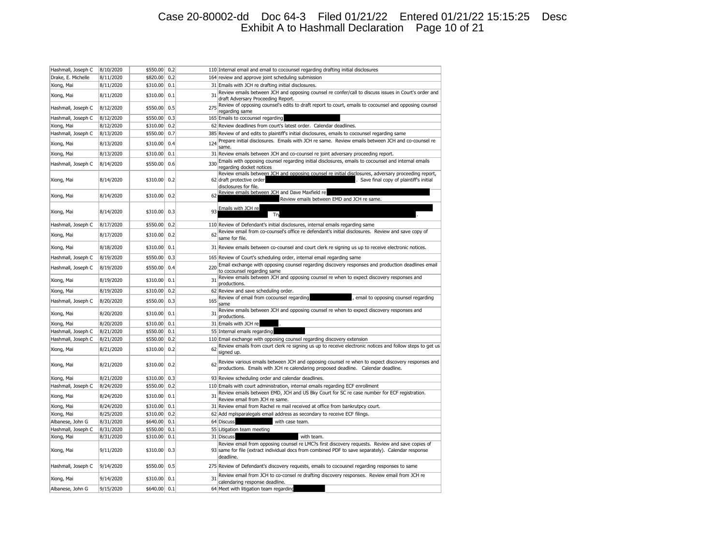## Case 20-80002-dd Doc 64-3 Filed 01/21/22 Entered 01/21/22 15:15:25 Desc Exhibit A to Hashmall Declaration Page 10 of 21

| Hashmall, Joseph C | 8/10/2020 | \$550.00 | 0.2 |     | 110 Internal email and email to cocounsel regarding drafting initial disclosures                                                                                                      |
|--------------------|-----------|----------|-----|-----|---------------------------------------------------------------------------------------------------------------------------------------------------------------------------------------|
| Drake, E. Michelle | 8/11/2020 | \$820.00 | 0.2 |     | 164 review and approve joint scheduling submission                                                                                                                                    |
| Xiong, Mai         | 8/11/2020 | \$310.00 | 0.1 |     | 31 Emails with JCH re drafting initial disclosures.                                                                                                                                   |
| Xiong, Mai         | 8/11/2020 | \$310.00 | 0.1 | 31  | Review emails between JCH and opposing counsel re confer/call to discuss issues in Court's order and                                                                                  |
|                    |           |          |     |     | draft Adversary Proceeding Report.                                                                                                                                                    |
| Hashmall, Joseph C | 8/12/2020 | \$550.00 | 0.5 | 275 | Review of opposing counsel's edits to draft report to court, emails to cocounsel and opposing counsel<br>regarding same                                                               |
| Hashmall, Joseph C | 8/12/2020 | \$550.00 | 0.3 |     | 165 Emails to cocounsel regarding                                                                                                                                                     |
| Xiong, Mai         | 8/12/2020 | \$310.00 | 0.2 |     | 62 Review deadlines from court's latest order. Calendar deadlines.                                                                                                                    |
| Hashmall, Joseph C | 8/13/2020 | \$550.00 | 0.7 |     | 385 Review of and edits to plaintiff's initial disclosures, emails to cocounsel regarding same                                                                                        |
|                    |           |          |     |     | Prepare initial disclosures. Emails with JCH re same. Review emails between JCH and co-counsel re                                                                                     |
| Xiong, Mai         | 8/13/2020 | \$310.00 | 0.4 | 124 | same.                                                                                                                                                                                 |
| Xiong, Mai         | 8/13/2020 | \$310.00 | 0.1 |     | 31 Review emails between JCH and co-counsel re joint adversary proceeding report.                                                                                                     |
| Hashmall, Joseph C | 8/14/2020 | \$550.00 | 0.6 | 330 | Emails with opposing counsel regarding initial disclosures, emails to cocounsel and internal emails                                                                                   |
|                    |           |          |     |     | regarding docket notices<br>Review emails between JCH and opposing counsel re initial disclosures, adversary proceeding report,                                                       |
| Xiong, Mai         | 8/14/2020 | \$310.00 | 0.2 |     | 62 draft protective order<br>Save final copy of plaintiff's initial                                                                                                                   |
|                    |           |          |     |     | disclosures for file.                                                                                                                                                                 |
| Xiong, Mai         | 8/14/2020 | \$310.00 | 0.2 | 62  | Review emails between JCH and Dave Maxfield re                                                                                                                                        |
|                    |           |          |     |     | Review emails between EMD and JCH re same.                                                                                                                                            |
| Xiong, Mai         | 8/14/2020 | \$310.00 | 0.3 | q٦  | Emails with JCH re                                                                                                                                                                    |
|                    |           |          |     |     | <b>T<sub>N</sub></b>                                                                                                                                                                  |
| Hashmall, Joseph C | 8/17/2020 | \$550.00 | 0.2 |     | 110 Review of Defendant's initial disclosures, internal emails regarding same                                                                                                         |
| Xiong, Mai         | 8/17/2020 | \$310.00 | 0.2 | 62  | Review email from co-counsel's office re defendant's initial disclosures. Review and save copy of                                                                                     |
|                    |           |          |     |     | same for file.                                                                                                                                                                        |
| Xiong, Mai         | 8/18/2020 | \$310.00 | 0.1 |     | 31 Review emails between co-counsel and court clerk re signing us up to receive electronic notices.                                                                                   |
| Hashmall, Joseph C | 8/19/2020 | \$550.00 | 0.3 |     | 165 Review of Court's scheduling order, internal email regarding same                                                                                                                 |
|                    |           |          |     |     | Email exchange with opposing counsel regarding discovery responses and production deadlines email                                                                                     |
| Hashmall, Joseph C | 8/19/2020 | \$550.00 | 0.4 | 220 | to cocounsel regarding same                                                                                                                                                           |
| Xiong, Mai         | 8/19/2020 | \$310.00 | 0.1 | 31  | Review emails between JCH and opposing counsel re when to expect discovery responses and                                                                                              |
| Xiong, Mai         | 8/19/2020 | \$310.00 | 0.2 |     | productions.<br>62 Review and save scheduling order.                                                                                                                                  |
|                    |           |          |     |     | Review of email from cocounsel regarding<br>email to opposing counsel regarding                                                                                                       |
| Hashmall, Joseph C | 8/20/2020 | \$550.00 | 0.3 | 165 | same                                                                                                                                                                                  |
| Xiong, Mai         | 8/20/2020 | \$310.00 | 0.1 | 31  | Review emails between JCH and opposing counsel re when to expect discovery responses and                                                                                              |
|                    |           |          |     |     | productions.                                                                                                                                                                          |
| Xiong, Mai         | 8/20/2020 | \$310.00 | 0.1 |     | 31 Emails with JCH re                                                                                                                                                                 |
| Hashmall, Joseph C | 8/21/2020 | \$550.00 | 0.1 |     | 55 Internal emails regarding                                                                                                                                                          |
| Hashmall, Joseph C | 8/21/2020 | \$550.00 | 0.2 |     | 110 Email exchange with opposing counsel regarding discovery extension                                                                                                                |
| Xiong, Mai         | 8/21/2020 | \$310.00 | 0.2 | 62  | Review emails from court clerk re signing us up to receive electronic notices and follow steps to get us<br>signed up.                                                                |
|                    |           |          |     |     |                                                                                                                                                                                       |
| Xiong, Mai         | 8/21/2020 | \$310.00 | 0.2 | 62  | Review various emails between JCH and opposing counsel re when to expect discovery responses and<br>productions. Emails with JCH re calendaring proposed deadline. Calendar deadline. |
|                    |           |          |     |     |                                                                                                                                                                                       |
| Xiong, Mai         | 8/21/2020 | \$310.00 | 0.3 |     | 93 Review scheduling order and calendar deadlines.                                                                                                                                    |
| Hashmall, Joseph C | 8/24/2020 | \$550.00 | 0.2 |     | 110 Emails with court administration, internal emails regarding ECF enrollment                                                                                                        |
| Xiong, Mai         | 8/24/2020 | \$310.00 | 0.1 | 31  | Review emails between EMD, JCH and US Bky Court for SC re case number for ECF registration.                                                                                           |
| Xiong, Mai         | 8/24/2020 | \$310.00 | 0.1 |     | Review email from JCH re same.<br>31 Review email from Rachel re mail received at office from bankrutpcy court.                                                                       |
| Xiong, Mai         | 8/25/2020 | \$310.00 | 0.2 |     | 62 Add mplsparalegals email address as secondary to receive ECF filings.                                                                                                              |
| Albanese, John G   | 8/31/2020 | \$640.00 | 0.1 |     | 64 Discuss<br>with case team.                                                                                                                                                         |
| Hashmall, Joseph C | 8/31/2020 | \$550.00 | 0.1 |     | 55 Litigation team meeting                                                                                                                                                            |
| Xiong, Mai         | 8/31/2020 | \$310.00 | 0.1 |     | 31 Discuss<br>with team.                                                                                                                                                              |
|                    |           |          |     |     | Review email from opposing counsel re LMC?s first discovery requests. Review and save copies of                                                                                       |
| Xiong, Mai         | 9/11/2020 | \$310.00 | 0.3 |     | 93 same for file (extract individual docs from combined PDF to save separately). Calendar response                                                                                    |
|                    |           |          |     |     | deadline.                                                                                                                                                                             |
| Hashmall, Joseph C | 9/14/2020 | \$550.00 | 0.5 |     | 275 Review of Defendant's discovery requests, emails to cocousnel regarding responses to same                                                                                         |
|                    |           |          |     |     | Review email from JCH to co-consel re drafting discovery responses. Review email from JCH re                                                                                          |
| Xiong, Mai         | 9/14/2020 | \$310.00 | 0.1 | 31  | calendaring response deadline.                                                                                                                                                        |
| Albanese, John G   | 9/15/2020 | \$640.00 | 0.1 |     | 64 Meet with litigation team regarding                                                                                                                                                |
|                    |           |          |     |     |                                                                                                                                                                                       |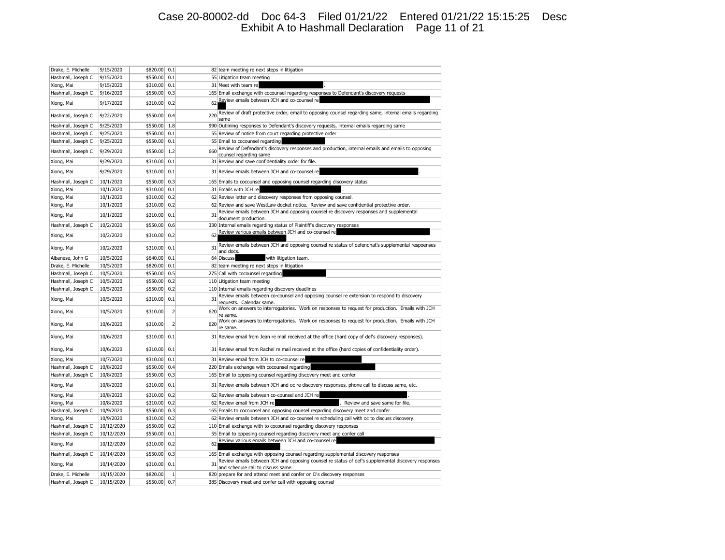## Case 20-80002-dd Doc 64-3 Filed 01/21/22 Entered 01/21/22 15:15:25 Desc Exhibit A to Hashmall Declaration Page 11 of 21

| Drake, E. Michelle | 9/15/2020  | \$820.00 | 0.1            |     | 82 team meeting re next steps in litigation                                                                                              |
|--------------------|------------|----------|----------------|-----|------------------------------------------------------------------------------------------------------------------------------------------|
| Hashmall, Joseph C | 9/15/2020  | \$550.00 | 0.1            |     | 55 Litigation team meeting                                                                                                               |
| Xiong, Mai         | 9/15/2020  | \$310.00 | 0.1            |     | 31 Meet with team re                                                                                                                     |
| Hashmall, Joseph C | 9/16/2020  | \$550.00 | 0.3            |     | 165 Email exchange with cocounsel regarding responses to Defendant's discovery requests                                                  |
| Xiong, Mai         | 9/17/2020  | \$310.00 | 0.2            | 62  | Review emails between JCH and co-counsel re                                                                                              |
| Hashmall, Joseph C | 9/22/2020  | \$550.00 | 0.4            | 220 | Review of draft protective order, email to opposing counsel regarding same, internal emails regarding<br>same                            |
| Hashmall, Joseph C | 9/25/2020  | \$550.00 | 1.8            |     | 990 Outlining responses to Defendant's discovery requests, internal emails regarding same                                                |
| Hashmall, Joseph C | 9/25/2020  | \$550.00 | 0.1            |     | 55 Review of notice from court regarding protective order                                                                                |
| Hashmall, Joseph C | 9/25/2020  | \$550.00 | 0.1            |     | 55 Email to cocounsel regarding                                                                                                          |
| Hashmall, Joseph C | 9/29/2020  | \$550.00 | 1.2            | 660 | Review of Defendant's discovery responses and production, internal emails and emails to opposing<br>counsel regarding same               |
| Xiong, Mai         | 9/29/2020  | \$310.00 | 0.1            |     | 31 Review and save confidentiality order for file.                                                                                       |
| Xiong, Mai         | 9/29/2020  | \$310.00 | 0.1            |     | 31 Review emails between JCH and co-counsel re                                                                                           |
| Hashmall, Joseph C | 10/1/2020  | \$550.00 | 0.3            |     | 165 Emails to cocounsel and opposing counsel regarding discovery status                                                                  |
| Xiong, Mai         | 10/1/2020  | \$310.00 | 0.1            |     | 31 Emails with JCH re                                                                                                                    |
| Xiong, Mai         | 10/1/2020  | \$310.00 | 0.2            |     | 62 Review letter and discovery responses from opposing counsel.                                                                          |
| Xiong, Mai         | 10/1/2020  | \$310.00 | 0.2            |     | 62 Review and save WestLaw docket notice. Review and save confidential protective order.                                                 |
| Xiong, Mai         | 10/1/2020  | \$310.00 | 0.1            | 31  | Review emails between JCH and opposing counsel re discovery responses and supplemental<br>document production.                           |
| Hashmall, Joseph C | 10/2/2020  | \$550.00 | 0.6            |     | 330 Internal emails regarding status of Plaintiff's discovery responses                                                                  |
| Xiong, Mai         | 10/2/2020  | \$310.00 | 0.2            | 62  | Review various emails between JCH and co-counsel re                                                                                      |
| Xiong, Mai         | 10/2/2020  | \$310.00 | 0.1            | 31  | Review emails between JCH and opposing counsel re status of defendnat's supplemental respoenses<br>and docs                              |
| Albanese, John G   | 10/5/2020  | \$640.00 | 0.1            |     | 64 Discuss<br>with litigation team.                                                                                                      |
| Drake, E. Michelle | 10/5/2020  | \$820.00 | 0.1            |     | 82 team meeting re next steps in litigation                                                                                              |
| Hashmall, Joseph C | 10/5/2020  | \$550.00 | 0.5            |     | 275 Call with cocounsel regarding                                                                                                        |
| Hashmall, Joseph C | 10/5/2020  | \$550.00 | 0.2            |     | 110 Litigation team meeting                                                                                                              |
| Hashmall, Joseph C | 10/5/2020  | \$550.00 | 0.2            |     | 110 Internal emails regarding discovery deadlines                                                                                        |
| Xiong, Mai         | 10/5/2020  | \$310.00 | 0.1            | 31  | Review emails between co-counsel and opposing counsel re extension to respond to discovery<br>requests. Calendar same.                   |
| Xiong, Mai         | 10/5/2020  | \$310.00 | $\overline{2}$ | 620 | Work on answers to interrogatories. Work on responses to request for production. Emails with JCH<br>re same.                             |
| Xiong, Mai         | 10/6/2020  | \$310.00 | $\overline{2}$ | 620 | Work on answers to interrogatories. Work on responses to request for production. Emails with JCH<br>re same.                             |
| Xiong, Mai         | 10/6/2020  | \$310.00 | 0.1            |     | 31 Review email from Jean re mail received at the office (hard copy of def's discovery responses).                                       |
| Xiong, Mai         | 10/6/2020  | \$310.00 | 0.1            |     | 31 Review email from Rachel re mail received at the office (hard copies of confidentiality order).                                       |
| Xiong, Mai         | 10/7/2020  | \$310.00 | 0.1            |     | 31 Review email from JCH to co-counsel re                                                                                                |
| Hashmall, Joseph C | 10/8/2020  | \$550.00 | 0.4            |     | 220 Emails exchange with cocounsel regarding                                                                                             |
| Hashmall, Joseph C | 10/8/2020  | \$550.00 | 0.3            |     | 165 Email to opposing counsel regarding discovery meet and confer                                                                        |
| Xiong, Mai         | 10/8/2020  | \$310.00 | 0.1            |     | 31 Review emails between JCH and oc re discovery responses, phone call to discuss same, etc.                                             |
| Xiong, Mai         | 10/8/2020  | \$310.00 | 0.2            |     | 62 Review emails between co-counsel and JCH re                                                                                           |
| Xiong, Mai         | 10/8/2020  | \$310.00 | 0.2            |     | 62 Review email from JCH re<br>. Review and save same for file.                                                                          |
| Hashmall, Joseph C | 10/9/2020  | \$550.00 | 0.3            |     | 165 Emails to cocounsel and opposing counsel regarding discovery meet and confer                                                         |
| Xiong, Mai         | 10/9/2020  | \$310.00 | 0.2            |     | 62 Review emails between JCH and co-counsel re scheduling call with oc to discuss discovery.                                             |
| Hashmall, Joseph C | 10/12/2020 | \$550.00 | 0.2            |     | 110 Email exchange with to cocounsel regarding discovery responses                                                                       |
| Hashmall, Joseph C | 10/12/2020 | \$550.00 | 0.1            |     | 55 Email to opposing counsel regarding discovery meet and confer call                                                                    |
| Xiong, Mai         | 10/12/2020 | \$310.00 | 0.2            | 62  | Review various emails between JCH and co-counsel re                                                                                      |
| Hashmall, Joseph C | 10/14/2020 | \$550.00 | 0.3            |     | 165 Email exchange with opposing counsel regarding supplemental discovery responses                                                      |
| Xiong, Mai         | 10/14/2020 | \$310.00 | 0.1            | 31  | Review emails between JCH and opposing counsel re status of def's supplemental discovery responses<br>and schedule call to discuss same. |
| Drake, E. Michelle | 10/15/2020 | \$820.00 | $\mathbf{1}$   |     | 820 prepare for and attend meet and confer on D's discovery responses                                                                    |
| Hashmall, Joseph C | 10/15/2020 | \$550.00 | 0.7            |     | 385 Discovery meet and confer call with opposing counsel                                                                                 |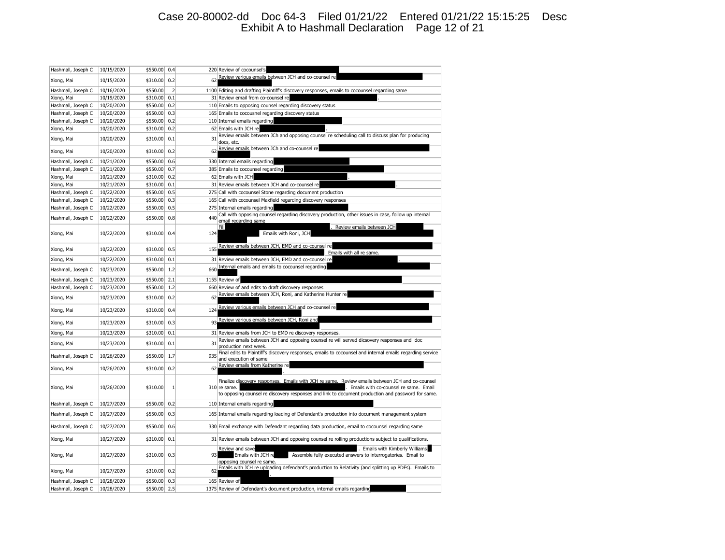## Case 20-80002-dd Doc 64-3 Filed 01/21/22 Entered 01/21/22 15:15:25 Desc Exhibit A to Hashmall Declaration Page 12 of 21

| Hashmall, Joseph C | 10/15/2020 | \$550.00 | 0.4            |     | 220 Review of cocounsel's                                                                                                                                                                                                                                     |
|--------------------|------------|----------|----------------|-----|---------------------------------------------------------------------------------------------------------------------------------------------------------------------------------------------------------------------------------------------------------------|
| Xiong, Mai         | 10/15/2020 | \$310.00 | 0.2            | 62  | Review various emails between JCH and co-counsel re                                                                                                                                                                                                           |
| Hashmall, Joseph C | 10/16/2020 | \$550.00 | $\overline{2}$ |     | 1100 Editing and drafting Plaintiff's discovery responses, emails to cocounsel regarding same                                                                                                                                                                 |
| Xiong, Mai         | 10/19/2020 | \$310.00 | 0.1            |     | 31 Review email from co-counsel re                                                                                                                                                                                                                            |
| Hashmall, Joseph C | 10/20/2020 | \$550.00 | 0.2            |     | 110 Emails to opposing counsel regarding discovery status                                                                                                                                                                                                     |
| Hashmall, Joseph C | 10/20/2020 | \$550.00 | 0.3            |     | 165 Emails to cocousnel regarding discovery status                                                                                                                                                                                                            |
| Hashmall, Joseph C | 10/20/2020 | \$550.00 | 0.2            |     | 110 Internal emails regarding                                                                                                                                                                                                                                 |
| Xiong, Mai         | 10/20/2020 | \$310.00 | 0.2            |     | 62 Emails with JCH re                                                                                                                                                                                                                                         |
| Xiong, Mai         | 10/20/2020 | \$310.00 | 0.1            | 31  | Review emails between JCh and opposing counsel re scheduling call to discuss plan for producing<br>docs, etc.                                                                                                                                                 |
| Xiong, Mai         | 10/20/2020 | \$310.00 | 0.2            | 62  | Review emails between JCh and co-counsel re                                                                                                                                                                                                                   |
| Hashmall, Joseph C | 10/21/2020 | \$550.00 | 0.6            |     | 330 Internal emails regarding                                                                                                                                                                                                                                 |
| Hashmall, Joseph C | 10/21/2020 | \$550.00 | 0.7            |     | 385 Emails to cocounsel regarding                                                                                                                                                                                                                             |
| Xiong, Mai         | 10/21/2020 | \$310.00 | 0.2            |     | 62 Emails with JCH                                                                                                                                                                                                                                            |
| Xiong, Mai         | 10/21/2020 | \$310.00 | 0.1            |     | 31 Review emails between JCH and co-counsel re                                                                                                                                                                                                                |
| Hashmall, Joseph C | 10/22/2020 | \$550.00 | 0.5            |     | 275 Call with cocounsel Stone regarding document production                                                                                                                                                                                                   |
| Hashmall, Joseph C | 10/22/2020 | \$550.00 | 0.3            |     | 165 Call with cocounsel Maxfield regarding discovery responses                                                                                                                                                                                                |
| Hashmall, Joseph C | 10/22/2020 | \$550.00 | 0.5            |     | 275 Internal emails regarding                                                                                                                                                                                                                                 |
| Hashmall, Joseph C | 10/22/2020 | \$550.00 | 0.8            | 440 | Call with opposing counsel regarding discovery production, other issues in case, follow up internal<br>email regarding same                                                                                                                                   |
| Xiong, Mai         | 10/22/2020 | \$310.00 | 0.4            | 124 | Fill<br>Review emails between JCH<br>Emails with Roni, JCH                                                                                                                                                                                                    |
|                    |            |          |                |     | Review emails between JCH, EMD and co-counsel re                                                                                                                                                                                                              |
| Xiong, Mai         | 10/22/2020 | \$310.00 | 0.5            | 155 | Emails with all re same.                                                                                                                                                                                                                                      |
| Xiong, Mai         | 10/22/2020 | \$310.00 | 0.1            |     | 31 Review emails between JCH, EMD and co-counsel re                                                                                                                                                                                                           |
| Hashmall, Joseph C | 10/23/2020 | \$550.00 | 1.2            | 660 | Internal emails and emails to cocounsel regarding                                                                                                                                                                                                             |
| Hashmall, Joseph C | 10/23/2020 | \$550.00 | 2.1            |     | 1155 Review of                                                                                                                                                                                                                                                |
| Hashmall, Joseph C | 10/23/2020 | \$550.00 | 1.2            |     | 660 Review of and edits to draft discovery responses                                                                                                                                                                                                          |
| Xiong, Mai         | 10/23/2020 | \$310.00 | 0.2            | 62  | Review emails between JCH, Roni, and Katherine Hunter re                                                                                                                                                                                                      |
| Xiong, Mai         | 10/23/2020 | \$310.00 | 0.4            | 124 | Review various emails between JCH and co-counsel re                                                                                                                                                                                                           |
| Xiong, Mai         | 10/23/2020 | \$310.00 | 0.3            | 93  | Review various emails between JCH, Roni and                                                                                                                                                                                                                   |
| Xiong, Mai         | 10/23/2020 | \$310.00 | 0.1            |     | 31 Review emails from JCH to EMD re discovery responses.                                                                                                                                                                                                      |
| Xiong, Mai         | 10/23/2020 | \$310.00 | 0.1            | 31  | Review emails between JCH and opposing counsel re will served dicsovery responses and doc<br>production next week.                                                                                                                                            |
| Hashmall, Joseph C | 10/26/2020 | \$550.00 | 1.7            | 935 | Final edits to Plaintiff's discovery responses, emails to cocounsel and internal emails regarding service<br>and execution of same                                                                                                                            |
| Xiong, Mai         | 10/26/2020 | \$310.00 | 0.2            | 62  | Review emails from Katherine re                                                                                                                                                                                                                               |
| Xiong, Mai         | 10/26/2020 | \$310.00 | $\mathbf{1}$   |     | Finalize discovery responses. Emails with JCH re same. Review emails between JCH and co-counsel<br>310 re same.<br>Emails with co-counsel re same. Email<br>to opposing counsel re discovery responses and link to document production and password for same. |
| Hashmall, Joseph C | 10/27/2020 | \$550.00 | 0.2            |     | 110 Internal emails regarding                                                                                                                                                                                                                                 |
| Hashmall, Joseph C | 10/27/2020 | \$550.00 | 0.3            |     | 165 Internal emails regarding loading of Defendant's production into document management system                                                                                                                                                               |
| Hashmall, Joseph C | 10/27/2020 | \$550.00 | 0.6            |     | 330 Email exchange with Defendant regarding data production, email to cocounsel regarding same                                                                                                                                                                |
| Xiong, Mai         | 10/27/2020 | \$310.00 | 0.1            |     | 31 Review emails between JCH and opposing counsel re rolling productions subject to qualifications.                                                                                                                                                           |
| Xiong, Mai         | 10/27/2020 | \$310.00 | 0.3            | 93  | Review and save<br>. Emails with Kimberly Williams<br>Emails with JCH re<br>Assemble fully executed answers to interrogatories. Email to<br>opposing counsel re same.                                                                                         |
| Xiong, Mai         | 10/27/2020 | \$310.00 | 0.2            | 62  | Emails with JCH re uploading defendant's production to Relativity (and splitting up PDFs). Emails to                                                                                                                                                          |
| Hashmall, Joseph C | 10/28/2020 | \$550.00 | 0.3            |     | 165 Review of                                                                                                                                                                                                                                                 |
| Hashmall, Joseph C | 10/28/2020 | \$550.00 | 2.5            |     | 1375 Review of Defendant's document production, internal emails regarding                                                                                                                                                                                     |
|                    |            |          |                |     |                                                                                                                                                                                                                                                               |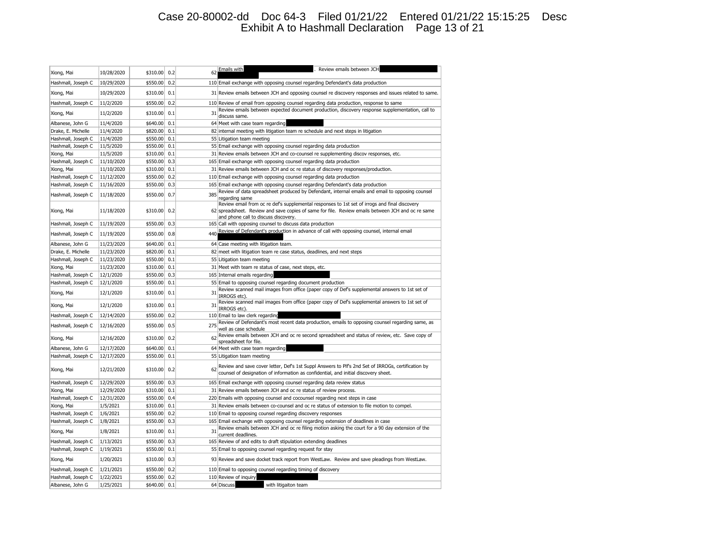## Case 20-80002-dd Doc 64-3 Filed 01/21/22 Entered 01/21/22 15:15:25 Desc Exhibit A to Hashmall Declaration Page 13 of 21

| 10/28/2020<br>\$310.00<br>0.2<br>62<br>Xiong, Mai<br>0.2<br>Hashmall, Joseph C<br>10/29/2020<br>\$550.00<br>110 Email exchange with opposing counsel regarding Defendant's data production<br>10/29/2020<br>\$310.00<br>0.1<br>Xiong, Mai<br>31 Review emails between JCH and opposing counsel re discovery responses and issues related to same.<br>0.2<br>11/2/2020<br>\$550.00<br>110 Review of email from opposing counsel regarding data production, response to same<br>Hashmall, Joseph C<br>Review emails between expected document production, discovery response supplementation, call to<br>11/2/2020<br>31<br>\$310.00<br>0.1<br>Xiong, Mai<br>discuss same.<br>Albanese, John G<br>11/4/2020<br>\$640.00<br>0.1<br>64 Meet with case team regarding<br>Drake, E. Michelle<br>11/4/2020<br>\$820.00<br>0.1<br>82 internal meeting with litigation team re schedule and next steps in litigation<br>Hashmall, Joseph C<br>11/4/2020<br>\$550.00<br>0.1<br>55 Litigation team meeting<br>Hashmall, Joseph C<br>11/5/2020<br>\$550.00<br>0.1<br>55 Email exchange with opposing counsel regarding data production<br>11/5/2020<br>\$310.00<br>0.1<br>31 Review emails between JCH and co-counsel re supplementing discov responses, etc.<br>Xiong, Mai<br>0.3<br>Hashmall, Joseph C<br>11/10/2020<br>\$550.00<br>165 Email exchange with opposing counsel regarding data production<br>Xiong, Mai<br>11/10/2020<br>\$310.00<br>0.1<br>31 Review emails between JCH and oc re status of discovery responses/production.<br>0.2<br>11/12/2020<br>\$550.00<br>110 Email exchange with opposing counsel regarding data production<br>Hashmall, Joseph C<br>0.3<br>165 Email exchange with opposing counsel regarding Defendant's data production<br>Hashmall, Joseph C<br>11/16/2020<br>\$550.00<br>Review of data spreadsheet produced by Defendant, internal emails and email to opposing counsel<br>385<br>Hashmall, Joseph C<br>11/18/2020<br>\$550.00<br>0.7<br>regarding same<br>Review email from oc re def's supplemental responses to 1st set of irrogs and final discovery<br>11/18/2020<br>\$310.00<br>0.2<br>62 spreadsheet. Review and save copies of same for file. Review emails between JCH and oc re same<br>Xiong, Mai<br>and phone call to discuss discovery.<br>\$550.00 0.3<br>Hashmall, Joseph C<br>11/19/2020<br>165 Call with opposing counsel to discuss data production<br>Review of Defendant's production in advance of call with opposing counsel, internal email<br>440<br>\$550.00<br>0.8<br>Hashmall, Joseph C<br>11/19/2020<br>\$640.00<br>0.1<br>Albanese, John G<br>11/23/2020<br>64 Case meeting with litigation team.<br>0.1<br>Drake, E. Michelle<br>11/23/2020<br>\$820.00<br>82 meet with litigation team re case status, deadlines, and next steps<br>11/23/2020<br>0.1<br>Hashmall, Joseph C<br>\$550.00<br>55 Litigation team meeting<br>0.1<br>31 Meet with team re status of case, next steps, etc.<br>11/23/2020<br>\$310.00<br>Xiong, Mai<br>165 Internal emails regarding<br>Hashmall, Joseph C<br>12/1/2020<br>\$550.00<br>0.3<br>Hashmall, Joseph C<br>0.1<br>55 Email to opposing counsel regarding document production<br>12/1/2020<br>\$550.00<br>Review scanned mail images from office (paper copy of Def's supplemental answers to 1st set of<br>Xiong, Mai<br>12/1/2020<br>\$310.00<br>0.1<br>31<br>IRROGS etc) |
|-------------------------------------------------------------------------------------------------------------------------------------------------------------------------------------------------------------------------------------------------------------------------------------------------------------------------------------------------------------------------------------------------------------------------------------------------------------------------------------------------------------------------------------------------------------------------------------------------------------------------------------------------------------------------------------------------------------------------------------------------------------------------------------------------------------------------------------------------------------------------------------------------------------------------------------------------------------------------------------------------------------------------------------------------------------------------------------------------------------------------------------------------------------------------------------------------------------------------------------------------------------------------------------------------------------------------------------------------------------------------------------------------------------------------------------------------------------------------------------------------------------------------------------------------------------------------------------------------------------------------------------------------------------------------------------------------------------------------------------------------------------------------------------------------------------------------------------------------------------------------------------------------------------------------------------------------------------------------------------------------------------------------------------------------------------------------------------------------------------------------------------------------------------------------------------------------------------------------------------------------------------------------------------------------------------------------------------------------------------------------------------------------------------------------------------------------------------------------------------------------------------------------------------------------------------------------------------------------------------------------------------------------------------------------------------------------------------------------------------------------------------------------------------------------------------------------------------------------------------------------------------------------------------------------------------------------------------------------------------------------------------------------------------------------------------------------------------------------------------------------------------------------------------------------------------------------------------------------------------------------------------------------------------------------------------------------------------------------------------------------------|
|                                                                                                                                                                                                                                                                                                                                                                                                                                                                                                                                                                                                                                                                                                                                                                                                                                                                                                                                                                                                                                                                                                                                                                                                                                                                                                                                                                                                                                                                                                                                                                                                                                                                                                                                                                                                                                                                                                                                                                                                                                                                                                                                                                                                                                                                                                                                                                                                                                                                                                                                                                                                                                                                                                                                                                                                                                                                                                                                                                                                                                                                                                                                                                                                                                                                                                                                                                               |
|                                                                                                                                                                                                                                                                                                                                                                                                                                                                                                                                                                                                                                                                                                                                                                                                                                                                                                                                                                                                                                                                                                                                                                                                                                                                                                                                                                                                                                                                                                                                                                                                                                                                                                                                                                                                                                                                                                                                                                                                                                                                                                                                                                                                                                                                                                                                                                                                                                                                                                                                                                                                                                                                                                                                                                                                                                                                                                                                                                                                                                                                                                                                                                                                                                                                                                                                                                               |
|                                                                                                                                                                                                                                                                                                                                                                                                                                                                                                                                                                                                                                                                                                                                                                                                                                                                                                                                                                                                                                                                                                                                                                                                                                                                                                                                                                                                                                                                                                                                                                                                                                                                                                                                                                                                                                                                                                                                                                                                                                                                                                                                                                                                                                                                                                                                                                                                                                                                                                                                                                                                                                                                                                                                                                                                                                                                                                                                                                                                                                                                                                                                                                                                                                                                                                                                                                               |
|                                                                                                                                                                                                                                                                                                                                                                                                                                                                                                                                                                                                                                                                                                                                                                                                                                                                                                                                                                                                                                                                                                                                                                                                                                                                                                                                                                                                                                                                                                                                                                                                                                                                                                                                                                                                                                                                                                                                                                                                                                                                                                                                                                                                                                                                                                                                                                                                                                                                                                                                                                                                                                                                                                                                                                                                                                                                                                                                                                                                                                                                                                                                                                                                                                                                                                                                                                               |
|                                                                                                                                                                                                                                                                                                                                                                                                                                                                                                                                                                                                                                                                                                                                                                                                                                                                                                                                                                                                                                                                                                                                                                                                                                                                                                                                                                                                                                                                                                                                                                                                                                                                                                                                                                                                                                                                                                                                                                                                                                                                                                                                                                                                                                                                                                                                                                                                                                                                                                                                                                                                                                                                                                                                                                                                                                                                                                                                                                                                                                                                                                                                                                                                                                                                                                                                                                               |
|                                                                                                                                                                                                                                                                                                                                                                                                                                                                                                                                                                                                                                                                                                                                                                                                                                                                                                                                                                                                                                                                                                                                                                                                                                                                                                                                                                                                                                                                                                                                                                                                                                                                                                                                                                                                                                                                                                                                                                                                                                                                                                                                                                                                                                                                                                                                                                                                                                                                                                                                                                                                                                                                                                                                                                                                                                                                                                                                                                                                                                                                                                                                                                                                                                                                                                                                                                               |
|                                                                                                                                                                                                                                                                                                                                                                                                                                                                                                                                                                                                                                                                                                                                                                                                                                                                                                                                                                                                                                                                                                                                                                                                                                                                                                                                                                                                                                                                                                                                                                                                                                                                                                                                                                                                                                                                                                                                                                                                                                                                                                                                                                                                                                                                                                                                                                                                                                                                                                                                                                                                                                                                                                                                                                                                                                                                                                                                                                                                                                                                                                                                                                                                                                                                                                                                                                               |
|                                                                                                                                                                                                                                                                                                                                                                                                                                                                                                                                                                                                                                                                                                                                                                                                                                                                                                                                                                                                                                                                                                                                                                                                                                                                                                                                                                                                                                                                                                                                                                                                                                                                                                                                                                                                                                                                                                                                                                                                                                                                                                                                                                                                                                                                                                                                                                                                                                                                                                                                                                                                                                                                                                                                                                                                                                                                                                                                                                                                                                                                                                                                                                                                                                                                                                                                                                               |
|                                                                                                                                                                                                                                                                                                                                                                                                                                                                                                                                                                                                                                                                                                                                                                                                                                                                                                                                                                                                                                                                                                                                                                                                                                                                                                                                                                                                                                                                                                                                                                                                                                                                                                                                                                                                                                                                                                                                                                                                                                                                                                                                                                                                                                                                                                                                                                                                                                                                                                                                                                                                                                                                                                                                                                                                                                                                                                                                                                                                                                                                                                                                                                                                                                                                                                                                                                               |
|                                                                                                                                                                                                                                                                                                                                                                                                                                                                                                                                                                                                                                                                                                                                                                                                                                                                                                                                                                                                                                                                                                                                                                                                                                                                                                                                                                                                                                                                                                                                                                                                                                                                                                                                                                                                                                                                                                                                                                                                                                                                                                                                                                                                                                                                                                                                                                                                                                                                                                                                                                                                                                                                                                                                                                                                                                                                                                                                                                                                                                                                                                                                                                                                                                                                                                                                                                               |
|                                                                                                                                                                                                                                                                                                                                                                                                                                                                                                                                                                                                                                                                                                                                                                                                                                                                                                                                                                                                                                                                                                                                                                                                                                                                                                                                                                                                                                                                                                                                                                                                                                                                                                                                                                                                                                                                                                                                                                                                                                                                                                                                                                                                                                                                                                                                                                                                                                                                                                                                                                                                                                                                                                                                                                                                                                                                                                                                                                                                                                                                                                                                                                                                                                                                                                                                                                               |
|                                                                                                                                                                                                                                                                                                                                                                                                                                                                                                                                                                                                                                                                                                                                                                                                                                                                                                                                                                                                                                                                                                                                                                                                                                                                                                                                                                                                                                                                                                                                                                                                                                                                                                                                                                                                                                                                                                                                                                                                                                                                                                                                                                                                                                                                                                                                                                                                                                                                                                                                                                                                                                                                                                                                                                                                                                                                                                                                                                                                                                                                                                                                                                                                                                                                                                                                                                               |
|                                                                                                                                                                                                                                                                                                                                                                                                                                                                                                                                                                                                                                                                                                                                                                                                                                                                                                                                                                                                                                                                                                                                                                                                                                                                                                                                                                                                                                                                                                                                                                                                                                                                                                                                                                                                                                                                                                                                                                                                                                                                                                                                                                                                                                                                                                                                                                                                                                                                                                                                                                                                                                                                                                                                                                                                                                                                                                                                                                                                                                                                                                                                                                                                                                                                                                                                                                               |
|                                                                                                                                                                                                                                                                                                                                                                                                                                                                                                                                                                                                                                                                                                                                                                                                                                                                                                                                                                                                                                                                                                                                                                                                                                                                                                                                                                                                                                                                                                                                                                                                                                                                                                                                                                                                                                                                                                                                                                                                                                                                                                                                                                                                                                                                                                                                                                                                                                                                                                                                                                                                                                                                                                                                                                                                                                                                                                                                                                                                                                                                                                                                                                                                                                                                                                                                                                               |
|                                                                                                                                                                                                                                                                                                                                                                                                                                                                                                                                                                                                                                                                                                                                                                                                                                                                                                                                                                                                                                                                                                                                                                                                                                                                                                                                                                                                                                                                                                                                                                                                                                                                                                                                                                                                                                                                                                                                                                                                                                                                                                                                                                                                                                                                                                                                                                                                                                                                                                                                                                                                                                                                                                                                                                                                                                                                                                                                                                                                                                                                                                                                                                                                                                                                                                                                                                               |
|                                                                                                                                                                                                                                                                                                                                                                                                                                                                                                                                                                                                                                                                                                                                                                                                                                                                                                                                                                                                                                                                                                                                                                                                                                                                                                                                                                                                                                                                                                                                                                                                                                                                                                                                                                                                                                                                                                                                                                                                                                                                                                                                                                                                                                                                                                                                                                                                                                                                                                                                                                                                                                                                                                                                                                                                                                                                                                                                                                                                                                                                                                                                                                                                                                                                                                                                                                               |
|                                                                                                                                                                                                                                                                                                                                                                                                                                                                                                                                                                                                                                                                                                                                                                                                                                                                                                                                                                                                                                                                                                                                                                                                                                                                                                                                                                                                                                                                                                                                                                                                                                                                                                                                                                                                                                                                                                                                                                                                                                                                                                                                                                                                                                                                                                                                                                                                                                                                                                                                                                                                                                                                                                                                                                                                                                                                                                                                                                                                                                                                                                                                                                                                                                                                                                                                                                               |
|                                                                                                                                                                                                                                                                                                                                                                                                                                                                                                                                                                                                                                                                                                                                                                                                                                                                                                                                                                                                                                                                                                                                                                                                                                                                                                                                                                                                                                                                                                                                                                                                                                                                                                                                                                                                                                                                                                                                                                                                                                                                                                                                                                                                                                                                                                                                                                                                                                                                                                                                                                                                                                                                                                                                                                                                                                                                                                                                                                                                                                                                                                                                                                                                                                                                                                                                                                               |
|                                                                                                                                                                                                                                                                                                                                                                                                                                                                                                                                                                                                                                                                                                                                                                                                                                                                                                                                                                                                                                                                                                                                                                                                                                                                                                                                                                                                                                                                                                                                                                                                                                                                                                                                                                                                                                                                                                                                                                                                                                                                                                                                                                                                                                                                                                                                                                                                                                                                                                                                                                                                                                                                                                                                                                                                                                                                                                                                                                                                                                                                                                                                                                                                                                                                                                                                                                               |
|                                                                                                                                                                                                                                                                                                                                                                                                                                                                                                                                                                                                                                                                                                                                                                                                                                                                                                                                                                                                                                                                                                                                                                                                                                                                                                                                                                                                                                                                                                                                                                                                                                                                                                                                                                                                                                                                                                                                                                                                                                                                                                                                                                                                                                                                                                                                                                                                                                                                                                                                                                                                                                                                                                                                                                                                                                                                                                                                                                                                                                                                                                                                                                                                                                                                                                                                                                               |
|                                                                                                                                                                                                                                                                                                                                                                                                                                                                                                                                                                                                                                                                                                                                                                                                                                                                                                                                                                                                                                                                                                                                                                                                                                                                                                                                                                                                                                                                                                                                                                                                                                                                                                                                                                                                                                                                                                                                                                                                                                                                                                                                                                                                                                                                                                                                                                                                                                                                                                                                                                                                                                                                                                                                                                                                                                                                                                                                                                                                                                                                                                                                                                                                                                                                                                                                                                               |
|                                                                                                                                                                                                                                                                                                                                                                                                                                                                                                                                                                                                                                                                                                                                                                                                                                                                                                                                                                                                                                                                                                                                                                                                                                                                                                                                                                                                                                                                                                                                                                                                                                                                                                                                                                                                                                                                                                                                                                                                                                                                                                                                                                                                                                                                                                                                                                                                                                                                                                                                                                                                                                                                                                                                                                                                                                                                                                                                                                                                                                                                                                                                                                                                                                                                                                                                                                               |
|                                                                                                                                                                                                                                                                                                                                                                                                                                                                                                                                                                                                                                                                                                                                                                                                                                                                                                                                                                                                                                                                                                                                                                                                                                                                                                                                                                                                                                                                                                                                                                                                                                                                                                                                                                                                                                                                                                                                                                                                                                                                                                                                                                                                                                                                                                                                                                                                                                                                                                                                                                                                                                                                                                                                                                                                                                                                                                                                                                                                                                                                                                                                                                                                                                                                                                                                                                               |
|                                                                                                                                                                                                                                                                                                                                                                                                                                                                                                                                                                                                                                                                                                                                                                                                                                                                                                                                                                                                                                                                                                                                                                                                                                                                                                                                                                                                                                                                                                                                                                                                                                                                                                                                                                                                                                                                                                                                                                                                                                                                                                                                                                                                                                                                                                                                                                                                                                                                                                                                                                                                                                                                                                                                                                                                                                                                                                                                                                                                                                                                                                                                                                                                                                                                                                                                                                               |
|                                                                                                                                                                                                                                                                                                                                                                                                                                                                                                                                                                                                                                                                                                                                                                                                                                                                                                                                                                                                                                                                                                                                                                                                                                                                                                                                                                                                                                                                                                                                                                                                                                                                                                                                                                                                                                                                                                                                                                                                                                                                                                                                                                                                                                                                                                                                                                                                                                                                                                                                                                                                                                                                                                                                                                                                                                                                                                                                                                                                                                                                                                                                                                                                                                                                                                                                                                               |
|                                                                                                                                                                                                                                                                                                                                                                                                                                                                                                                                                                                                                                                                                                                                                                                                                                                                                                                                                                                                                                                                                                                                                                                                                                                                                                                                                                                                                                                                                                                                                                                                                                                                                                                                                                                                                                                                                                                                                                                                                                                                                                                                                                                                                                                                                                                                                                                                                                                                                                                                                                                                                                                                                                                                                                                                                                                                                                                                                                                                                                                                                                                                                                                                                                                                                                                                                                               |
| Review scanned mail images from office (paper copy of Def's supplemental answers to 1st set of<br>\$310.00<br>0.1<br>31<br>Xiong, Mai<br>12/1/2020<br>IRROGS etc).                                                                                                                                                                                                                                                                                                                                                                                                                                                                                                                                                                                                                                                                                                                                                                                                                                                                                                                                                                                                                                                                                                                                                                                                                                                                                                                                                                                                                                                                                                                                                                                                                                                                                                                                                                                                                                                                                                                                                                                                                                                                                                                                                                                                                                                                                                                                                                                                                                                                                                                                                                                                                                                                                                                                                                                                                                                                                                                                                                                                                                                                                                                                                                                                            |
| 0.2<br>Hashmall, Joseph C<br>12/14/2020<br>\$550.00<br>110 Email to law clerk regarding                                                                                                                                                                                                                                                                                                                                                                                                                                                                                                                                                                                                                                                                                                                                                                                                                                                                                                                                                                                                                                                                                                                                                                                                                                                                                                                                                                                                                                                                                                                                                                                                                                                                                                                                                                                                                                                                                                                                                                                                                                                                                                                                                                                                                                                                                                                                                                                                                                                                                                                                                                                                                                                                                                                                                                                                                                                                                                                                                                                                                                                                                                                                                                                                                                                                                       |
| Review of Defendant's most recent data production, emails to opposing counsel regarding same, as<br>275<br>0.5<br>Hashmall, Joseph C<br>12/16/2020<br>\$550.00<br>well as case schedule                                                                                                                                                                                                                                                                                                                                                                                                                                                                                                                                                                                                                                                                                                                                                                                                                                                                                                                                                                                                                                                                                                                                                                                                                                                                                                                                                                                                                                                                                                                                                                                                                                                                                                                                                                                                                                                                                                                                                                                                                                                                                                                                                                                                                                                                                                                                                                                                                                                                                                                                                                                                                                                                                                                                                                                                                                                                                                                                                                                                                                                                                                                                                                                       |
| Review emails between JCH and oc re second spreadsheet and status of review, etc. Save copy of<br>0.2<br>62<br>12/16/2020<br>\$310.00<br>Xiong, Mai<br>spreadsheet for file.                                                                                                                                                                                                                                                                                                                                                                                                                                                                                                                                                                                                                                                                                                                                                                                                                                                                                                                                                                                                                                                                                                                                                                                                                                                                                                                                                                                                                                                                                                                                                                                                                                                                                                                                                                                                                                                                                                                                                                                                                                                                                                                                                                                                                                                                                                                                                                                                                                                                                                                                                                                                                                                                                                                                                                                                                                                                                                                                                                                                                                                                                                                                                                                                  |
| Albanese, John G<br>12/17/2020<br>\$640.00<br>0.1<br>64 Meet with case team regarding                                                                                                                                                                                                                                                                                                                                                                                                                                                                                                                                                                                                                                                                                                                                                                                                                                                                                                                                                                                                                                                                                                                                                                                                                                                                                                                                                                                                                                                                                                                                                                                                                                                                                                                                                                                                                                                                                                                                                                                                                                                                                                                                                                                                                                                                                                                                                                                                                                                                                                                                                                                                                                                                                                                                                                                                                                                                                                                                                                                                                                                                                                                                                                                                                                                                                         |
| Hashmall, Joseph C<br>12/17/2020<br>\$550.00<br>0.1<br>55 Litigation team meeting                                                                                                                                                                                                                                                                                                                                                                                                                                                                                                                                                                                                                                                                                                                                                                                                                                                                                                                                                                                                                                                                                                                                                                                                                                                                                                                                                                                                                                                                                                                                                                                                                                                                                                                                                                                                                                                                                                                                                                                                                                                                                                                                                                                                                                                                                                                                                                                                                                                                                                                                                                                                                                                                                                                                                                                                                                                                                                                                                                                                                                                                                                                                                                                                                                                                                             |
| Review and save cover letter, Def's 1st Suppl Answers to Plf's 2nd Set of IRROGs, certification by<br>0.2<br>62<br>Xiong, Mai<br>12/21/2020<br>\$310.00<br>counsel of designation of information as confidential, and initial discovery sheet.                                                                                                                                                                                                                                                                                                                                                                                                                                                                                                                                                                                                                                                                                                                                                                                                                                                                                                                                                                                                                                                                                                                                                                                                                                                                                                                                                                                                                                                                                                                                                                                                                                                                                                                                                                                                                                                                                                                                                                                                                                                                                                                                                                                                                                                                                                                                                                                                                                                                                                                                                                                                                                                                                                                                                                                                                                                                                                                                                                                                                                                                                                                                |
| Hashmall, Joseph C<br>12/29/2020<br>\$550.00<br>0.3<br>165 Email exchange with opposing counsel regarding data review status                                                                                                                                                                                                                                                                                                                                                                                                                                                                                                                                                                                                                                                                                                                                                                                                                                                                                                                                                                                                                                                                                                                                                                                                                                                                                                                                                                                                                                                                                                                                                                                                                                                                                                                                                                                                                                                                                                                                                                                                                                                                                                                                                                                                                                                                                                                                                                                                                                                                                                                                                                                                                                                                                                                                                                                                                                                                                                                                                                                                                                                                                                                                                                                                                                                  |
| Xiong, Mai<br>12/29/2020<br>\$310.00<br>0.1<br>31 Review emails between JCH and oc re status of review process.                                                                                                                                                                                                                                                                                                                                                                                                                                                                                                                                                                                                                                                                                                                                                                                                                                                                                                                                                                                                                                                                                                                                                                                                                                                                                                                                                                                                                                                                                                                                                                                                                                                                                                                                                                                                                                                                                                                                                                                                                                                                                                                                                                                                                                                                                                                                                                                                                                                                                                                                                                                                                                                                                                                                                                                                                                                                                                                                                                                                                                                                                                                                                                                                                                                               |
| Hashmall, Joseph C<br>12/31/2020<br>\$550.00<br>0.4<br>220 Emails with opposing counsel and cocounsel regarding next steps in case                                                                                                                                                                                                                                                                                                                                                                                                                                                                                                                                                                                                                                                                                                                                                                                                                                                                                                                                                                                                                                                                                                                                                                                                                                                                                                                                                                                                                                                                                                                                                                                                                                                                                                                                                                                                                                                                                                                                                                                                                                                                                                                                                                                                                                                                                                                                                                                                                                                                                                                                                                                                                                                                                                                                                                                                                                                                                                                                                                                                                                                                                                                                                                                                                                            |
| 0.1<br>Xiong, Mai<br>1/5/2021<br>\$310.00<br>31 Review emails between co-counsel and oc re status of extension to file motion to compel.                                                                                                                                                                                                                                                                                                                                                                                                                                                                                                                                                                                                                                                                                                                                                                                                                                                                                                                                                                                                                                                                                                                                                                                                                                                                                                                                                                                                                                                                                                                                                                                                                                                                                                                                                                                                                                                                                                                                                                                                                                                                                                                                                                                                                                                                                                                                                                                                                                                                                                                                                                                                                                                                                                                                                                                                                                                                                                                                                                                                                                                                                                                                                                                                                                      |
| 0.2<br>Hashmall, Joseph C<br>1/6/2021<br>\$550.00<br>110 Email to opposing counsel regarding discovery responses                                                                                                                                                                                                                                                                                                                                                                                                                                                                                                                                                                                                                                                                                                                                                                                                                                                                                                                                                                                                                                                                                                                                                                                                                                                                                                                                                                                                                                                                                                                                                                                                                                                                                                                                                                                                                                                                                                                                                                                                                                                                                                                                                                                                                                                                                                                                                                                                                                                                                                                                                                                                                                                                                                                                                                                                                                                                                                                                                                                                                                                                                                                                                                                                                                                              |
| 0.3<br>Hashmall, Joseph C<br>\$550.00<br>165<br>Email exchange with opposing counsel regarding extension of deadlines in case<br>1/8/2021                                                                                                                                                                                                                                                                                                                                                                                                                                                                                                                                                                                                                                                                                                                                                                                                                                                                                                                                                                                                                                                                                                                                                                                                                                                                                                                                                                                                                                                                                                                                                                                                                                                                                                                                                                                                                                                                                                                                                                                                                                                                                                                                                                                                                                                                                                                                                                                                                                                                                                                                                                                                                                                                                                                                                                                                                                                                                                                                                                                                                                                                                                                                                                                                                                     |
| Review emails between JCH and oc re filing motion asking the court for a 90 day extension of the<br>31<br>Xiong, Mai<br>1/8/2021<br>\$310.00<br>0.1<br>current deadlines.                                                                                                                                                                                                                                                                                                                                                                                                                                                                                                                                                                                                                                                                                                                                                                                                                                                                                                                                                                                                                                                                                                                                                                                                                                                                                                                                                                                                                                                                                                                                                                                                                                                                                                                                                                                                                                                                                                                                                                                                                                                                                                                                                                                                                                                                                                                                                                                                                                                                                                                                                                                                                                                                                                                                                                                                                                                                                                                                                                                                                                                                                                                                                                                                     |
| 0.3<br>Hashmall, Joseph C<br>1/13/2021<br>\$550.00<br>165 Review of and edits to draft stipulation extending deadlines                                                                                                                                                                                                                                                                                                                                                                                                                                                                                                                                                                                                                                                                                                                                                                                                                                                                                                                                                                                                                                                                                                                                                                                                                                                                                                                                                                                                                                                                                                                                                                                                                                                                                                                                                                                                                                                                                                                                                                                                                                                                                                                                                                                                                                                                                                                                                                                                                                                                                                                                                                                                                                                                                                                                                                                                                                                                                                                                                                                                                                                                                                                                                                                                                                                        |
| Hashmall, Joseph C<br>1/19/2021<br>\$550.00<br>0.1<br>55 Email to opposing counsel regarding request for stay                                                                                                                                                                                                                                                                                                                                                                                                                                                                                                                                                                                                                                                                                                                                                                                                                                                                                                                                                                                                                                                                                                                                                                                                                                                                                                                                                                                                                                                                                                                                                                                                                                                                                                                                                                                                                                                                                                                                                                                                                                                                                                                                                                                                                                                                                                                                                                                                                                                                                                                                                                                                                                                                                                                                                                                                                                                                                                                                                                                                                                                                                                                                                                                                                                                                 |
| 0.3<br>Xiong, Mai<br>1/20/2021<br>\$310.00<br>93 Review and save docket track report from WestLaw. Review and save pleadings from WestLaw.                                                                                                                                                                                                                                                                                                                                                                                                                                                                                                                                                                                                                                                                                                                                                                                                                                                                                                                                                                                                                                                                                                                                                                                                                                                                                                                                                                                                                                                                                                                                                                                                                                                                                                                                                                                                                                                                                                                                                                                                                                                                                                                                                                                                                                                                                                                                                                                                                                                                                                                                                                                                                                                                                                                                                                                                                                                                                                                                                                                                                                                                                                                                                                                                                                    |
| 0.2<br>1/21/2021<br>\$550.00<br>Hashmall, Joseph C<br>110 Email to opposing counsel regarding timing of discovery                                                                                                                                                                                                                                                                                                                                                                                                                                                                                                                                                                                                                                                                                                                                                                                                                                                                                                                                                                                                                                                                                                                                                                                                                                                                                                                                                                                                                                                                                                                                                                                                                                                                                                                                                                                                                                                                                                                                                                                                                                                                                                                                                                                                                                                                                                                                                                                                                                                                                                                                                                                                                                                                                                                                                                                                                                                                                                                                                                                                                                                                                                                                                                                                                                                             |
| 0.2<br>110 Review of inquiry<br>Hashmall, Joseph C<br>1/22/2021<br>\$550.00                                                                                                                                                                                                                                                                                                                                                                                                                                                                                                                                                                                                                                                                                                                                                                                                                                                                                                                                                                                                                                                                                                                                                                                                                                                                                                                                                                                                                                                                                                                                                                                                                                                                                                                                                                                                                                                                                                                                                                                                                                                                                                                                                                                                                                                                                                                                                                                                                                                                                                                                                                                                                                                                                                                                                                                                                                                                                                                                                                                                                                                                                                                                                                                                                                                                                                   |
| Albanese, John G<br>\$640.00<br>0.1<br>64 Discuss<br>with litigaiton team<br>1/25/2021                                                                                                                                                                                                                                                                                                                                                                                                                                                                                                                                                                                                                                                                                                                                                                                                                                                                                                                                                                                                                                                                                                                                                                                                                                                                                                                                                                                                                                                                                                                                                                                                                                                                                                                                                                                                                                                                                                                                                                                                                                                                                                                                                                                                                                                                                                                                                                                                                                                                                                                                                                                                                                                                                                                                                                                                                                                                                                                                                                                                                                                                                                                                                                                                                                                                                        |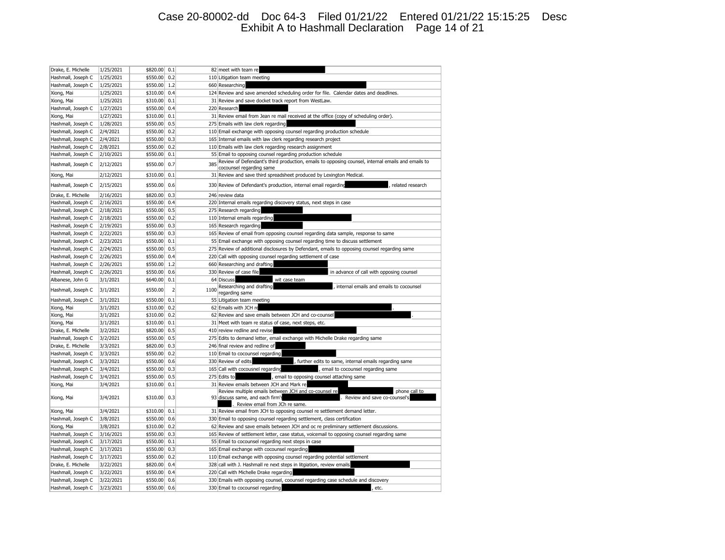## Case 20-80002-dd Doc 64-3 Filed 01/21/22 Entered 01/21/22 15:15:25 Desc Exhibit A to Hashmall Declaration Page 14 of 21

| Drake, E. Michelle | 1/25/2021              | \$820.00             | 0.1            |      | 82 meet with team re                                                                                                                                                          |
|--------------------|------------------------|----------------------|----------------|------|-------------------------------------------------------------------------------------------------------------------------------------------------------------------------------|
| Hashmall, Joseph C | 1/25/2021              | \$550.00             | 0.2            |      | 110 Litigation team meeting                                                                                                                                                   |
| Hashmall, Joseph C | 1/25/2021              | \$550.00             | 1.2            |      | 660 Researching                                                                                                                                                               |
| Xiong, Mai         | 1/25/2021              | \$310.00             | 0.4            |      | 124 Review and save amended scheduling order for file. Calendar dates and deadlines.                                                                                          |
| Xiong, Mai         | 1/25/2021              | \$310.00             | 0.1            |      | 31 Review and save docket track report from WestLaw.                                                                                                                          |
| Hashmall, Joseph C | 1/27/2021              | \$550.00             | 0.4            |      | 220 Research                                                                                                                                                                  |
| Xiong, Mai         | 1/27/2021              | \$310.00             | 0.1            |      | 31 Review email from Jean re mail received at the office (copy of scheduling order).                                                                                          |
| Hashmall, Joseph C | 1/28/2021              | \$550.00             | 0.5            |      | 275 Emails with law clerk regarding                                                                                                                                           |
| Hashmall, Joseph C | 2/4/2021               | \$550.00             | 0.2            |      | 110 Email exchange with opposing counsel regarding production schedule                                                                                                        |
| Hashmall, Joseph C | 2/4/2021               | \$550.00             | 0.3            |      | 165 Internal emails with law clerk regarding research project                                                                                                                 |
| Hashmall, Joseph C | 2/8/2021               | \$550.00             | 0.2            |      | 110 Emails with law clerk regarding research assignment                                                                                                                       |
| Hashmall, Joseph C | 2/10/2021              | \$550.00             | 0.1            |      | 55 Email to opposing counsel regarding production schedule                                                                                                                    |
| Hashmall, Joseph C | 2/12/2021              | \$550.00             | 0.7            | 385  | Review of Defendant's third production, emails to opposing counsel, internal emails and emails to<br>cocounsel regarding same                                                 |
| Xiong, Mai         | 2/12/2021              | \$310.00             | 0.1            |      | 31 Review and save third spreadsheet produced by Lexington Medical.                                                                                                           |
| Hashmall, Joseph C | 2/15/2021              | \$550.00             | 0.6            |      | 330 Review of Defendant's production, internal email regarding<br>related research                                                                                            |
| Drake, E. Michelle | 2/16/2021              | \$820.00             | 0.3            |      | 246 review data                                                                                                                                                               |
| Hashmall, Joseph C | 2/16/2021              | \$550.00             | 0.4            |      | 220 Internal emails regarding discovery status, next steps in case                                                                                                            |
| Hashmall, Joseph C | 2/18/2021              | \$550.00             | 0.5            |      | 275 Research regarding                                                                                                                                                        |
| Hashmall, Joseph C | 2/18/2021              | \$550.00             | 0.2            |      | 110 Internal emails regarding                                                                                                                                                 |
| Hashmall, Joseph C | 2/19/2021              | \$550.00             | 0.3            |      | 165 Research regarding                                                                                                                                                        |
|                    |                        |                      | 0.3            |      |                                                                                                                                                                               |
| Hashmall, Joseph C | 2/22/2021              | \$550.00             | 0.1            |      | 165 Review of email from opposing counsel regarding data sample, response to same                                                                                             |
| Hashmall, Joseph C | 2/23/2021<br>2/24/2021 | \$550.00<br>\$550.00 | 0.5            |      | 55 Email exchange with opposing counsel regarding time to discuss settlement<br>275 Review of additional disclosures by Defendant, emails to opposing counsel regarding same  |
| Hashmall, Joseph C |                        |                      |                |      |                                                                                                                                                                               |
| Hashmall, Joseph C | 2/26/2021              | \$550.00             | 0.4<br>1.2     | 220  | Call with opposing counsel regarding settlement of case                                                                                                                       |
| Hashmall, Joseph C | 2/26/2021              | \$550.00             |                |      | 660 Researching and drafting                                                                                                                                                  |
| Hashmall, Joseph C | 2/26/2021              | \$550.00             | 0.6            |      | 330 Review of case file<br>in advance of call with opposing counsel                                                                                                           |
| Albanese, John G   | 3/1/2021               | \$640.00             | 0.1            |      | 64 Discuss<br>wit case team<br>Researching and drafting<br>internal emails and emails to cocounsel                                                                            |
| Hashmall, Joseph C | 3/1/2021               | \$550.00             | $\overline{2}$ | 1100 | regarding same                                                                                                                                                                |
| Hashmall, Joseph C | 3/1/2021               | \$550.00             | 0.1            |      | 55 Litigation team meeting                                                                                                                                                    |
| Xiong, Mai         | 3/1/2021               | \$310.00             | 0.2            |      | 62 Emails with JCH re                                                                                                                                                         |
| Xiong, Mai         | 3/1/2021               | \$310.00             | 0.2            |      | 62 Review and save emails between JCH and co-counsel                                                                                                                          |
| Xiong, Mai         | 3/1/2021               | \$310.00             | 0.1            |      | 31 Meet with team re status of case, next steps, etc.                                                                                                                         |
| Drake, E. Michelle | 3/2/2021               | \$820.00             | 0.5            | 410  | review redline and revise                                                                                                                                                     |
| Hashmall, Joseph C | 3/2/2021               | \$550.00             | 0.5            |      | 275 Edits to demand letter, email exchange with Michelle Drake regarding same                                                                                                 |
| Drake, E. Michelle | 3/3/2021               | \$820.00             | 0.3            |      | 246 final review and redline of                                                                                                                                               |
| Hashmall, Joseph C | 3/3/2021               | \$550.00             | 0.2            |      | 110 Email to cocounsel regarding                                                                                                                                              |
| Hashmall, Joseph C | 3/3/2021               | \$550.00             | 0.6            |      | 330 Review of edits<br>, further edits to same, internal emails regarding same                                                                                                |
| Hashmall, Joseph C | 3/4/2021               | \$550.00             | 0.3            |      | 165 Call with cocousnel regarding<br>, email to cocounsel regarding same                                                                                                      |
| Hashmall, Joseph C | 3/4/2021               | \$550.00             | 0.5            |      | 275 Edits to<br>, email to opposing counsel attaching same                                                                                                                    |
| Xiong, Mai         | 3/4/2021               | \$310.00             | 0.1            | 31   | Review emails between JCH and Mark re                                                                                                                                         |
| Xiong, Mai         | 3/4/2021               | \$310.00             | 0.3            |      | Review multiple emails between JCH and co-counsel re<br>phone call to<br>93 discuss same, and each firm's<br>. Review and save co-counsel's<br>Review email from JCh re same. |
| Xiong, Mai         | 3/4/2021               | \$310.00             | 0.1            |      | 31 Review email from JCH to opposing counsel re settlement demand letter.                                                                                                     |
| Hashmall, Joseph C | 3/8/2021               | \$550.00             | 0.6            |      | 330 Email to opposing counsel regarding settlement, class certification                                                                                                       |
| Xiong, Mai         | 3/8/2021               | \$310.00             | 0.2            |      | 62 Review and save emails between JCH and oc re preliminary settlement discussions.                                                                                           |
| Hashmall, Joseph C | 3/16/2021              | \$550.00             | 0.3            |      | 165 Review of settlement letter, case status, voicemail to opposing counsel regarding same                                                                                    |
| Hashmall, Joseph C | 3/17/2021              | \$550.00             | 0.1            |      | 55 Email to cocounsel regarding next steps in case                                                                                                                            |
| Hashmall, Joseph C | 3/17/2021              | \$550.00             | 0.3            |      | 165 Email exchange with cocounsel regarding                                                                                                                                   |
| Hashmall, Joseph C | 3/17/2021              | \$550.00             | 0.2            |      | 110 Email exchange with opposing counsel regarding potential settlement                                                                                                       |
| Drake, E. Michelle | 3/22/2021              | \$820.00             | 0.4            |      | 328 call with J. Hashmall re next steps in litgiation, review emails                                                                                                          |
| Hashmall, Joseph C | 3/22/2021              | \$550.00             | 0.4            | 220  | Call with Michelle Drake regarding                                                                                                                                            |
| Hashmall, Joseph C | 3/22/2021              | \$550.00             | 0.6            |      | 330 Emails with opposing counsel, coounsel regarding case schedule and discovery                                                                                              |
| Hashmall, Joseph C | 3/23/2021              | \$550.00             | 0.6            |      | 330 Email to cocounsel regarding<br>, etc.                                                                                                                                    |
|                    |                        |                      |                |      |                                                                                                                                                                               |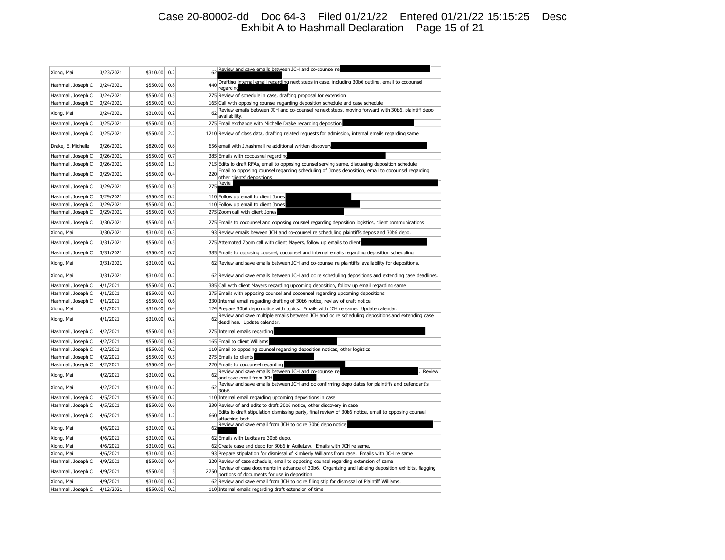## Case 20-80002-dd Doc 64-3 Filed 01/21/22 Entered 01/21/22 15:15:25 Desc Exhibit A to Hashmall Declaration Page 15 of 21

| Xiong, Mai         | 3/23/2021 | \$310.00 | 0.2 | 62   | Review and save emails between JCH and co-counsel re                                                                                              |
|--------------------|-----------|----------|-----|------|---------------------------------------------------------------------------------------------------------------------------------------------------|
| Hashmall, Joseph C | 3/24/2021 | \$550.00 | 0.8 | 440  | Drafting internal email regarding next steps in case, including 30b6 outline, email to cocounsel<br>regardind                                     |
| Hashmall, Joseph C | 3/24/2021 | \$550.00 | 0.5 |      | 275 Review of schedule in case, drafting proposal for extension                                                                                   |
| Hashmall, Joseph C | 3/24/2021 | \$550.00 | 0.3 |      | 165 Call with opposing counsel regarding deposition schedule and case schedule                                                                    |
| Xiong, Mai         | 3/24/2021 | \$310.00 | 0.2 | 62   | Review emails between JCH and co-counsel re next steps, moving forward with 30b6, plaintiff depo<br>availability.                                 |
| Hashmall, Joseph C | 3/25/2021 | \$550.00 | 0.5 |      | 275 Email exchange with Michelle Drake regarding deposition                                                                                       |
| Hashmall, Joseph C | 3/25/2021 | \$550.00 | 2.2 |      | 1210 Review of class data, drafting related requests for admission, internal emails regarding same                                                |
| Drake, E. Michelle | 3/26/2021 | \$820.00 | 0.8 |      | 656 email with J.hashmall re additional written discovery                                                                                         |
| Hashmall, Joseph C | 3/26/2021 | \$550.00 | 0.7 |      | 385 Emails with cocousnel regarding                                                                                                               |
| Hashmall, Joseph C | 3/26/2021 | \$550.00 | 1.3 |      | 715 Edits to draft RFAs, email to opposing counsel serving same, discussing deposition schedule                                                   |
| Hashmall, Joseph C | 3/29/2021 | \$550.00 | 0.4 | 220  | Email to opposing counsel regarding scheduling of Jones deposition, email to cocounsel regarding<br>other clients' depositions                    |
| Hashmall, Joseph C | 3/29/2021 | \$550.00 | 0.5 | 275  | Revie                                                                                                                                             |
| Hashmall, Joseph C | 3/29/2021 | \$550.00 | 0.2 |      | 110 Follow up email to client Jones                                                                                                               |
| Hashmall, Joseph C | 3/29/2021 | \$550.00 | 0.2 |      | 110 Follow up email to client Jones                                                                                                               |
| Hashmall, Joseph C | 3/29/2021 | \$550.00 | 0.5 |      | 275 Zoom call with client Jones                                                                                                                   |
| Hashmall, Joseph C | 3/30/2021 | \$550.00 | 0.5 |      | 275 Emails to cocounsel and opposing cousnel regarding deposition logistics, client communications                                                |
| Xiong, Mai         | 3/30/2021 | \$310.00 | 0.3 |      | 93 Review emails beween JCH and co-counsel re scheduling plaintiffs depos and 30b6 depo.                                                          |
| Hashmall, Joseph C | 3/31/2021 | \$550.00 | 0.5 |      | 275 Attempted Zoom call with client Mayers, follow up emails to client                                                                            |
| Hashmall, Joseph C | 3/31/2021 | \$550.00 | 0.7 |      | 385 Emails to opposing cousnel, cocounsel and internal emails regarding deposition scheduling                                                     |
| Xiong, Mai         | 3/31/2021 | \$310.00 | 0.2 |      | 62 Review and save emails between JCH and co-counsel re plaintiffs' availability for depositions.                                                 |
| Xiong, Mai         | 3/31/2021 | \$310.00 | 0.2 |      | 62 Review and save emails between JCH and oc re scheduling depositions and extending case deadlines.                                              |
| Hashmall, Joseph C | 4/1/2021  | \$550.00 | 0.7 |      | 385 Call with client Mayers regarding upcoming deposition, follow up email regarding same                                                         |
| Hashmall, Joseph C | 4/1/2021  | \$550.00 | 0.5 |      | 275 Emails with opposing counsel and cocounsel regarding upcoming depositions                                                                     |
| Hashmall, Joseph C | 4/1/2021  | \$550.00 | 0.6 |      | 330 Internal email regarding drafting of 30b6 notice, review of draft notice                                                                      |
| Xiong, Mai         | 4/1/2021  | \$310.00 | 0.4 |      | 124 Prepare 30b6 depo notice with topics. Emails with JCH re same. Update calendar.                                                               |
| Xiong, Mai         | 4/1/2021  | \$310.00 | 0.2 | 62   | Review and save multiple emails between JCH and oc re scheduling depositions and extending case<br>deadlines. Update calendar                     |
| Hashmall, Joseph C | 4/2/2021  | \$550.00 | 0.5 |      | 275 Internal emails regarding                                                                                                                     |
| Hashmall, Joseph C | 4/2/2021  | \$550.00 | 0.3 |      | 165 Email to client Williams                                                                                                                      |
| Hashmall, Joseph C | 4/2/2021  | \$550.00 | 0.2 |      | 110 Email to opposing counsel regarding deposition notices, other logistics                                                                       |
| Hashmall, Joseph C | 4/2/2021  | \$550.00 | 0.5 |      | 275 Emails to clients                                                                                                                             |
| Hashmall, Joseph C | 4/2/2021  | \$550.00 | 0.4 |      | 220 Emails to cocounsel regarding                                                                                                                 |
| Xiong, Mai         | 4/2/2021  | \$310.00 | 0.2 | 62   | Review and save emails between JCH and co-counsel re<br>Review<br>and save email from JCH                                                         |
| Xiong, Mai         | 4/2/2021  | \$310.00 | 0.2 | 62   | Review and save emails between JCH and oc confirming depo dates for plaintiffs and defendant's<br>30b6.                                           |
| Hashmall, Joseph C | 4/5/2021  | \$550.00 | 0.2 |      | 110 Internal email regarding upcoming depositions in case                                                                                         |
| Hashmall, Joseph C | 4/5/2021  | \$550.00 | 0.6 |      | 330 Review of and edits to draft 30b6 notice, other discovery in case                                                                             |
| Hashmall, Joseph C | 4/6/2021  | \$550.00 | 1.2 | 660  | Edits to draft stipulation dismissing party, final review of 30b6 notice, email to opposing counsel<br>attaching both                             |
| Xiong, Mai         | 4/6/2021  | \$310.00 | 0.2 | 62   | Review and save email from JCH to oc re 30b6 depo notice                                                                                          |
| Xiong, Mai         | 4/6/2021  | \$310.00 | 0.2 |      | 62 Emails with Lexitas re 30b6 depo.                                                                                                              |
| Xiong, Mai         | 4/6/2021  | \$310.00 | 0.2 |      | 62 Create case and depo for 30b6 in AgileLaw. Emails with JCH re same.                                                                            |
| Xiong, Mai         | 4/6/2021  | \$310.00 | 0.3 |      | 93 Prepare stipulation for dismissal of Kimberly Williams from case. Emails with JCH re same                                                      |
| Hashmall, Joseph C | 4/9/2021  | \$550.00 | 0.4 |      | 220 Review of case schedule, email to opposing counsel regarding extension of same                                                                |
| Hashmall, Joseph C | 4/9/2021  | \$550.00 | 5   | 2750 | Review of case documents in advance of 30b6. Organizing and lableing deposition exhibits, flagging<br>portions of documents for use in deposition |
| Xiong, Mai         | 4/9/2021  | \$310.00 | 0.2 |      | 62 Review and save email from JCH to oc re filing stip for dismissal of Plaintiff Williams.                                                       |
| Hashmall, Joseph C | 4/12/2021 | \$550.00 | 0.2 |      | 110 Internal emails regarding draft extension of time                                                                                             |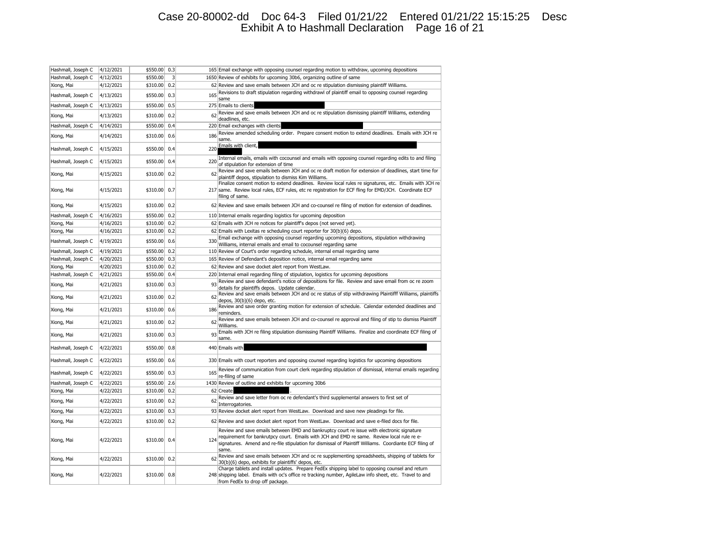## Case 20-80002-dd Doc 64-3 Filed 01/21/22 Entered 01/21/22 15:15:25 Desc Exhibit A to Hashmall Declaration Page 16 of 21

| Hashmall, Joseph C | 4/12/2021 | \$550.00 | 0.3                     |     | 165 Email exchange with opposing counsel regarding motion to withdraw, upcoming depositions                                                                                                                                                                                                                  |
|--------------------|-----------|----------|-------------------------|-----|--------------------------------------------------------------------------------------------------------------------------------------------------------------------------------------------------------------------------------------------------------------------------------------------------------------|
| Hashmall, Joseph C | 4/12/2021 | \$550.00 | $\overline{\mathbf{3}}$ |     | 1650 Review of exhibits for upcoming 30b6, organizing outline of same                                                                                                                                                                                                                                        |
| Xiong, Mai         | 4/12/2021 | \$310.00 | 0.2                     |     | 62 Review and save emails between JCH and oc re stipulation dismissing plaintiff Williams.                                                                                                                                                                                                                   |
| Hashmall, Joseph C | 4/13/2021 | \$550.00 | 0.3                     | 165 | Revisions to draft stipulation regarding withdrawl of plaintiff email to opposing counsel regarding<br>same                                                                                                                                                                                                  |
| Hashmall, Joseph C | 4/13/2021 | \$550.00 | 0.5                     |     | 275 Emails to clients                                                                                                                                                                                                                                                                                        |
| Xiong, Mai         | 4/13/2021 | \$310.00 | 0.2                     | 62  | Review and save emails between JCH and oc re stipulation dismissing plaintiff Williams, extending<br>deadlines, etc.                                                                                                                                                                                         |
| Hashmall, Joseph C | 4/14/2021 | \$550.00 | 0.4                     |     | 220 Email exchanges with clients                                                                                                                                                                                                                                                                             |
| Xiong, Mai         | 4/14/2021 | \$310.00 | 0.6                     | 186 | Review amended scheduling order. Prepare consent motion to extend deadlines. Emails with JCH re<br>same.                                                                                                                                                                                                     |
| Hashmall, Joseph C | 4/15/2021 | \$550.00 | 0.4                     | 220 | Emails with client,                                                                                                                                                                                                                                                                                          |
| Hashmall, Joseph C | 4/15/2021 | \$550.00 | 0.4                     | 220 | Internal emails, emails with cocounsel and emails with opposing counsel regarding edits to and filing<br>of stipulation for extension of time                                                                                                                                                                |
| Xiong, Mai         | 4/15/2021 | \$310.00 | 0.2                     | 62  | Review and save emails between JCH and oc re draft motion for extension of deadlines, start time for<br>plaintiff depos, stipulation to dismiss Kim Williams.                                                                                                                                                |
| Xiong, Mai         | 4/15/2021 | \$310.00 | 0.7                     |     | Finalize consent motion to extend deadlines. Review local rules re signatures, etc. Emails with JCH re<br>217 same. Review local rules, ECF rules, etc re registration for ECF fling for EMD/JCH. Coordinate ECF<br>filing of same.                                                                          |
| Xiong, Mai         | 4/15/2021 | \$310.00 | 0.2                     |     | 62 Review and save emails between JCH and co-counsel re filing of motion for extension of deadlines.                                                                                                                                                                                                         |
| Hashmall, Joseph C | 4/16/2021 | \$550.00 | 0.2                     |     | 110 Internal emails regarding logistics for upcoming deposition                                                                                                                                                                                                                                              |
| Xiong, Mai         | 4/16/2021 | \$310.00 | 0.2                     |     | 62 Emails with JCH re notices for plaintiff's depos (not served yet).                                                                                                                                                                                                                                        |
| Xiong, Mai         | 4/16/2021 | \$310.00 | 0.2                     |     | 62 Emails with Lexitas re scheduling court reporter for 30(b)(6) depo.                                                                                                                                                                                                                                       |
| Hashmall, Joseph C | 4/19/2021 | \$550.00 | 0.6                     | 330 | Email exchange with opposing counsel regarding upcoming depositions, stipulation withdrawing<br>Williams, internal emails and email to cocounsel regarding same                                                                                                                                              |
| Hashmall, Joseph C | 4/19/2021 | \$550.00 | 0.2                     |     | 110 Review of Court's order regarding schedule, internal email regarding same                                                                                                                                                                                                                                |
| Hashmall, Joseph C | 4/20/2021 | \$550.00 | 0.3                     |     | 165 Review of Defendant's deposition notice, internal email regarding same                                                                                                                                                                                                                                   |
| Xiong, Mai         | 4/20/2021 | \$310.00 | 0.2                     |     | 62 Review and save docket alert report from WestLaw.                                                                                                                                                                                                                                                         |
| Hashmall, Joseph C | 4/21/2021 | \$550.00 | 0.4                     |     | 220 Internal email regarding filing of stipulation, logistics for upcoming depositions                                                                                                                                                                                                                       |
| Xiong, Mai         | 4/21/2021 | \$310.00 | 0.3                     | 93  | Review and save defendant's notice of depositions for file. Review and save email from oc re zoom<br>details for plaintiffs depos. Update calendar.                                                                                                                                                          |
| Xiong, Mai         | 4/21/2021 | \$310.00 | 0.2                     | 62  | Review and save emails between JCH and oc re status of stip withdrawing Plaintifff Williams, plaintiffs<br>depos, 30(b)(6) depo, etc.                                                                                                                                                                        |
| Xiong, Mai         | 4/21/2021 | \$310.00 | 0.6                     | 186 | Review and save order granting motion for extension of schedule. Calendar extended deadlines and<br>reminders.                                                                                                                                                                                               |
| Xiong, Mai         | 4/21/2021 | \$310.00 | 0.2                     | 62  | Review and save emails between JCH and co-counsel re approval and filing of stip to dismiss Plaintiff<br>Williams.                                                                                                                                                                                           |
| Xiong, Mai         | 4/21/2021 | \$310.00 | 0.3                     | 93  | Emails with JCH re filing stipulation dismissing Plaintiff Williams. Finalize and coordinate ECF filing of<br>same.                                                                                                                                                                                          |
| Hashmall, Joseph C | 4/22/2021 | \$550.00 | 0.8                     |     | 440 Emails with                                                                                                                                                                                                                                                                                              |
| Hashmall, Joseph C | 4/22/2021 | \$550.00 | 0.6                     |     | 330 Emails with court reporters and opposing counsel regarding logistics for upcoming depositions                                                                                                                                                                                                            |
| Hashmall, Joseph C | 4/22/2021 | \$550.00 | 0.3                     | 165 | Review of communication from court clerk regarding stipulation of dismissal, internal emails regarding<br>re-filing of same                                                                                                                                                                                  |
| Hashmall, Joseph C | 4/22/2021 | \$550.00 | 2.6                     |     | 1430 Review of outline and exhibits for upcoming 30b6                                                                                                                                                                                                                                                        |
| Xiong, Mai         | 4/22/2021 | \$310.00 | 0.2                     |     | 62 Create                                                                                                                                                                                                                                                                                                    |
| Xiong, Mai         | 4/22/2021 | \$310.00 | 0.2                     | 62  | Review and save letter from oc re defendant's third supplemental answers to first set of<br>Interrogatories.                                                                                                                                                                                                 |
| Xiong, Mai         | 4/22/2021 | \$310.00 | 0.3                     |     | 93 Review docket alert report from WestLaw. Download and save new pleadings for file.                                                                                                                                                                                                                        |
| Xiong, Mai         | 4/22/2021 | \$310.00 | 0.2                     |     | 62 Review and save docket alert report from WestLaw. Download and save e-filed docs for file.                                                                                                                                                                                                                |
| Xiong, Mai         | 4/22/2021 | \$310.00 | 0.4                     | 124 | Review and save emails between EMD and bankruptcy court re issue with electronic signature<br>requirement for bankrutpcy court. Emails with JCH and EMD re same. Review local rule re e-<br>signatures. Amend and re-file stipulation for dismissal of Plaintiff Williams. Coordiante ECF filing of<br>same. |
| Xiong, Mai         | 4/22/2021 | \$310.00 | 0.2                     | 62  | Review and save emails between JCH and oc re supplementing spreadsheets, shipping of tablets for<br>30(b)(6) depo, exhibits for plaintiffs' depos, etc.                                                                                                                                                      |
| Xiong, Mai         | 4/22/2021 | \$310.00 | 0.8                     |     | Charge tablets and install updates. Prepare FedEx shipping label to opposing counsel and return<br>248 shipping label. Emails with oc's office re tracking number, AgileLaw info sheet, etc. Travel to and<br>from FedEx to drop off package.                                                                |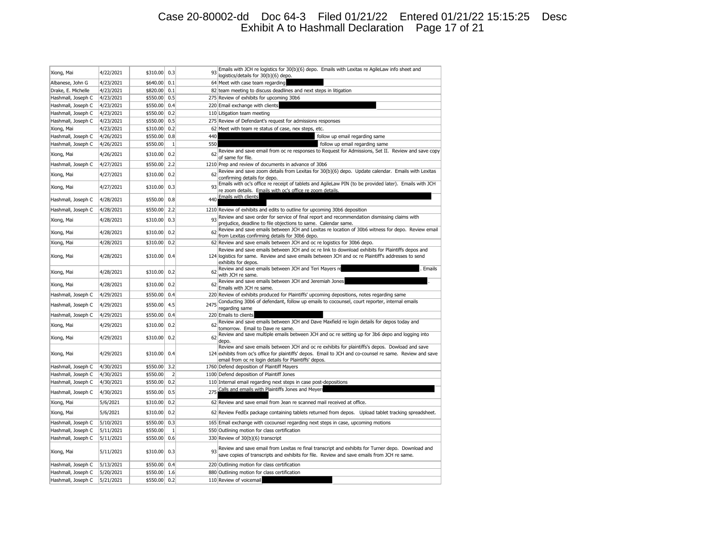## Case 20-80002-dd Doc 64-3 Filed 01/21/22 Entered 01/21/22 15:15:25 Desc Exhibit A to Hashmall Declaration Page 17 of 21

| logistics/details for 30(b)(6) depo.<br>64 Meet with case team regarding<br>Albanese, John G<br>4/23/2021<br>\$640.00<br>0.1<br>Drake, E. Michelle<br>4/23/2021<br>\$820.00<br>0.1<br>82 team meeting to discuss deadlines and next steps in litigation<br>4/23/2021<br>\$550.00<br>0.5<br>275 Review of exhibits for upcoming 30b6<br>Hashmall, Joseph C<br>\$550.00<br>Hashmall, Joseph C<br>4/23/2021<br>0.4<br>220 Email exchange with clients<br>\$550.00<br>0.2<br>Hashmall, Joseph C<br>4/23/2021<br>110 Litigation team meeting<br>\$550.00<br>0.5<br>Hashmall, Joseph C<br>4/23/2021<br>275 Review of Defendant's request for admissions responses<br>0.2<br>\$310.00<br>Xiong, Mai<br>4/23/2021<br>62 Meet with team re status of case, nex steps, etc.<br>Hashmall, Joseph C<br>4/26/2021<br>\$550.00<br>0.8<br>440<br>follow up email regarding same<br>\$550.00<br>$\mathbf{1}$<br>550<br>follow up email regarding same<br>Hashmall, Joseph C<br>4/26/2021<br>Review and save email from oc re responses to Request for Admissions, Set II. Review and save copy<br>62<br>Xiong, Mai<br>4/26/2021<br>\$310.00<br>0.2<br>of same for file.<br>Hashmall, Joseph C<br>4/27/2021<br>\$550.00<br>2.2<br>1210 Prep and review of documents in advance of 30b6<br>Review and save zoom details from Lexitas for 30(b)(6) depo. Update calendar. Emails with Lexitas<br>4/27/2021<br>\$310.00<br>0.2<br>62<br>Xiong, Mai<br>confirming details for depo.<br>Emails with oc's office re receipt of tablets and AgileLaw PIN (to be provided later). Emails with JCH<br>93<br>Xiong, Mai<br>4/27/2021<br>\$310.00<br>0.3<br>re zoom details. Emails with oc's office re zoom details.<br>Emails with clients<br>4/28/2021<br>\$550.00<br>0.8<br>440<br>Hashmall, Joseph C<br>Hashmall, Joseph C<br>\$550.00<br>2.2<br>4/28/2021<br>1210 Review of exhibits and edits to outline for upcoming 30b6 deposition<br>Review and save order for service of final report and recommendation dismissing claims with<br>93<br>Xiong, Mai<br>\$310.00<br>0.3<br>4/28/2021<br>prejudice, deadline to file objections to same. Calendar same.<br>Review and save emails between JCH and Lexitas re location of 30b6 witness for depo. Review email<br>62<br>Xiong, Mai<br>4/28/2021<br>\$310.00<br>0.2<br>from Lexitas confirming details for 30b6 depo.<br>4/28/2021<br>0.2<br>62 Review and save emails between JCH and oc re logistics for 30b6 depo.<br>Xiong, Mai<br>\$310.00<br>Review and save emails between JCH and oc re link to download exhibits for Plaintiffs depos and<br>0.4<br>124 logistics for same. Review and save emails between JCH and oc re Plaintiff's addresses to send<br>Xiong, Mai<br>4/28/2021<br>\$310.00<br>exhibits for depos.<br>Review and save emails between JCH and Teri Mayers re<br>. Emails<br>62<br>4/28/2021<br>\$310.00<br>0.2<br>Xiong, Mai<br>with JCH re same.<br>Review and save emails between JCH and Jeremiah Jones<br>4/28/2021<br>\$310.00<br>0.2<br>62<br>Xiong, Mai<br>Emails with JCH re same.<br>Hashmall, Joseph C<br>4/29/2021<br>\$550.00<br>0.4<br>220 Review of exhibits produced for Plaintiffs' upcoming depositions, notes regarding same<br>Conducting 30b6 of defendant, follow up emails to cocounsel, court reporter, internal emails<br>2475<br>Hashmall, Joseph C<br>4/29/2021<br>\$550.00<br>4.5<br>regarding same<br>Hashmall, Joseph C<br>4/29/2021<br>\$550.00<br>0.4<br>220 Emails to clients<br>Review and save emails between JCH and Dave Maxfield re login details for depos today and<br>62<br>4/29/2021<br>0.2<br>Xiong, Mai<br>\$310.00<br>tomorrow. Email to Dave re same.<br>Review and save multiple emails between JCH and oc re setting up for 3b6 depo and logging into<br>\$310.00<br>0.2<br>Xiong, Mai<br>4/29/2021<br>62<br>depo.<br>Review and save emails between JCH and oc re exhibits for plaintiffs's depos. Dowload and save |
|--------------------------------------------------------------------------------------------------------------------------------------------------------------------------------------------------------------------------------------------------------------------------------------------------------------------------------------------------------------------------------------------------------------------------------------------------------------------------------------------------------------------------------------------------------------------------------------------------------------------------------------------------------------------------------------------------------------------------------------------------------------------------------------------------------------------------------------------------------------------------------------------------------------------------------------------------------------------------------------------------------------------------------------------------------------------------------------------------------------------------------------------------------------------------------------------------------------------------------------------------------------------------------------------------------------------------------------------------------------------------------------------------------------------------------------------------------------------------------------------------------------------------------------------------------------------------------------------------------------------------------------------------------------------------------------------------------------------------------------------------------------------------------------------------------------------------------------------------------------------------------------------------------------------------------------------------------------------------------------------------------------------------------------------------------------------------------------------------------------------------------------------------------------------------------------------------------------------------------------------------------------------------------------------------------------------------------------------------------------------------------------------------------------------------------------------------------------------------------------------------------------------------------------------------------------------------------------------------------------------------------------------------------------------------------------------------------------------------------------------------------------------------------------------------------------------------------------------------------------------------------------------------------------------------------------------------------------------------------------------------------------------------------------------------------------------------------------------------------------------------------------------------------------------------------------------------------------------------------------------------------------------------------------------------------------------------------------------------------------------------------------------------------------------------------------------------------------------------------------------------------------------------------------------------------------------------------------------------------------------------------------------------------------------------------------------------------------------------------------------------------------------------------------------------------------------------------------------------------------------------------------------------------------------------|
|                                                                                                                                                                                                                                                                                                                                                                                                                                                                                                                                                                                                                                                                                                                                                                                                                                                                                                                                                                                                                                                                                                                                                                                                                                                                                                                                                                                                                                                                                                                                                                                                                                                                                                                                                                                                                                                                                                                                                                                                                                                                                                                                                                                                                                                                                                                                                                                                                                                                                                                                                                                                                                                                                                                                                                                                                                                                                                                                                                                                                                                                                                                                                                                                                                                                                                                                                                                                                                                                                                                                                                                                                                                                                                                                                                                                                                                                                                                          |
|                                                                                                                                                                                                                                                                                                                                                                                                                                                                                                                                                                                                                                                                                                                                                                                                                                                                                                                                                                                                                                                                                                                                                                                                                                                                                                                                                                                                                                                                                                                                                                                                                                                                                                                                                                                                                                                                                                                                                                                                                                                                                                                                                                                                                                                                                                                                                                                                                                                                                                                                                                                                                                                                                                                                                                                                                                                                                                                                                                                                                                                                                                                                                                                                                                                                                                                                                                                                                                                                                                                                                                                                                                                                                                                                                                                                                                                                                                                          |
|                                                                                                                                                                                                                                                                                                                                                                                                                                                                                                                                                                                                                                                                                                                                                                                                                                                                                                                                                                                                                                                                                                                                                                                                                                                                                                                                                                                                                                                                                                                                                                                                                                                                                                                                                                                                                                                                                                                                                                                                                                                                                                                                                                                                                                                                                                                                                                                                                                                                                                                                                                                                                                                                                                                                                                                                                                                                                                                                                                                                                                                                                                                                                                                                                                                                                                                                                                                                                                                                                                                                                                                                                                                                                                                                                                                                                                                                                                                          |
|                                                                                                                                                                                                                                                                                                                                                                                                                                                                                                                                                                                                                                                                                                                                                                                                                                                                                                                                                                                                                                                                                                                                                                                                                                                                                                                                                                                                                                                                                                                                                                                                                                                                                                                                                                                                                                                                                                                                                                                                                                                                                                                                                                                                                                                                                                                                                                                                                                                                                                                                                                                                                                                                                                                                                                                                                                                                                                                                                                                                                                                                                                                                                                                                                                                                                                                                                                                                                                                                                                                                                                                                                                                                                                                                                                                                                                                                                                                          |
|                                                                                                                                                                                                                                                                                                                                                                                                                                                                                                                                                                                                                                                                                                                                                                                                                                                                                                                                                                                                                                                                                                                                                                                                                                                                                                                                                                                                                                                                                                                                                                                                                                                                                                                                                                                                                                                                                                                                                                                                                                                                                                                                                                                                                                                                                                                                                                                                                                                                                                                                                                                                                                                                                                                                                                                                                                                                                                                                                                                                                                                                                                                                                                                                                                                                                                                                                                                                                                                                                                                                                                                                                                                                                                                                                                                                                                                                                                                          |
|                                                                                                                                                                                                                                                                                                                                                                                                                                                                                                                                                                                                                                                                                                                                                                                                                                                                                                                                                                                                                                                                                                                                                                                                                                                                                                                                                                                                                                                                                                                                                                                                                                                                                                                                                                                                                                                                                                                                                                                                                                                                                                                                                                                                                                                                                                                                                                                                                                                                                                                                                                                                                                                                                                                                                                                                                                                                                                                                                                                                                                                                                                                                                                                                                                                                                                                                                                                                                                                                                                                                                                                                                                                                                                                                                                                                                                                                                                                          |
|                                                                                                                                                                                                                                                                                                                                                                                                                                                                                                                                                                                                                                                                                                                                                                                                                                                                                                                                                                                                                                                                                                                                                                                                                                                                                                                                                                                                                                                                                                                                                                                                                                                                                                                                                                                                                                                                                                                                                                                                                                                                                                                                                                                                                                                                                                                                                                                                                                                                                                                                                                                                                                                                                                                                                                                                                                                                                                                                                                                                                                                                                                                                                                                                                                                                                                                                                                                                                                                                                                                                                                                                                                                                                                                                                                                                                                                                                                                          |
|                                                                                                                                                                                                                                                                                                                                                                                                                                                                                                                                                                                                                                                                                                                                                                                                                                                                                                                                                                                                                                                                                                                                                                                                                                                                                                                                                                                                                                                                                                                                                                                                                                                                                                                                                                                                                                                                                                                                                                                                                                                                                                                                                                                                                                                                                                                                                                                                                                                                                                                                                                                                                                                                                                                                                                                                                                                                                                                                                                                                                                                                                                                                                                                                                                                                                                                                                                                                                                                                                                                                                                                                                                                                                                                                                                                                                                                                                                                          |
|                                                                                                                                                                                                                                                                                                                                                                                                                                                                                                                                                                                                                                                                                                                                                                                                                                                                                                                                                                                                                                                                                                                                                                                                                                                                                                                                                                                                                                                                                                                                                                                                                                                                                                                                                                                                                                                                                                                                                                                                                                                                                                                                                                                                                                                                                                                                                                                                                                                                                                                                                                                                                                                                                                                                                                                                                                                                                                                                                                                                                                                                                                                                                                                                                                                                                                                                                                                                                                                                                                                                                                                                                                                                                                                                                                                                                                                                                                                          |
|                                                                                                                                                                                                                                                                                                                                                                                                                                                                                                                                                                                                                                                                                                                                                                                                                                                                                                                                                                                                                                                                                                                                                                                                                                                                                                                                                                                                                                                                                                                                                                                                                                                                                                                                                                                                                                                                                                                                                                                                                                                                                                                                                                                                                                                                                                                                                                                                                                                                                                                                                                                                                                                                                                                                                                                                                                                                                                                                                                                                                                                                                                                                                                                                                                                                                                                                                                                                                                                                                                                                                                                                                                                                                                                                                                                                                                                                                                                          |
|                                                                                                                                                                                                                                                                                                                                                                                                                                                                                                                                                                                                                                                                                                                                                                                                                                                                                                                                                                                                                                                                                                                                                                                                                                                                                                                                                                                                                                                                                                                                                                                                                                                                                                                                                                                                                                                                                                                                                                                                                                                                                                                                                                                                                                                                                                                                                                                                                                                                                                                                                                                                                                                                                                                                                                                                                                                                                                                                                                                                                                                                                                                                                                                                                                                                                                                                                                                                                                                                                                                                                                                                                                                                                                                                                                                                                                                                                                                          |
|                                                                                                                                                                                                                                                                                                                                                                                                                                                                                                                                                                                                                                                                                                                                                                                                                                                                                                                                                                                                                                                                                                                                                                                                                                                                                                                                                                                                                                                                                                                                                                                                                                                                                                                                                                                                                                                                                                                                                                                                                                                                                                                                                                                                                                                                                                                                                                                                                                                                                                                                                                                                                                                                                                                                                                                                                                                                                                                                                                                                                                                                                                                                                                                                                                                                                                                                                                                                                                                                                                                                                                                                                                                                                                                                                                                                                                                                                                                          |
|                                                                                                                                                                                                                                                                                                                                                                                                                                                                                                                                                                                                                                                                                                                                                                                                                                                                                                                                                                                                                                                                                                                                                                                                                                                                                                                                                                                                                                                                                                                                                                                                                                                                                                                                                                                                                                                                                                                                                                                                                                                                                                                                                                                                                                                                                                                                                                                                                                                                                                                                                                                                                                                                                                                                                                                                                                                                                                                                                                                                                                                                                                                                                                                                                                                                                                                                                                                                                                                                                                                                                                                                                                                                                                                                                                                                                                                                                                                          |
|                                                                                                                                                                                                                                                                                                                                                                                                                                                                                                                                                                                                                                                                                                                                                                                                                                                                                                                                                                                                                                                                                                                                                                                                                                                                                                                                                                                                                                                                                                                                                                                                                                                                                                                                                                                                                                                                                                                                                                                                                                                                                                                                                                                                                                                                                                                                                                                                                                                                                                                                                                                                                                                                                                                                                                                                                                                                                                                                                                                                                                                                                                                                                                                                                                                                                                                                                                                                                                                                                                                                                                                                                                                                                                                                                                                                                                                                                                                          |
|                                                                                                                                                                                                                                                                                                                                                                                                                                                                                                                                                                                                                                                                                                                                                                                                                                                                                                                                                                                                                                                                                                                                                                                                                                                                                                                                                                                                                                                                                                                                                                                                                                                                                                                                                                                                                                                                                                                                                                                                                                                                                                                                                                                                                                                                                                                                                                                                                                                                                                                                                                                                                                                                                                                                                                                                                                                                                                                                                                                                                                                                                                                                                                                                                                                                                                                                                                                                                                                                                                                                                                                                                                                                                                                                                                                                                                                                                                                          |
|                                                                                                                                                                                                                                                                                                                                                                                                                                                                                                                                                                                                                                                                                                                                                                                                                                                                                                                                                                                                                                                                                                                                                                                                                                                                                                                                                                                                                                                                                                                                                                                                                                                                                                                                                                                                                                                                                                                                                                                                                                                                                                                                                                                                                                                                                                                                                                                                                                                                                                                                                                                                                                                                                                                                                                                                                                                                                                                                                                                                                                                                                                                                                                                                                                                                                                                                                                                                                                                                                                                                                                                                                                                                                                                                                                                                                                                                                                                          |
|                                                                                                                                                                                                                                                                                                                                                                                                                                                                                                                                                                                                                                                                                                                                                                                                                                                                                                                                                                                                                                                                                                                                                                                                                                                                                                                                                                                                                                                                                                                                                                                                                                                                                                                                                                                                                                                                                                                                                                                                                                                                                                                                                                                                                                                                                                                                                                                                                                                                                                                                                                                                                                                                                                                                                                                                                                                                                                                                                                                                                                                                                                                                                                                                                                                                                                                                                                                                                                                                                                                                                                                                                                                                                                                                                                                                                                                                                                                          |
|                                                                                                                                                                                                                                                                                                                                                                                                                                                                                                                                                                                                                                                                                                                                                                                                                                                                                                                                                                                                                                                                                                                                                                                                                                                                                                                                                                                                                                                                                                                                                                                                                                                                                                                                                                                                                                                                                                                                                                                                                                                                                                                                                                                                                                                                                                                                                                                                                                                                                                                                                                                                                                                                                                                                                                                                                                                                                                                                                                                                                                                                                                                                                                                                                                                                                                                                                                                                                                                                                                                                                                                                                                                                                                                                                                                                                                                                                                                          |
|                                                                                                                                                                                                                                                                                                                                                                                                                                                                                                                                                                                                                                                                                                                                                                                                                                                                                                                                                                                                                                                                                                                                                                                                                                                                                                                                                                                                                                                                                                                                                                                                                                                                                                                                                                                                                                                                                                                                                                                                                                                                                                                                                                                                                                                                                                                                                                                                                                                                                                                                                                                                                                                                                                                                                                                                                                                                                                                                                                                                                                                                                                                                                                                                                                                                                                                                                                                                                                                                                                                                                                                                                                                                                                                                                                                                                                                                                                                          |
|                                                                                                                                                                                                                                                                                                                                                                                                                                                                                                                                                                                                                                                                                                                                                                                                                                                                                                                                                                                                                                                                                                                                                                                                                                                                                                                                                                                                                                                                                                                                                                                                                                                                                                                                                                                                                                                                                                                                                                                                                                                                                                                                                                                                                                                                                                                                                                                                                                                                                                                                                                                                                                                                                                                                                                                                                                                                                                                                                                                                                                                                                                                                                                                                                                                                                                                                                                                                                                                                                                                                                                                                                                                                                                                                                                                                                                                                                                                          |
|                                                                                                                                                                                                                                                                                                                                                                                                                                                                                                                                                                                                                                                                                                                                                                                                                                                                                                                                                                                                                                                                                                                                                                                                                                                                                                                                                                                                                                                                                                                                                                                                                                                                                                                                                                                                                                                                                                                                                                                                                                                                                                                                                                                                                                                                                                                                                                                                                                                                                                                                                                                                                                                                                                                                                                                                                                                                                                                                                                                                                                                                                                                                                                                                                                                                                                                                                                                                                                                                                                                                                                                                                                                                                                                                                                                                                                                                                                                          |
|                                                                                                                                                                                                                                                                                                                                                                                                                                                                                                                                                                                                                                                                                                                                                                                                                                                                                                                                                                                                                                                                                                                                                                                                                                                                                                                                                                                                                                                                                                                                                                                                                                                                                                                                                                                                                                                                                                                                                                                                                                                                                                                                                                                                                                                                                                                                                                                                                                                                                                                                                                                                                                                                                                                                                                                                                                                                                                                                                                                                                                                                                                                                                                                                                                                                                                                                                                                                                                                                                                                                                                                                                                                                                                                                                                                                                                                                                                                          |
|                                                                                                                                                                                                                                                                                                                                                                                                                                                                                                                                                                                                                                                                                                                                                                                                                                                                                                                                                                                                                                                                                                                                                                                                                                                                                                                                                                                                                                                                                                                                                                                                                                                                                                                                                                                                                                                                                                                                                                                                                                                                                                                                                                                                                                                                                                                                                                                                                                                                                                                                                                                                                                                                                                                                                                                                                                                                                                                                                                                                                                                                                                                                                                                                                                                                                                                                                                                                                                                                                                                                                                                                                                                                                                                                                                                                                                                                                                                          |
|                                                                                                                                                                                                                                                                                                                                                                                                                                                                                                                                                                                                                                                                                                                                                                                                                                                                                                                                                                                                                                                                                                                                                                                                                                                                                                                                                                                                                                                                                                                                                                                                                                                                                                                                                                                                                                                                                                                                                                                                                                                                                                                                                                                                                                                                                                                                                                                                                                                                                                                                                                                                                                                                                                                                                                                                                                                                                                                                                                                                                                                                                                                                                                                                                                                                                                                                                                                                                                                                                                                                                                                                                                                                                                                                                                                                                                                                                                                          |
|                                                                                                                                                                                                                                                                                                                                                                                                                                                                                                                                                                                                                                                                                                                                                                                                                                                                                                                                                                                                                                                                                                                                                                                                                                                                                                                                                                                                                                                                                                                                                                                                                                                                                                                                                                                                                                                                                                                                                                                                                                                                                                                                                                                                                                                                                                                                                                                                                                                                                                                                                                                                                                                                                                                                                                                                                                                                                                                                                                                                                                                                                                                                                                                                                                                                                                                                                                                                                                                                                                                                                                                                                                                                                                                                                                                                                                                                                                                          |
|                                                                                                                                                                                                                                                                                                                                                                                                                                                                                                                                                                                                                                                                                                                                                                                                                                                                                                                                                                                                                                                                                                                                                                                                                                                                                                                                                                                                                                                                                                                                                                                                                                                                                                                                                                                                                                                                                                                                                                                                                                                                                                                                                                                                                                                                                                                                                                                                                                                                                                                                                                                                                                                                                                                                                                                                                                                                                                                                                                                                                                                                                                                                                                                                                                                                                                                                                                                                                                                                                                                                                                                                                                                                                                                                                                                                                                                                                                                          |
|                                                                                                                                                                                                                                                                                                                                                                                                                                                                                                                                                                                                                                                                                                                                                                                                                                                                                                                                                                                                                                                                                                                                                                                                                                                                                                                                                                                                                                                                                                                                                                                                                                                                                                                                                                                                                                                                                                                                                                                                                                                                                                                                                                                                                                                                                                                                                                                                                                                                                                                                                                                                                                                                                                                                                                                                                                                                                                                                                                                                                                                                                                                                                                                                                                                                                                                                                                                                                                                                                                                                                                                                                                                                                                                                                                                                                                                                                                                          |
|                                                                                                                                                                                                                                                                                                                                                                                                                                                                                                                                                                                                                                                                                                                                                                                                                                                                                                                                                                                                                                                                                                                                                                                                                                                                                                                                                                                                                                                                                                                                                                                                                                                                                                                                                                                                                                                                                                                                                                                                                                                                                                                                                                                                                                                                                                                                                                                                                                                                                                                                                                                                                                                                                                                                                                                                                                                                                                                                                                                                                                                                                                                                                                                                                                                                                                                                                                                                                                                                                                                                                                                                                                                                                                                                                                                                                                                                                                                          |
|                                                                                                                                                                                                                                                                                                                                                                                                                                                                                                                                                                                                                                                                                                                                                                                                                                                                                                                                                                                                                                                                                                                                                                                                                                                                                                                                                                                                                                                                                                                                                                                                                                                                                                                                                                                                                                                                                                                                                                                                                                                                                                                                                                                                                                                                                                                                                                                                                                                                                                                                                                                                                                                                                                                                                                                                                                                                                                                                                                                                                                                                                                                                                                                                                                                                                                                                                                                                                                                                                                                                                                                                                                                                                                                                                                                                                                                                                                                          |
|                                                                                                                                                                                                                                                                                                                                                                                                                                                                                                                                                                                                                                                                                                                                                                                                                                                                                                                                                                                                                                                                                                                                                                                                                                                                                                                                                                                                                                                                                                                                                                                                                                                                                                                                                                                                                                                                                                                                                                                                                                                                                                                                                                                                                                                                                                                                                                                                                                                                                                                                                                                                                                                                                                                                                                                                                                                                                                                                                                                                                                                                                                                                                                                                                                                                                                                                                                                                                                                                                                                                                                                                                                                                                                                                                                                                                                                                                                                          |
|                                                                                                                                                                                                                                                                                                                                                                                                                                                                                                                                                                                                                                                                                                                                                                                                                                                                                                                                                                                                                                                                                                                                                                                                                                                                                                                                                                                                                                                                                                                                                                                                                                                                                                                                                                                                                                                                                                                                                                                                                                                                                                                                                                                                                                                                                                                                                                                                                                                                                                                                                                                                                                                                                                                                                                                                                                                                                                                                                                                                                                                                                                                                                                                                                                                                                                                                                                                                                                                                                                                                                                                                                                                                                                                                                                                                                                                                                                                          |
|                                                                                                                                                                                                                                                                                                                                                                                                                                                                                                                                                                                                                                                                                                                                                                                                                                                                                                                                                                                                                                                                                                                                                                                                                                                                                                                                                                                                                                                                                                                                                                                                                                                                                                                                                                                                                                                                                                                                                                                                                                                                                                                                                                                                                                                                                                                                                                                                                                                                                                                                                                                                                                                                                                                                                                                                                                                                                                                                                                                                                                                                                                                                                                                                                                                                                                                                                                                                                                                                                                                                                                                                                                                                                                                                                                                                                                                                                                                          |
|                                                                                                                                                                                                                                                                                                                                                                                                                                                                                                                                                                                                                                                                                                                                                                                                                                                                                                                                                                                                                                                                                                                                                                                                                                                                                                                                                                                                                                                                                                                                                                                                                                                                                                                                                                                                                                                                                                                                                                                                                                                                                                                                                                                                                                                                                                                                                                                                                                                                                                                                                                                                                                                                                                                                                                                                                                                                                                                                                                                                                                                                                                                                                                                                                                                                                                                                                                                                                                                                                                                                                                                                                                                                                                                                                                                                                                                                                                                          |
| 4/29/2021<br>\$310.00<br>0.4<br>124 exhibits from oc's office for plaintiffs' depos. Email to JCH and co-counsel re same. Review and save<br>Xiong, Mai                                                                                                                                                                                                                                                                                                                                                                                                                                                                                                                                                                                                                                                                                                                                                                                                                                                                                                                                                                                                                                                                                                                                                                                                                                                                                                                                                                                                                                                                                                                                                                                                                                                                                                                                                                                                                                                                                                                                                                                                                                                                                                                                                                                                                                                                                                                                                                                                                                                                                                                                                                                                                                                                                                                                                                                                                                                                                                                                                                                                                                                                                                                                                                                                                                                                                                                                                                                                                                                                                                                                                                                                                                                                                                                                                                  |
| email from oc re login details for Plaintiffs' depos.<br>Hashmall, Joseph C<br>3.2<br>4/30/2021<br>\$550.00<br>1760 Defend deposition of Plaintiff Mayers                                                                                                                                                                                                                                                                                                                                                                                                                                                                                                                                                                                                                                                                                                                                                                                                                                                                                                                                                                                                                                                                                                                                                                                                                                                                                                                                                                                                                                                                                                                                                                                                                                                                                                                                                                                                                                                                                                                                                                                                                                                                                                                                                                                                                                                                                                                                                                                                                                                                                                                                                                                                                                                                                                                                                                                                                                                                                                                                                                                                                                                                                                                                                                                                                                                                                                                                                                                                                                                                                                                                                                                                                                                                                                                                                                |
| \$550.00<br>$\overline{2}$<br>1100 Defend deposition of Plaintiff Jones<br>Hashmall, Joseph C<br>4/30/2021                                                                                                                                                                                                                                                                                                                                                                                                                                                                                                                                                                                                                                                                                                                                                                                                                                                                                                                                                                                                                                                                                                                                                                                                                                                                                                                                                                                                                                                                                                                                                                                                                                                                                                                                                                                                                                                                                                                                                                                                                                                                                                                                                                                                                                                                                                                                                                                                                                                                                                                                                                                                                                                                                                                                                                                                                                                                                                                                                                                                                                                                                                                                                                                                                                                                                                                                                                                                                                                                                                                                                                                                                                                                                                                                                                                                               |
| Hashmall, Joseph C<br>0.2<br>110 Internal email regarding next steps in case post-depositions<br>4/30/2021<br>\$550.00                                                                                                                                                                                                                                                                                                                                                                                                                                                                                                                                                                                                                                                                                                                                                                                                                                                                                                                                                                                                                                                                                                                                                                                                                                                                                                                                                                                                                                                                                                                                                                                                                                                                                                                                                                                                                                                                                                                                                                                                                                                                                                                                                                                                                                                                                                                                                                                                                                                                                                                                                                                                                                                                                                                                                                                                                                                                                                                                                                                                                                                                                                                                                                                                                                                                                                                                                                                                                                                                                                                                                                                                                                                                                                                                                                                                   |
| Calls and emails with Plaintiffs Jones and Meyers                                                                                                                                                                                                                                                                                                                                                                                                                                                                                                                                                                                                                                                                                                                                                                                                                                                                                                                                                                                                                                                                                                                                                                                                                                                                                                                                                                                                                                                                                                                                                                                                                                                                                                                                                                                                                                                                                                                                                                                                                                                                                                                                                                                                                                                                                                                                                                                                                                                                                                                                                                                                                                                                                                                                                                                                                                                                                                                                                                                                                                                                                                                                                                                                                                                                                                                                                                                                                                                                                                                                                                                                                                                                                                                                                                                                                                                                        |
| 275<br>Hashmall, Joseph C<br>4/30/2021<br>\$550.00<br>0.5                                                                                                                                                                                                                                                                                                                                                                                                                                                                                                                                                                                                                                                                                                                                                                                                                                                                                                                                                                                                                                                                                                                                                                                                                                                                                                                                                                                                                                                                                                                                                                                                                                                                                                                                                                                                                                                                                                                                                                                                                                                                                                                                                                                                                                                                                                                                                                                                                                                                                                                                                                                                                                                                                                                                                                                                                                                                                                                                                                                                                                                                                                                                                                                                                                                                                                                                                                                                                                                                                                                                                                                                                                                                                                                                                                                                                                                                |
| Xiong, Mai<br>5/6/2021<br>\$310.00<br>0.2<br>62 Review and save email from Jean re scanned mail received at office.                                                                                                                                                                                                                                                                                                                                                                                                                                                                                                                                                                                                                                                                                                                                                                                                                                                                                                                                                                                                                                                                                                                                                                                                                                                                                                                                                                                                                                                                                                                                                                                                                                                                                                                                                                                                                                                                                                                                                                                                                                                                                                                                                                                                                                                                                                                                                                                                                                                                                                                                                                                                                                                                                                                                                                                                                                                                                                                                                                                                                                                                                                                                                                                                                                                                                                                                                                                                                                                                                                                                                                                                                                                                                                                                                                                                      |
| 5/6/2021<br>\$310.00<br>0.2<br>Xiong, Mai<br>62 Review FedEx package containing tablets returned from depos. Upload tablet tracking spreadsheet.                                                                                                                                                                                                                                                                                                                                                                                                                                                                                                                                                                                                                                                                                                                                                                                                                                                                                                                                                                                                                                                                                                                                                                                                                                                                                                                                                                                                                                                                                                                                                                                                                                                                                                                                                                                                                                                                                                                                                                                                                                                                                                                                                                                                                                                                                                                                                                                                                                                                                                                                                                                                                                                                                                                                                                                                                                                                                                                                                                                                                                                                                                                                                                                                                                                                                                                                                                                                                                                                                                                                                                                                                                                                                                                                                                         |
| 0.3<br>Hashmall, Joseph C<br>5/10/2021<br>\$550.00<br>165 Email exchange with cocounsel regarding next steps in case, upcoming motions                                                                                                                                                                                                                                                                                                                                                                                                                                                                                                                                                                                                                                                                                                                                                                                                                                                                                                                                                                                                                                                                                                                                                                                                                                                                                                                                                                                                                                                                                                                                                                                                                                                                                                                                                                                                                                                                                                                                                                                                                                                                                                                                                                                                                                                                                                                                                                                                                                                                                                                                                                                                                                                                                                                                                                                                                                                                                                                                                                                                                                                                                                                                                                                                                                                                                                                                                                                                                                                                                                                                                                                                                                                                                                                                                                                   |
| Hashmall, Joseph C<br>5/11/2021<br>\$550.00<br>$\mathbf{1}$<br>550 Outlining motion for class certification                                                                                                                                                                                                                                                                                                                                                                                                                                                                                                                                                                                                                                                                                                                                                                                                                                                                                                                                                                                                                                                                                                                                                                                                                                                                                                                                                                                                                                                                                                                                                                                                                                                                                                                                                                                                                                                                                                                                                                                                                                                                                                                                                                                                                                                                                                                                                                                                                                                                                                                                                                                                                                                                                                                                                                                                                                                                                                                                                                                                                                                                                                                                                                                                                                                                                                                                                                                                                                                                                                                                                                                                                                                                                                                                                                                                              |
| 0.6<br>330 Review of 30(b)(6) transcript<br>Hashmall, Joseph C<br>5/11/2021<br>\$550.00                                                                                                                                                                                                                                                                                                                                                                                                                                                                                                                                                                                                                                                                                                                                                                                                                                                                                                                                                                                                                                                                                                                                                                                                                                                                                                                                                                                                                                                                                                                                                                                                                                                                                                                                                                                                                                                                                                                                                                                                                                                                                                                                                                                                                                                                                                                                                                                                                                                                                                                                                                                                                                                                                                                                                                                                                                                                                                                                                                                                                                                                                                                                                                                                                                                                                                                                                                                                                                                                                                                                                                                                                                                                                                                                                                                                                                  |
| Review and save email from Lexitas re final transcript and exhibits for Turner depo. Download and<br>5/11/2021<br>\$310.00<br>0.3<br>93<br>Xiong, Mai<br>save copies of transcripts and exhibits for file. Review and save emails from JCH re same.                                                                                                                                                                                                                                                                                                                                                                                                                                                                                                                                                                                                                                                                                                                                                                                                                                                                                                                                                                                                                                                                                                                                                                                                                                                                                                                                                                                                                                                                                                                                                                                                                                                                                                                                                                                                                                                                                                                                                                                                                                                                                                                                                                                                                                                                                                                                                                                                                                                                                                                                                                                                                                                                                                                                                                                                                                                                                                                                                                                                                                                                                                                                                                                                                                                                                                                                                                                                                                                                                                                                                                                                                                                                      |
| 0.4<br>220 Outlining motion for class certification<br>Hashmall, Joseph C<br>5/13/2021<br>\$550.00                                                                                                                                                                                                                                                                                                                                                                                                                                                                                                                                                                                                                                                                                                                                                                                                                                                                                                                                                                                                                                                                                                                                                                                                                                                                                                                                                                                                                                                                                                                                                                                                                                                                                                                                                                                                                                                                                                                                                                                                                                                                                                                                                                                                                                                                                                                                                                                                                                                                                                                                                                                                                                                                                                                                                                                                                                                                                                                                                                                                                                                                                                                                                                                                                                                                                                                                                                                                                                                                                                                                                                                                                                                                                                                                                                                                                       |
| Hashmall, Joseph C<br>5/20/2021<br>\$550.00<br>1.6<br>880 Outlining motion for class certification                                                                                                                                                                                                                                                                                                                                                                                                                                                                                                                                                                                                                                                                                                                                                                                                                                                                                                                                                                                                                                                                                                                                                                                                                                                                                                                                                                                                                                                                                                                                                                                                                                                                                                                                                                                                                                                                                                                                                                                                                                                                                                                                                                                                                                                                                                                                                                                                                                                                                                                                                                                                                                                                                                                                                                                                                                                                                                                                                                                                                                                                                                                                                                                                                                                                                                                                                                                                                                                                                                                                                                                                                                                                                                                                                                                                                       |
| 110 Review of voicemail<br>Hashmall, Joseph C<br>5/21/2021<br>\$550.00<br>0.2                                                                                                                                                                                                                                                                                                                                                                                                                                                                                                                                                                                                                                                                                                                                                                                                                                                                                                                                                                                                                                                                                                                                                                                                                                                                                                                                                                                                                                                                                                                                                                                                                                                                                                                                                                                                                                                                                                                                                                                                                                                                                                                                                                                                                                                                                                                                                                                                                                                                                                                                                                                                                                                                                                                                                                                                                                                                                                                                                                                                                                                                                                                                                                                                                                                                                                                                                                                                                                                                                                                                                                                                                                                                                                                                                                                                                                            |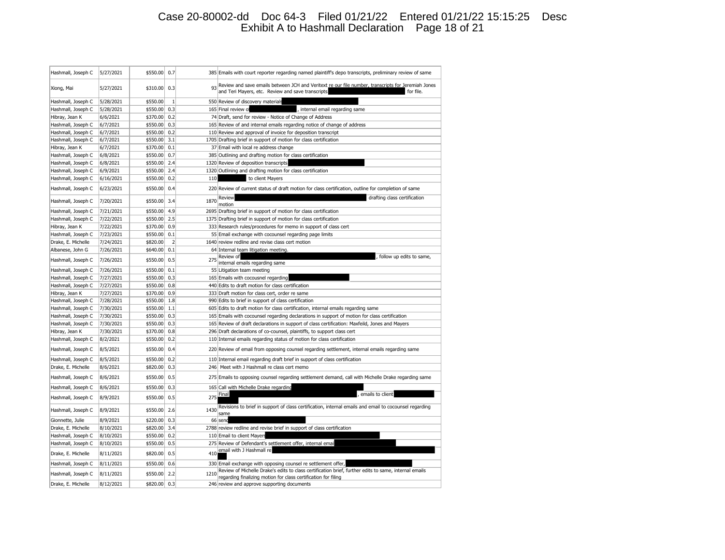## Case 20-80002-dd Doc 64-3 Filed 01/21/22 Entered 01/21/22 15:15:25 Desc Exhibit A to Hashmall Declaration Page 18 of 21

| Hashmall, Joseph C | 5/27/2021 | \$550.00 | 0.7            |      | 385 Emails with court reporter regarding named plaintiff's depo transcripts, preliminary review of same                                                                 |
|--------------------|-----------|----------|----------------|------|-------------------------------------------------------------------------------------------------------------------------------------------------------------------------|
| Xiong, Mai         | 5/27/2021 | \$310.00 | 0.3            | 93   | Review and save emails between JCH and Veritext re our file number, transcripts for Jeremiah Jones<br>and Teri Mayers, etc. Review and save transcripts<br>for file.    |
| Hashmall, Joseph C | 5/28/2021 | \$550.00 | $\mathbf{1}$   |      | 550 Review of discovery materials                                                                                                                                       |
| Hashmall, Joseph C | 5/28/2021 | \$550.00 | 0.3            |      | 165 Final review of<br>, internal email regarding same                                                                                                                  |
| Hibray, Jean K     | 6/6/2021  | \$370.00 | 0.2            |      | 74 Draft, send for review - Notice of Change of Address                                                                                                                 |
| Hashmall, Joseph C | 6/7/2021  | \$550.00 | 0.3            |      | 165 Review of and internal emails regarding notice of change of address                                                                                                 |
| Hashmall, Joseph C | 6/7/2021  | \$550.00 | 0.2            |      | 110 Review and approval of invoice for deposition transcript                                                                                                            |
| Hashmall, Joseph C | 6/7/2021  | \$550.00 | 3.1            |      | 1705 Drafting brief in support of motion for class certification                                                                                                        |
| Hibray, Jean K     | 6/7/2021  | \$370.00 | 0.1            |      | 37 Email with local re address change                                                                                                                                   |
| Hashmall, Joseph C | 6/8/2021  | \$550.00 | 0.7            |      | 385 Outlining and drafting motion for class certification                                                                                                               |
| Hashmall, Joseph C | 6/8/2021  | \$550.00 | 2.4            |      | 1320 Review of deposition transcripts                                                                                                                                   |
| Hashmall, Joseph C | 6/9/2021  | \$550.00 | 2.4            |      | 1320 Outlining and drafting motion for class certification                                                                                                              |
| Hashmall, Joseph C | 6/16/2021 | \$550.00 | 0.2            | 110  | to client Mayers                                                                                                                                                        |
| Hashmall, Joseph C | 6/23/2021 | \$550.00 | 0.4            |      | 220 Review of current status of draft motion for class certification, outline for completion of same                                                                    |
| Hashmall, Joseph C | 7/20/2021 | \$550.00 | 3.4            | 1870 | Review<br>drafting class certification<br>motion                                                                                                                        |
| Hashmall, Joseph C | 7/21/2021 | \$550.00 | 4.9            |      | 2695 Drafting brief in support of motion for class certification                                                                                                        |
| Hashmall, Joseph C | 7/22/2021 | \$550.00 | 2.5            |      | 1375 Drafting brief in support of motion for class certification                                                                                                        |
| Hibray, Jean K     | 7/22/2021 | \$370.00 | 0.9            |      | 333 Research rules/procedures for memo in support of class cert                                                                                                         |
| Hashmall, Joseph C | 7/23/2021 | \$550.00 | 0.1            |      | 55 Email exchange with cocounsel regarding page limits                                                                                                                  |
| Drake, E. Michelle | 7/24/2021 | \$820.00 | $\overline{2}$ |      | 1640 review redline and revise class cert motion                                                                                                                        |
| Albanese, John G   | 7/26/2021 | \$640.00 | 0.1            |      | 64 Internal team litigation meeting.                                                                                                                                    |
| Hashmall, Joseph C | 7/26/2021 | \$550.00 | 0.5            | 275  | Review of<br>follow up edits to same,<br>internal emails regarding same                                                                                                 |
| Hashmall, Joseph C | 7/26/2021 | \$550.00 | 0.1            |      | 55 Litigation team meeting                                                                                                                                              |
| Hashmall, Joseph C | 7/27/2021 | \$550.00 | 0.3            |      | 165 Emails with cocousnel regarding                                                                                                                                     |
| Hashmall, Joseph C | 7/27/2021 | \$550.00 | 0.8            |      | 440 Edits to draft motion for class certification                                                                                                                       |
| Hibray, Jean K     | 7/27/2021 | \$370.00 | 0.9            |      | 333 Draft motion for class cert, order re same                                                                                                                          |
| Hashmall, Joseph C | 7/28/2021 | \$550.00 | 1.8            |      | 990 Edits to brief in support of class certification                                                                                                                    |
| Hashmall, Joseph C | 7/30/2021 | \$550.00 | 1.1            |      | 605 Edits to draft motion for class certification, internal emails regarding same                                                                                       |
| Hashmall, Joseph C | 7/30/2021 | \$550.00 | 0.3            |      | 165 Emails with cocounsel regarding declarations in support of motion for class certification                                                                           |
| Hashmall, Joseph C | 7/30/2021 | \$550.00 | 0.3            |      | 165 Review of draft declarations in support of class certification: Maxfeild, Jones and Mayers                                                                          |
| Hibray, Jean K     | 7/30/2021 | \$370.00 | 0.8            |      | 296 Draft declarations of co-counsel, plaintiffs, to support class cert                                                                                                 |
| Hashmall, Joseph C | 8/2/2021  | \$550.00 | 0.2            |      | 110 Internal emails regarding status of motion for class certification                                                                                                  |
| Hashmall, Joseph C | 8/5/2021  | \$550.00 | 0.4            |      | 220 Review of email from opposing counsel regarding settlement, internal emails regarding same                                                                          |
| Hashmall, Joseph C | 8/5/2021  | \$550.00 | 0.2            |      | 110 Internal email regarding draft brief in support of class certification                                                                                              |
| Drake, E. Michelle | 8/6/2021  | \$820.00 | 0.3            |      | 246 Meet with J Hashmall re class cert memo                                                                                                                             |
| Hashmall, Joseph C | 8/6/2021  | \$550.00 | 0.5            |      | 275 Emails to opposing counsel regarding settlement demand, call with Michelle Drake regarding same                                                                     |
| Hashmall, Joseph C | 8/6/2021  | \$550.00 | 0.3            |      | 165 Call with Michelle Drake regarding                                                                                                                                  |
| Hashmall, Joseph C | 8/9/2021  | \$550.00 | 0.5            | 275  | Final<br>emails to client                                                                                                                                               |
| Hashmall, Joseph C | 8/9/2021  | \$550.00 | 2.6            | 1430 | Revisions to brief in support of class certification, internal emails and email to cocounsel regarding<br>same                                                          |
| Gionnette, Julie   | 8/9/2021  | \$220.00 | 0.3            |      | 66 send                                                                                                                                                                 |
| Drake, E. Michelle | 8/10/2021 | \$820.00 | 3.4            |      | 2788 review redline and revise brief in support of class certification                                                                                                  |
| Hashmall, Joseph C | 8/10/2021 | \$550.00 | 0.2            |      | 110 Email to client Mayers                                                                                                                                              |
| Hashmall, Joseph C | 8/10/2021 | \$550.00 | 0.5            | 275  | Review of Defendant's settlement offer, internal emai                                                                                                                   |
| Drake, E. Michelle | 8/11/2021 | \$820.00 | 0.5            | 410  | email with J Hashmall re                                                                                                                                                |
| Hashmall, Joseph C | 8/11/2021 | \$550.00 | 0.6            |      | 330 Email exchange with opposing counsel re settlement offer,                                                                                                           |
| Hashmall, Joseph C | 8/11/2021 | \$550.00 | 2.2            | 1210 | Review of Michelle Drake's edits to class certification brief, further edits to same, internal emails<br>regarding finalizing motion for class certification for filing |
| Drake, E. Michelle | 8/12/2021 | \$820.00 | 0.3            |      | 246 review and approve supporting documents                                                                                                                             |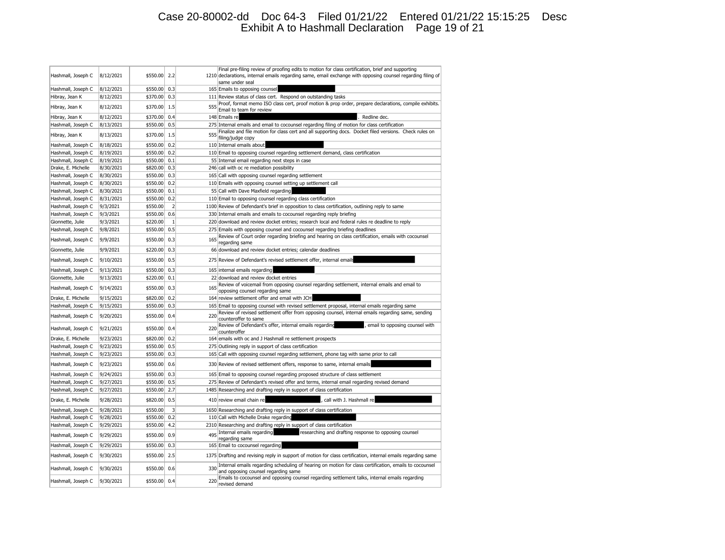## Case 20-80002-dd Doc 64-3 Filed 01/21/22 Entered 01/21/22 15:15:25 Desc Exhibit A to Hashmall Declaration Page 19 of 21

|                    |           |          |                |     | Final pre-filing review of proofing edits to motion for class certification, brief and supporting                                                                                                   |
|--------------------|-----------|----------|----------------|-----|-----------------------------------------------------------------------------------------------------------------------------------------------------------------------------------------------------|
| Hashmall, Joseph C | 8/12/2021 | \$550.00 | 2.2            |     | 1210 declarations, internal emails regarding same, email exchange with opposing counsel regarding filing of<br>same under seal                                                                      |
| Hashmall, Joseph C | 8/12/2021 | \$550.00 | 0.3            |     | 165 Emails to opposing counsel                                                                                                                                                                      |
| Hibray, Jean K     | 8/12/2021 | \$370.00 | 0.3            |     | 111 Review status of class cert. Respond on outstanding tasks                                                                                                                                       |
|                    |           |          | 1.5            | 555 | Proof, format memo ISO class cert, proof motion & prop order, prepare declarations, compile exhibits.                                                                                               |
| Hibray, Jean K     | 8/12/2021 | \$370.00 |                |     | Email to team for review                                                                                                                                                                            |
| Hibray, Jean K     | 8/12/2021 | \$370.00 | 0.4            |     | 148 Emails re<br>Redline dec.                                                                                                                                                                       |
| Hashmall, Joseph C | 8/13/2021 | \$550.00 | 0.5            |     | 275 Internal emails and email to cocounsel regarding filing of motion for class certification                                                                                                       |
| Hibray, Jean K     | 8/13/2021 | \$370.00 | 1.5            | 555 | Finalize and file motion for class cert and all supporting docs. Docket filed versions. Check rules on<br>filing/judge copy                                                                         |
| Hashmall, Joseph C | 8/18/2021 | \$550.00 | 0.2            |     | 110 Internal emails about                                                                                                                                                                           |
| Hashmall, Joseph C | 8/19/2021 | \$550.00 | 0.2            |     | 110 Email to opposing counsel regarding settlement demand, class certification                                                                                                                      |
| Hashmall, Joseph C | 8/19/2021 | \$550.00 | 0.1            |     | 55 Internal email regarding next steps in case                                                                                                                                                      |
| Drake, E. Michelle | 8/30/2021 | \$820.00 | 0.3            |     | 246 call with oc re mediation possibility                                                                                                                                                           |
| Hashmall, Joseph C | 8/30/2021 | \$550.00 | 0.3            |     | 165 Call with opposing counsel regarding settlement                                                                                                                                                 |
| Hashmall, Joseph C | 8/30/2021 | \$550.00 | 0.2            |     | 110 Emails with opposing counsel setting up settlement call                                                                                                                                         |
| Hashmall, Joseph C | 8/30/2021 | \$550.00 | 0.1            |     | 55 Call with Dave Maxfield regarding                                                                                                                                                                |
| Hashmall, Joseph C | 8/31/2021 | \$550.00 | 0.2            |     | 110 Email to opposing counsel regarding class certification                                                                                                                                         |
| Hashmall, Joseph C | 9/3/2021  | \$550.00 | $\overline{2}$ |     | 1100 Review of Defendant's brief in opposition to class certification, outlining reply to same                                                                                                      |
| Hashmall, Joseph C | 9/3/2021  | \$550.00 | 0.6            |     | 330 Internal emails and emails to cocounsel regarding reply briefing                                                                                                                                |
| Gionnette, Julie   | 9/3/2021  | \$220.00 | $\,1\,$        |     | 220 download and review docket entries; research local and federal rules re deadline to reply                                                                                                       |
| Hashmall, Joseph C | 9/8/2021  | \$550.00 | 0.5            |     | 275 Emails with opposing counsel and cocounsel regarding briefing deadlines                                                                                                                         |
| Hashmall, Joseph C | 9/9/2021  | \$550.00 | 0.3            | 165 | Review of Court order regarding briefing and hearing on class certification, emails with cocounsel<br>regarding same                                                                                |
| Gionnette, Julie   | 9/9/2021  | \$220.00 | 0.3            |     | 66 download and review docket entries; calendar deadlines                                                                                                                                           |
| Hashmall, Joseph C | 9/10/2021 | \$550.00 | 0.5            |     | 275 Review of Defendant's revised settlement offer, internal email:                                                                                                                                 |
| Hashmall, Joseph C | 9/13/2021 | \$550.00 | 0.3            |     | 165 internal emails regarding                                                                                                                                                                       |
| Gionnette, Julie   | 9/13/2021 | \$220.00 | 0.1            |     | 22 download and review docket entries                                                                                                                                                               |
| Hashmall, Joseph C | 9/14/2021 | \$550.00 | 0.3            | 165 | Review of voicemail from opposing counsel regarding settlement, internal emails and email to                                                                                                        |
|                    |           |          |                |     | opposing counsel regarding same                                                                                                                                                                     |
| Drake, E. Michelle | 9/15/2021 | \$820.00 | 0.2            |     | 164 review settlement offer and email with JCH                                                                                                                                                      |
| Hashmall, Joseph C | 9/15/2021 | \$550.00 | 0.3            |     | 165 Email to opposing counsel with revised settlement proposal, internal emails regarding same<br>Review of revised settlement offer from opposing counsel, internal emails regarding same, sending |
| Hashmall, Joseph C | 9/20/2021 | \$550.00 | 0.4            | 220 | counteroffer to same                                                                                                                                                                                |
| Hashmall, Joseph C | 9/21/2021 | \$550.00 | 0.4            | 220 | Review of Defendant's offer, internal emails regarding<br>, email to opposing counsel with<br>counteroffer                                                                                          |
| Drake, E. Michelle | 9/23/2021 | \$820.00 | 0.2            |     | 164 emails with oc and J Hashmall re settlement prospects                                                                                                                                           |
| Hashmall, Joseph C | 9/23/2021 | \$550.00 | 0.5            |     | 275 Outlining reply in support of class certification                                                                                                                                               |
| Hashmall, Joseph C | 9/23/2021 | \$550.00 | 0.3            |     | 165 Call with opposing counsel regarding settlement, phone tag with same prior to call                                                                                                              |
| Hashmall, Joseph C | 9/23/2021 | \$550.00 | 0.6            |     | 330 Review of revised settlement offers, response to same, internal emails                                                                                                                          |
| Hashmall, Joseph C | 9/24/2021 | \$550.00 | 0.3            |     | 165 Email to opposing counsel regarding proposed structure of class settlement                                                                                                                      |
| Hashmall, Joseph C | 9/27/2021 | \$550.00 | 0.5            |     | 275 Review of Defendant's revised offer and terms, internal email regarding revised demand                                                                                                          |
| Hashmall, Joseph C | 9/27/2021 | \$550.00 | 2.7            |     | 1485 Researching and drafting reply in support of class certification                                                                                                                               |
| Drake, E. Michelle | 9/28/2021 | \$820.00 | 0.5            |     | 410 review email chain re<br>, call with J. Hashmall re                                                                                                                                             |
| Hashmall, Joseph C | 9/28/2021 | \$550.00 | 3              |     | 1650 Researching and drafting reply in support of class certification                                                                                                                               |
| Hashmall, Joseph C | 9/28/2021 | \$550.00 | 0.2            |     | 110 Call with Michelle Drake regarding                                                                                                                                                              |
| Hashmall, Joseph C | 9/29/2021 | \$550.00 | 4.2            |     | 2310 Researching and drafting reply in support of class certification                                                                                                                               |
| Hashmall, Joseph C | 9/29/2021 | \$550.00 | 0.9            | 495 | Internal emails regarding<br>researching and drafting response to opposing counsel                                                                                                                  |
|                    |           |          | 0.3            |     | regarding same<br>165 Email to cocounsel regarding                                                                                                                                                  |
| Hashmall, Joseph C | 9/29/2021 | \$550.00 |                |     |                                                                                                                                                                                                     |
| Hashmall, Joseph C | 9/30/2021 | \$550.00 | 2.5            |     | 1375 Drafting and revising reply in support of motion for class certification, internal emails regarding same                                                                                       |
| Hashmall, Joseph C | 9/30/2021 | \$550.00 | 0.6            | 330 | Internal emails regarding scheduling of hearing on motion for class certification, emails to cocounsel<br>and opposing counsel regarding same                                                       |
| Hashmall, Joseph C | 9/30/2021 | \$550.00 | 0.4            | 220 | Emails to cocounsel and opposing counsel regarding settlement talks, internal emails regarding<br>revised demand                                                                                    |
|                    |           |          |                |     |                                                                                                                                                                                                     |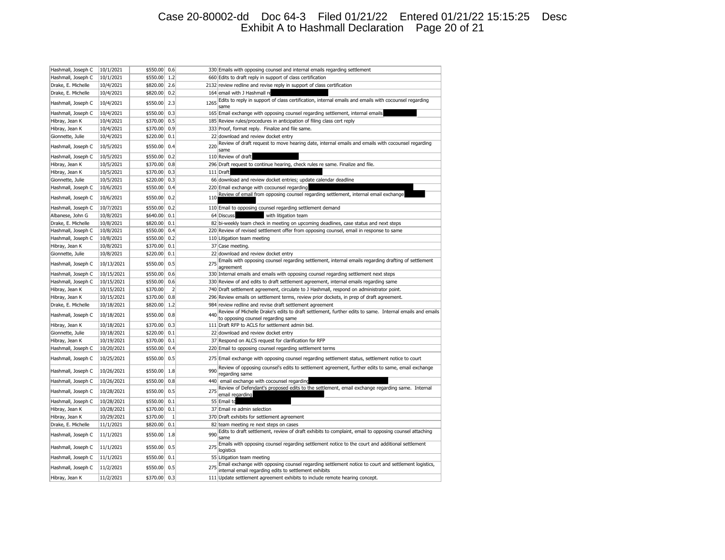## Case 20-80002-dd Doc 64-3 Filed 01/21/22 Entered 01/21/22 15:15:25 Desc Exhibit A to Hashmall Declaration Page 20 of 21

| Hashmall, Joseph C | 10/1/2021  | \$550.00 | 0.6            |      | 330 Emails with opposing counsel and internal emails regarding settlement                                                                                    |
|--------------------|------------|----------|----------------|------|--------------------------------------------------------------------------------------------------------------------------------------------------------------|
| Hashmall, Joseph C | 10/1/2021  | \$550.00 | 1.2            |      | 660 Edits to draft reply in support of class certification                                                                                                   |
| Drake, E. Michelle | 10/4/2021  | \$820.00 | 2.6            |      | 2132 review redline and revise reply in support of class certification                                                                                       |
| Drake, E. Michelle | 10/4/2021  | \$820.00 | 0.2            |      | 164 email with J Hashmall re                                                                                                                                 |
| Hashmall, Joseph C | 10/4/2021  | \$550.00 | 2.3            | 1265 | Edits to reply in support of class certification, internal emails and emails with cocounsel regarding<br>same                                                |
| Hashmall, Joseph C | 10/4/2021  | \$550.00 | 0.3            |      | 165 Email exchange with opposing counsel regarding settlement, internal emails                                                                               |
| Hibray, Jean K     | 10/4/2021  | \$370.00 | 0.5            |      | 185 Review rules/procedures in anticipation of filing class cert reply                                                                                       |
| Hibray, Jean K     | 10/4/2021  | \$370.00 | 0.9            |      | 333 Proof, format reply. Finalize and file same.                                                                                                             |
| Gionnette, Julie   | 10/4/2021  | \$220.00 | 0.1            |      | 22 download and review docket entry                                                                                                                          |
| Hashmall, Joseph C | 10/5/2021  | \$550.00 | 0.4            | 220  | Review of draft request to move hearing date, internal emails and emails with cocounsel regarding<br>same                                                    |
| Hashmall, Joseph C | 10/5/2021  | \$550.00 | 0.2            |      | 110 Review of draft                                                                                                                                          |
| Hibray, Jean K     | 10/5/2021  | \$370.00 | 0.8            |      | 296 Draft request to continue hearing, check rules re same. Finalize and file.                                                                               |
| Hibray, Jean K     | 10/5/2021  | \$370.00 | 0.3            |      | 111 Draft                                                                                                                                                    |
| Gionnette, Julie   | 10/5/2021  | \$220.00 | 0.3            |      | 66 download and review docket entries; update calendar deadline                                                                                              |
| Hashmall, Joseph C | 10/6/2021  | \$550.00 | 0.4            |      | 220 Email exchange with cocounsel regarding                                                                                                                  |
| Hashmall, Joseph C | 10/6/2021  | \$550.00 | 0.2            | 110  | Review of email from opposing counsel regarding settlement, internal email exchange                                                                          |
| Hashmall, Joseph C | 10/7/2021  | \$550.00 | 0.2            |      | 110 Email to opposing counsel regarding settlement demand                                                                                                    |
| Albanese, John G   | 10/8/2021  | \$640.00 | 0.1            |      | 64 Discuss<br>with litigation team                                                                                                                           |
| Drake, E. Michelle | 10/8/2021  | \$820.00 | 0.1            |      | 82 bi-weekly team check in meeting on upcoming deadlines, case status and next steps                                                                         |
| Hashmall, Joseph C | 10/8/2021  | \$550.00 | 0.4            |      | 220 Review of revised settlement offer from opposing counsel, email in response to same                                                                      |
| Hashmall, Joseph C | 10/8/2021  | \$550.00 | 0.2            |      | 110 Litigation team meeting                                                                                                                                  |
| Hibray, Jean K     | 10/8/2021  | \$370.00 | 0.1            |      | 37 Case meeting.                                                                                                                                             |
| Gionnette, Julie   | 10/8/2021  | \$220.00 | 0.1            |      | 22 download and review docket entry                                                                                                                          |
| Hashmall, Joseph C | 10/13/2021 | \$550.00 | 0.5            | 275  | Emails with opposing counsel regarding settlement, internal emails regarding drafting of settlement<br>agreement                                             |
| Hashmall, Joseph C | 10/15/2021 | \$550.00 | 0.6            |      | 330 Internal emails and emails with opposing counsel regarding settlement next steps                                                                         |
| Hashmall, Joseph C | 10/15/2021 | \$550.00 | 0.6            |      | 330 Review of and edits to draft settlement agreement, internal emails regarding same                                                                        |
| Hibray, Jean K     | 10/15/2021 | \$370.00 | $\overline{2}$ |      | 740 Draft settlement agreement, circulate to J Hashmall, respond on administrator point.                                                                     |
| Hibray, Jean K     | 10/15/2021 | \$370.00 | 0.8            |      | 296 Review emails on settlement terms, review prior dockets, in prep of draft agreement.                                                                     |
| Drake, E. Michelle | 10/18/2021 | \$820.00 | 1.2            |      | 984 review redline and revise draft settlement agreement                                                                                                     |
| Hashmall, Joseph C | 10/18/2021 | \$550.00 | 0.8            | 440  | Review of Michelle Drake's edits to draft settlement, further edits to same. Internal emails and emails<br>to opposing counsel regarding same                |
| Hibray, Jean K     | 10/18/2021 | \$370.00 | 0.3            |      | 111 Draft RFP to ACLS for settlement admin bid.                                                                                                              |
| Gionnette, Julie   | 10/18/2021 | \$220.00 | 0.1            |      | 22 download and review docket entry                                                                                                                          |
| Hibray, Jean K     | 10/19/2021 | \$370.00 | 0.1            |      | 37 Respond on ALCS request for clarification for RFP                                                                                                         |
| Hashmall, Joseph C | 10/20/2021 | \$550.00 | 0.4            |      | 220 Email to opposing counsel regarding settlement terms                                                                                                     |
| Hashmall, Joseph C | 10/25/2021 | \$550.00 | 0.5            |      | 275 Email exchange with opposing counsel regarding settlement status, settlement notice to court                                                             |
| Hashmall, Joseph C | 10/26/2021 | \$550.00 | 1.8            | 990  | Review of opposing counsel's edits to settlement agreement, further edits to same, email exchange<br>regarding same                                          |
| Hashmall, Joseph C | 10/26/2021 | \$550.00 | 0.8            | 440  | email exchange with cocounsel regarding                                                                                                                      |
| Hashmall, Joseph C | 10/28/2021 | \$550.00 | 0.5            | 275  | Review of Defendant's proposed edits to the settlement, email exchange regarding same. Internal<br>email regarding                                           |
| Hashmall, Joseph C | 10/28/2021 | \$550.00 | 0.1            |      | 55 Email to                                                                                                                                                  |
| Hibray, Jean K     | 10/28/2021 | \$370.00 | 0.1            |      | 37 Email re admin selection                                                                                                                                  |
| Hibray, Jean K     | 10/29/2021 | \$370.00 | $\mathbf{1}$   |      | 370 Draft exhibits for settlement agreement                                                                                                                  |
| Drake, E. Michelle | 11/1/2021  | \$820.00 | 0.1            |      | 82 team meeting re next steps on cases                                                                                                                       |
| Hashmall, Joseph C | 11/1/2021  | \$550.00 | 1.8            | 990  | Edits to draft settlement, review of draft exhibits to complaint, email to opposing counsel attaching<br>same                                                |
| Hashmall, Joseph C | 11/1/2021  | \$550.00 | 0.5            | 275  | Emails with opposing counsel regarding settlement notice to the court and additional settlement<br>logistics                                                 |
| Hashmall, Joseph C | 11/1/2021  | \$550.00 | 0.1            |      | 55 Litigation team meeting                                                                                                                                   |
| Hashmall, Joseph C | 11/2/2021  | \$550.00 | 0.5            |      | Email exchange with opposing counsel regarding settlement notice to court and settlement logistics,<br>internal email regarding edits to settlement exhibits |
| Hibray, Jean K     | 11/2/2021  | \$370.00 | 0.3            |      | 111 Update settlement agreement exhibits to include remote hearing concept.                                                                                  |
|                    |            |          |                |      |                                                                                                                                                              |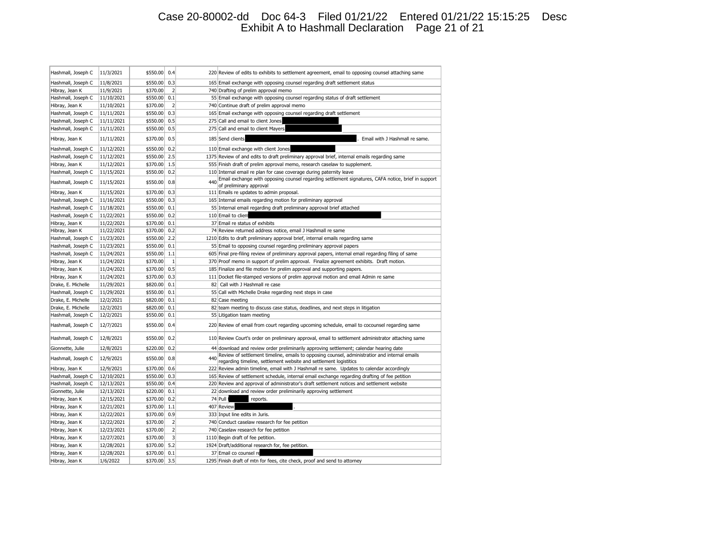## Case 20-80002-dd Doc 64-3 Filed 01/21/22 Entered 01/21/22 15:15:25 Desc Exhibit A to Hashmall Declaration Page 21 of 21

| Hashmall, Joseph C | 11/3/2021  | \$550.00 | 0.4            |     | 220 Review of edits to exhibits to settlement agreement, email to opposing counsel attaching same                                                                  |
|--------------------|------------|----------|----------------|-----|--------------------------------------------------------------------------------------------------------------------------------------------------------------------|
| Hashmall, Joseph C | 11/8/2021  | \$550.00 | 0.3            |     | 165 Email exchange with opposing counsel regarding draft settlement status                                                                                         |
| Hibray, Jean K     | 11/9/2021  | \$370.00 | $\overline{2}$ |     | 740 Drafting of prelim approval memo                                                                                                                               |
| Hashmall, Joseph C | 11/10/2021 | \$550.00 | 0.1            |     | 55 Email exchange with opposing counsel regarding status of draft settlement                                                                                       |
| Hibray, Jean K     | 11/10/2021 | \$370.00 | $\overline{2}$ |     | 740 Continue draft of prelim approval memo                                                                                                                         |
| Hashmall, Joseph C | 11/11/2021 | \$550.00 | 0.3            |     | 165 Email exchange with opposing counsel regarding draft settlement                                                                                                |
| Hashmall, Joseph C | 11/11/2021 | \$550.00 | 0.5            |     | 275 Call and email to client Jones                                                                                                                                 |
| Hashmall, Joseph C | 11/11/2021 | \$550.00 | 0.5            |     | 275 Call and email to client Mayers                                                                                                                                |
| Hibray, Jean K     | 11/11/2021 | \$370.00 | 0.5            |     | 185 Send clients<br>Email with J Hashmall re same.                                                                                                                 |
| Hashmall, Joseph C | 11/12/2021 | \$550.00 | 0.2            |     | 110 Email exchange with client Jones                                                                                                                               |
| Hashmall, Joseph C | 11/12/2021 | \$550.00 | 2.5            |     | 1375 Review of and edits to draft preliminary approval brief, internal emails regarding same                                                                       |
| Hibray, Jean K     | 11/12/2021 | \$370.00 | 1.5            |     | 555 Finish draft of prelim approval memo, research caselaw to supplement.                                                                                          |
| Hashmall, Joseph C | 11/15/2021 | \$550.00 | 0.2            |     | 110 Internal email re plan for case coverage during paternity leave                                                                                                |
| Hashmall, Joseph C | 11/15/2021 | \$550.00 | 0.8            | 440 | Email exchange with opposing counsel regarding settlement signatures, CAFA notice, brief in support<br>of preliminary approval                                     |
| Hibray, Jean K     | 11/15/2021 | \$370.00 | 0.3            |     | 111 Emails re updates to admin proposal.                                                                                                                           |
| Hashmall, Joseph C | 11/16/2021 | \$550.00 | 0.3            |     | 165 Internal emails regarding motion for preliminary approval                                                                                                      |
| Hashmall, Joseph C | 11/18/2021 | \$550.00 | 0.1            |     | 55 Internal email regarding draft preliminary approval brief attached                                                                                              |
| Hashmall, Joseph C | 11/22/2021 | \$550.00 | 0.2            |     | 110 Email to client                                                                                                                                                |
| Hibray, Jean K     | 11/22/2021 | \$370.00 | 0.1            |     | 37 Email re status of exhibits                                                                                                                                     |
| Hibray, Jean K     | 11/22/2021 | \$370.00 | 0.2            |     | 74 Review returned address notice, email J Hashmall re same                                                                                                        |
| Hashmall, Joseph C | 11/23/2021 | \$550.00 | 2.2            |     | 1210 Edits to draft preliminary approval brief, internal emails regarding same                                                                                     |
| Hashmall, Joseph C | 11/23/2021 | \$550.00 | 0.1            |     | 55 Email to opposing counsel regarding preliminary approval papers                                                                                                 |
| Hashmall, Joseph C | 11/24/2021 | \$550.00 | 1.1            |     | 605 Final pre-filing review of preliminary approval papers, internal email regarding filing of same                                                                |
| Hibray, Jean K     | 11/24/2021 | \$370.00 | $1\,$          |     | 370 Proof memo in support of prelim approval. Finalize agreement exhibits. Draft motion.                                                                           |
| Hibray, Jean K     | 11/24/2021 | \$370.00 | 0.5            |     | 185 Finalize and file motion for prelim approval and supporting papers.                                                                                            |
| Hibray, Jean K     | 11/24/2021 | \$370.00 | 0.3            |     | 111 Docket file-stamped versions of prelim approval motion and email Admin re same                                                                                 |
| Drake, E. Michelle | 11/29/2021 | \$820.00 | 0.1            | 82  | Call with J Hashmall re case                                                                                                                                       |
| Hashmall, Joseph C | 11/29/2021 | \$550.00 | 0.1            |     | 55 Call with Michelle Drake regarding next steps in case                                                                                                           |
| Drake, E. Michelle | 12/2/2021  | \$820.00 | 0.1            |     | 82 Case meeting                                                                                                                                                    |
| Drake, E. Michelle | 12/2/2021  | \$820.00 | 0.1            |     | 82 team meeting to discuss case status, deadlines, and next steps in litigation                                                                                    |
| Hashmall, Joseph C | 12/2/2021  | \$550.00 | 0.1            |     | 55 Litigation team meeting                                                                                                                                         |
| Hashmall, Joseph C | 12/7/2021  | \$550.00 | 0.4            |     | 220 Review of email from court regarding upcoming schedule, email to cocounsel regarding same                                                                      |
| Hashmall, Joseph C | 12/8/2021  | \$550.00 | 0.2            |     | 110 Review Court's order on preliminary approval, email to settlement administrator attaching same                                                                 |
| Gionnette, Julie   | 12/8/2021  | \$220.00 | 0.2            |     | 44 download and review order preliminarily approving settlement; calendar hearing date                                                                             |
| Hashmall, Joseph C | 12/9/2021  | \$550.00 | 0.8            | 440 | Review of settlement timeline, emails to opposing counsel, administratior and internal emails<br>regarding timeline, settlement website and settlement logistitics |
| Hibray, Jean K     | 12/9/2021  | \$370.00 | 0.6            |     | 222 Review admin timeline, email with J Hashmall re same. Updates to calendar accordingly                                                                          |
| Hashmall, Joseph C | 12/10/2021 | \$550.00 | 0.3            |     | 165 Review of settlement schedule, internal email exchange regarding drafting of fee petition                                                                      |
| Hashmall, Joseph C | 12/13/2021 | \$550.00 | 0.4            |     | 220 Review and approval of administrator's draft settlement notices and settlement website                                                                         |
| Gionnette, Julie   | 12/13/2021 | \$220.00 | 0.1            |     | 22 download and review order preliminarily approving settlement                                                                                                    |
| Hibray, Jean K     | 12/15/2021 | \$370.00 | 0.2            |     | 74 Pull 1<br>reports                                                                                                                                               |
| Hibray, Jean K     | 12/21/2021 | \$370.00 | 1.1            |     | 407 Review                                                                                                                                                         |
| Hibray, Jean K     | 12/22/2021 | \$370.00 | 0.9            |     | 333 Input line edits in Juris.                                                                                                                                     |
| Hibray, Jean K     | 12/22/2021 | \$370.00 | $\overline{2}$ |     | 740 Conduct caselaw research for fee petition                                                                                                                      |
| Hibray, Jean K     | 12/23/2021 | \$370.00 | $\overline{2}$ |     | 740 Caselaw research for fee petition                                                                                                                              |
| Hibray, Jean K     | 12/27/2021 | \$370.00 | 3              |     | 1110 Begin draft of fee petition.                                                                                                                                  |
| Hibray, Jean K     | 12/28/2021 | \$370.00 | 5.2            |     | 1924 Draft/additional research for, fee petition.                                                                                                                  |
| Hibray, Jean K     | 12/28/2021 | \$370.00 | 0.1            |     | 37 Email co counsel re                                                                                                                                             |
| Hibray, Jean K     | 1/6/2022   | \$370.00 | 3.5            |     | 1295 Finish draft of mtn for fees, cite check, proof and send to attorney                                                                                          |
|                    |            |          |                |     |                                                                                                                                                                    |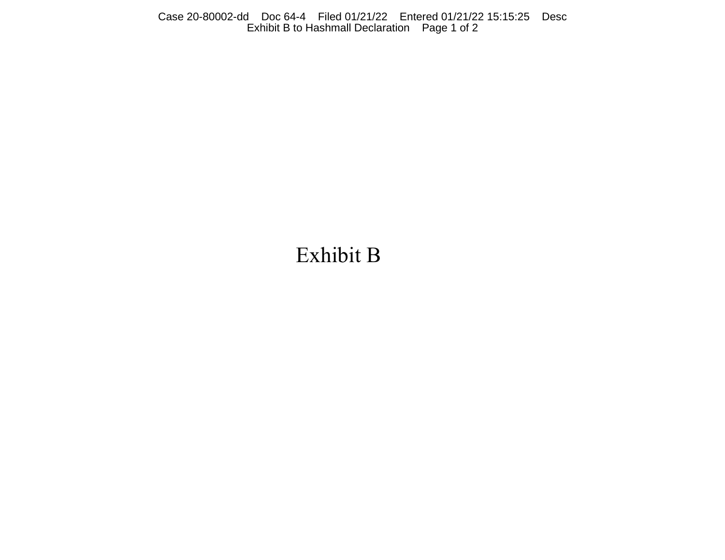Case 20-80002-dd Doc 64-4 Filed 01/21/22 Entered 01/21/22 15:15:25 Desc Exhibit B to Hashmall Declaration Page 1 of 2

# Exhibit B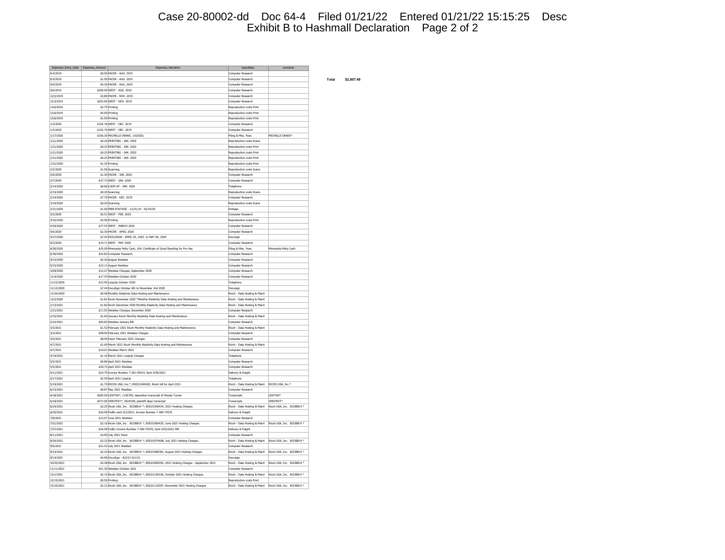## Case 20-80002-dd Doc 64-4 Filed 01/21/22 Entered 01/21/22 15:15:25 Desc Exhibit B to Hashmall Declaration Page 2 of 2

| Expenses_Entry_Date   Expenses_Amount | Expenses_Narrative                                                                     | expcddesc                                               | venname                    |
|---------------------------------------|----------------------------------------------------------------------------------------|---------------------------------------------------------|----------------------------|
| 9/4/2019                              | \$0.50 PACER - AUG. 2019                                                               | Computer Research                                       |                            |
|                                       |                                                                                        |                                                         |                            |
| 9/4/2019                              | \$1.00 PACER - AUG. 2019                                                               | Computer Research                                       |                            |
| 9/4/2019                              | \$5.30 PACER - AUG. 2019                                                               | Computer Research                                       |                            |
| 9/6/2019                              | \$269.90 WEST - AUG. 2019                                                              | Computer Research                                       |                            |
| 12/3/2019                             | \$3,80 PACER - NOV. 2019                                                               | Computer Research                                       |                            |
| 12/3/2019                             | \$203,66 WEST - NOV, 2019                                                              | Computer Research                                       |                            |
| 12/6/2019                             | \$2.75 Printing                                                                        | Reproduction costs Print                                |                            |
| 12/6/2019                             | \$5.00 Printing                                                                        | Reproduction costs Print                                |                            |
| 12/6/2019                             | \$1.50 Printing                                                                        | Reproduction costs Print                                |                            |
| 1/3/2020                              | \$165,78 WEST - DEC. 2019                                                              | Computer Research                                       |                            |
| 1/3/2020                              | \$102.79 WEST - DEC. 2019                                                              | Computer Research                                       |                            |
| 1/17/2020                             | \$106.30 MICHELLE DRAKE: 1162020:                                                      | Filing & Misc. Fees                                     | MICHELLE DRAKE*            |
| 1/21/2020                             | \$0.20 PRINTING - JAN. 2020                                                            | Reproduction costs Scans                                |                            |
| 1/21/2020                             | \$0.25 PRINTING - 1AN, 2020                                                            | Reproduction costs Print                                |                            |
| 1/21/2020                             | \$0.25 PRINTING - JAN. 2020                                                            | Reproduction costs Print                                |                            |
| 1/21/2020                             | \$0.25 PRINTING - JAN. 2020                                                            | Reproduction costs Print                                |                            |
| 1/31/2020                             | \$1.25 Printing                                                                        | Reproduction costs Print                                |                            |
| 2/3/2020                              | \$1.00 Scanning                                                                        | Reproduction costs Scans                                |                            |
| 2/6/2020                              | \$1.30 PACER - JAN. 2020                                                               | Computer Research                                       |                            |
| 2/7/2020                              | \$37.72 WEST - JAN. 2020                                                               | Computer Research                                       |                            |
| 2/14/2020                             | \$6,66 LOOP-UP - JAN. 2020                                                             |                                                         |                            |
| 2/19/2020                             | \$0.20 Scanning                                                                        | Telephone<br>Reproduction costs Scans                   |                            |
|                                       |                                                                                        |                                                         |                            |
| 2/19/2020                             | \$7,70 PACER - DEC. 2019                                                               | Computer Research                                       |                            |
| 2/19/2020                             | \$0.20 Scanning                                                                        | Reproduction costs Scans                                |                            |
| 2/21/2020                             | \$1,00 MNN POSTAGE - 12/31/19 - 02/24/20                                               | Postage                                                 |                            |
| 3/3/2020                              | \$5.51 WEST - FEB. 2020                                                                | Computer Research                                       |                            |
| 3/10/2020                             | \$3.50 Printing                                                                        | Reproduction costs Print                                |                            |
| 4/30/2020                             | \$77.53 WEST - MARCH 2020                                                              | Computer Research                                       |                            |
| 5/6/2020                              | \$2.30 PACER - APRIL 2020                                                              | Computer Research                                       |                            |
| 5/27/2020                             | \$7.44 DOCUSIGN - APRIL 03, 2020 to MAY 06, 2020                                       | Docusign                                                |                            |
| 6/3/2020                              | \$19.71 WEST - MAY 2020                                                                | Computer Research                                       |                            |
| 6/30/2020                             | \$25.00 Minnesota Petty Cash; 104; Certificate of Good Standing for Pro Hac            | Filing & Misc. Fees                                     | Minnesota Petty Cash       |
| 6/30/2020                             | \$42.83 Computer Research                                                              | Computer Research                                       |                            |
| 9/15/2020                             | \$5.36 August Westlaw                                                                  | Computer Research                                       |                            |
| 9/15/2020                             | \$23.11 August Westlaw                                                                 | Computer Research                                       |                            |
| 10/8/2020                             | \$12.27 Westlaw Charges, September 2020                                                | Computer Research                                       |                            |
| 11/4/2020                             | \$17.34 Westlaw October 2020                                                           | Computer Research                                       |                            |
| 11/12/2020                            | \$12.95 LoopUp October 2020                                                            | Telephone                                               |                            |
| 11/12/2020                            | \$7.44 DocuSian October 6th to November 2nd 2020                                       | Docusian                                                |                            |
| 11/24/2020                            | \$0.48 Monthly Relativity Data Hosting and Maintenance                                 | Ricoh - Data Hosting & Maint                            |                            |
| 12/2/2020                             | \$1.81 Ricoh November 2020 *Monthly Relativity Data Hosting and Maintenance            | Ricoh - Data Hosting & Maint                            |                            |
| 1/13/2021                             | \$1.82 Ricoh December 2020 Monthly Relativity Data Hosting and Maintenance             | Ricoh - Data Hosting & Maint                            |                            |
| 1/21/2021                             | \$11.55 Westlaw Charges, December 2020                                                 | Computer Research                                       |                            |
| 2/15/2021                             | \$1.60 January Ricoh Monthly Relativity Data Hosting and Maintenance                   | Ricoh - Data Hosting & Maint                            |                            |
| 2/22/2021                             | \$64,83 Westlaw January Bill                                                           | Computer Research                                       |                            |
| 3/3/2021                              | \$1.53 February 2021 Ricoh Monthly Relativity Data Hosting and Maintenance             | Ricoh - Data Hosting & Maint                            |                            |
| 3/3/2021                              | \$48.04 February 2021 Westlaw Charges                                                  | Computer Research                                       |                            |
| 3/4/2021                              | \$8.90 Pacer February 2021 Charges                                                     | Computer Research                                       |                            |
| 4/7/2021                              | \$1.69 March 2021 Ricoh Monthly Relativity Data Hosting and Maintenance                | Ricoh - Data Hosting & Maint                            |                            |
| 4/7/2021                              | \$10.01 Westlaw March 2021                                                             | Computer Research                                       |                            |
| 4/19/2021                             | \$1.16 March 2021 LoopUp Charges                                                       | Telephone                                               |                            |
| 5/5/2021                              | \$0.80 April 2021 Westlaw                                                              | Computer Research                                       |                            |
| 5/5/2021                              | \$20.73 April 2021 Westlaw                                                             | Computer Research                                       |                            |
| 5/11/2021                             | \$24.79 Invoice Number 7-361-49514; Sent 5/05/2021                                     | Delivery & freight                                      |                            |
| 5/17/2021                             | \$2.59 April 2021 LoopUp                                                               | Telephone                                               |                            |
| 5/19/2021                             | \$1.70 RICOH USA, Inc.*; EDD21040420; Ricoh bill for April 2021.                       | Ricoh - Data Hosting & Maint RICOH USA, Inc.*           |                            |
| 6/15/2021                             | \$9.87 May 2021 Westlaw                                                                | Computer Research                                       |                            |
| 6/18/2021                             | \$650.00 LEXITAS*; 1156783; deposition transcript of Woody Turner                      | Transcripts                                             | LEXITAS <sup>®</sup>       |
| 6/18/2021                             | \$573.00 VERITEXT*; 5024538; plaintiff depo transcript                                 | Transcripts                                             | VERITEXT*                  |
| 6/24/2021                             | \$2.25 Ricoh USA, Inc. 36338814 *; EDD21050434; 2021 Hosting Charges.                  | Ricoh - Data Hosting & Maint                            | Ricoh USA, Inc. 36338814 * |
| 6/25/2021                             | \$26.58 FedEx sent 5/3/2021; Invoice Number 7-369-79376                                | Delivery & freight                                      |                            |
| 7/8/2021                              | \$12.07 June 2021 Westlaw                                                              | Computer Research                                       |                            |
| 7/21/2021                             | \$2.16 Ricoh USA, Inc. 36338814 *; EDD21060425; June 2021 Hosting Charges.             | Ricoh - Data Hosting & Maint                            | Ricoh USA, Inc. 36338814 * |
| 7/27/2021                             | \$26.58 FedEx Invoice Number 7-369-79376; Sent 5/03/2021 MN                            | Delivery & freight                                      |                            |
| 8/11/2021                             | \$3.90 July 2021 Pacer                                                                 | Computer Research                                       |                            |
| 8/26/2021                             | \$2.32 Ricoh USA, Inc. 36338814 *; EDD21070408; July 2021 Hosting Charges.             | Ricoh - Data Hosting & Maint Ricoh USA, Inc. 36338814 * |                            |
| 9/9/2021                              | \$31.43 July 2021 Westlaw                                                              | Computer Research                                       |                            |
| 9/14/2021                             | \$2.25 Ricoh USA, Inc. 36338814 *; EDD21080381; August 2021 Hosting Charges.           | Ricoh - Data Hosting & Maint                            | Ricoh USA, Inc. 36338814 * |
| 9/14/2021                             | \$4.96 DocuSign - 8/2/21-9/1/21.                                                       | Docusign                                                |                            |
| 10/25/2021                            | \$2.38 Ricoh USA, Inc. 36338814 *; EDD21090393; 2021 Hosting Charges - September 2021. | Ricoh - Data Hosting & Maint Ricoh USA, Inc. 36338814 * |                            |
| 11/11/2021                            | \$51.30 Westlaw October 2021                                                           | Computer Research                                       |                            |
| 12/1/2021                             | \$2.15 Ricoh USA, Inc. 36338814 *; EDD21100336; October 2021 Hosting Charges.          | Ricoh - Data Hosting & Maint Ricoh USA, Inc. 36338814 * |                            |
| 12/15/2021                            | \$9.50 Printing                                                                        | Reproduction costs Print                                |                            |
| 12/16/2021                            | \$2.21 Ricoh USA, Inc. 36338814 *: EDD21110397: November 2021 Hosting Charges.         | Ricoh - Data Hosting & Maint Ricoh USA, Inc. 36338814 * |                            |

9/4/2019 \$1.00 PACER - AUG. 2019 Computer Research **Total \$2,807.49**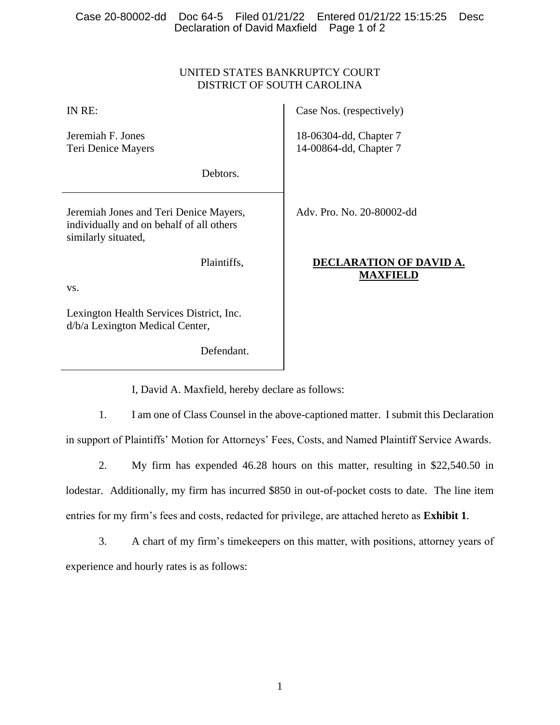### Case 20-80002-dd Doc 64-5 Filed 01/21/22 Entered 01/21/22 15:15:25 Desc Declaration of David Maxfield Page 1 of 2

## UNITED STATES BANKRUPTCY COURT DISTRICT OF SOUTH CAROLINA

| IN RE:                                                                                                    | Case Nos. (respectively)                         |
|-----------------------------------------------------------------------------------------------------------|--------------------------------------------------|
| Jeremiah F. Jones<br>Teri Denice Mayers                                                                   | 18-06304-dd, Chapter 7<br>14-00864-dd, Chapter 7 |
| Debtors.                                                                                                  |                                                  |
| Jeremiah Jones and Teri Denice Mayers,<br>individually and on behalf of all others<br>similarly situated, | Adv. Pro. No. 20-80002-dd                        |
| Plaintiffs,                                                                                               | DECLARATION OF DAVID A.<br><b>MAXFIELD</b>       |
| VS.                                                                                                       |                                                  |
| Lexington Health Services District, Inc.<br>d/b/a Lexington Medical Center,                               |                                                  |

I, David A. Maxfield, hereby declare as follows:

Defendant.

1. I am one of Class Counsel in the above-captioned matter. I submit this Declaration in support of Plaintiffs' Motion for Attorneys' Fees, Costs, and Named Plaintiff Service Awards.

2. My firm has expended 46.28 hours on this matter, resulting in \$22,540.50 in lodestar. Additionally, my firm has incurred \$850 in out-of-pocket costs to date. The line item entries for my firm's fees and costs, redacted for privilege, are attached hereto as **Exhibit 1**.

3. A chart of my firm's timekeepers on this matter, with positions, attorney years of experience and hourly rates is as follows: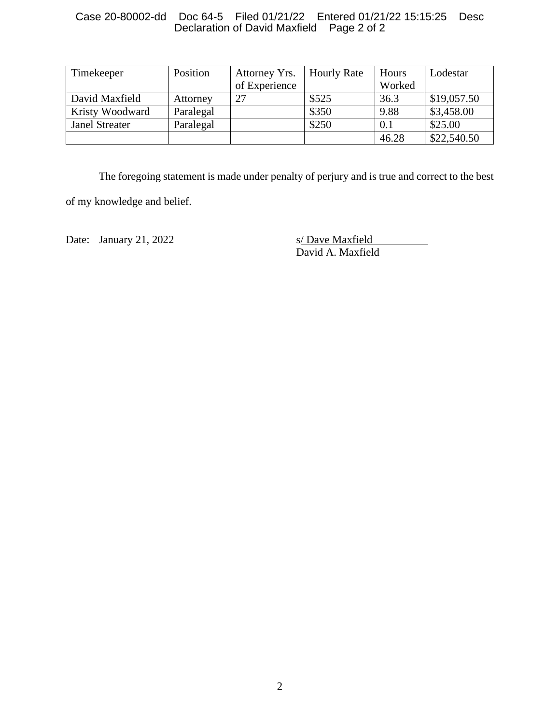### Case 20-80002-dd Doc 64-5 Filed 01/21/22 Entered 01/21/22 15:15:25 Desc Declaration of David Maxfield Page 2 of 2

| Timekeeper            | Position  | Attorney Yrs. | <b>Hourly Rate</b> | Hours  | Lodestar    |
|-----------------------|-----------|---------------|--------------------|--------|-------------|
|                       |           | of Experience |                    | Worked |             |
| David Maxfield        | Attorney  | 27            | \$525              | 36.3   | \$19,057.50 |
| Kristy Woodward       | Paralegal |               | \$350              | 9.88   | \$3,458.00  |
| <b>Janel Streater</b> | Paralegal |               | \$250              | 0.1    | \$25.00     |
|                       |           |               |                    | 46.28  | \$22,540.50 |

The foregoing statement is made under penalty of perjury and is true and correct to the best

of my knowledge and belief.

Date: January 21, 2022 s/ Dave Maxfield

David A. Maxfield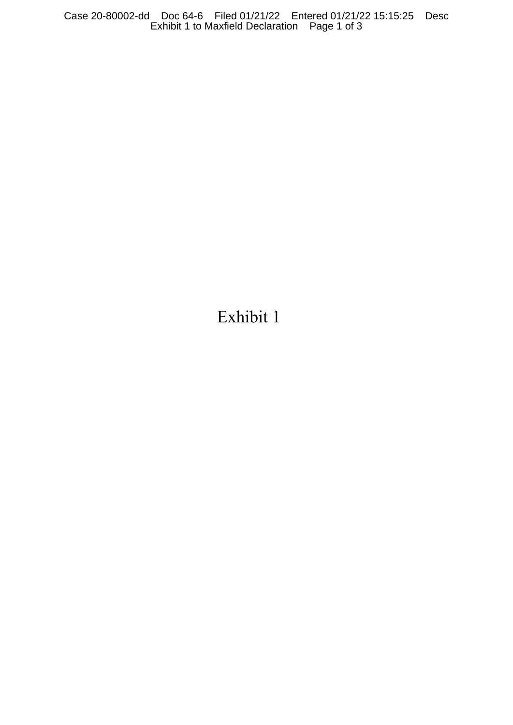Exhibit 1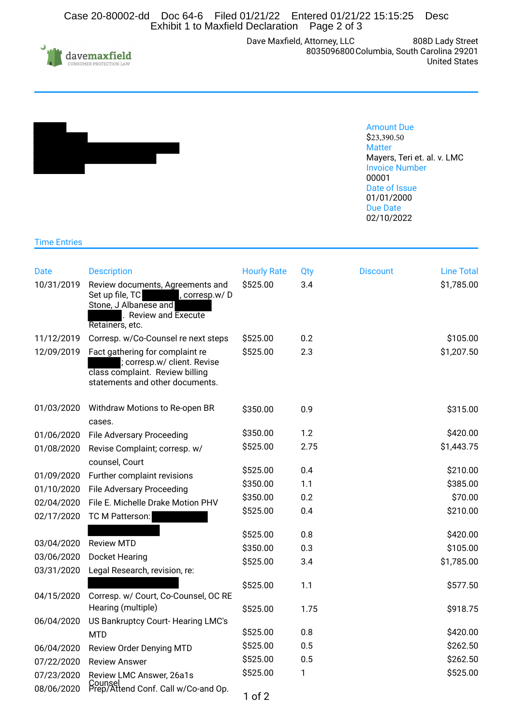Case 20-80002-dd Doc 64-6 Filed 01/21/22 Entered 01/21/22 15:15:25 Desc Exhibit 1 to Maxfield Declaration Page 2 of 3



Dave Maxfield, Attorney, LLC 8035096800 808D Lady Street Columbia, South Carolina 29201 United States



#### Amount Due \$23,390.50 **Matter** Mayers, Teri et. al. v. LMC Invoice Number 00001 Date of Issue 01/01/2000 Due Date 02/10/2022

### Time Entries

| Date       | <b>Description</b>                                                                                                                            | <b>Hourly Rate</b> | Qty  | <b>Discount</b> | <b>Line Total</b> |
|------------|-----------------------------------------------------------------------------------------------------------------------------------------------|--------------------|------|-----------------|-------------------|
| 10/31/2019 | Review documents, Agreements and<br>Set up file, TC<br>, corresp.w/D<br>Stone, J Albanese and<br><b>Review and Execute</b><br>Retainers, etc. | \$525.00           | 3.4  |                 | \$1,785.00        |
| 11/12/2019 | Corresp. w/Co-Counsel re next steps                                                                                                           | \$525.00           | 0.2  |                 | \$105.00          |
| 12/09/2019 | Fact gathering for complaint re<br>; corresp.w/ client. Revise<br>class complaint. Review billing<br>statements and other documents.          | \$525.00           | 2.3  |                 | \$1,207.50        |
| 01/03/2020 | Withdraw Motions to Re-open BR<br>cases.                                                                                                      | \$350.00           | 0.9  |                 | \$315.00          |
| 01/06/2020 | <b>File Adversary Proceeding</b>                                                                                                              | \$350.00           | 1.2  |                 | \$420.00          |
| 01/08/2020 | Revise Complaint; corresp. w/<br>counsel, Court                                                                                               | \$525.00           | 2.75 |                 | \$1,443.75        |
| 01/09/2020 | Further complaint revisions                                                                                                                   | \$525.00           | 0.4  |                 | \$210.00          |
| 01/10/2020 | <b>File Adversary Proceeding</b>                                                                                                              | \$350.00           | 1.1  |                 | \$385.00          |
| 02/04/2020 | File E. Michelle Drake Motion PHV                                                                                                             | \$350.00           | 0.2  |                 | \$70.00           |
| 02/17/2020 | TC M Patterson:                                                                                                                               | \$525.00           | 0.4  |                 | \$210.00          |
|            |                                                                                                                                               | \$525.00           | 0.8  |                 | \$420.00          |
| 03/04/2020 | <b>Review MTD</b>                                                                                                                             | \$350.00           | 0.3  |                 | \$105.00          |
| 03/06/2020 | <b>Docket Hearing</b>                                                                                                                         | \$525.00           | 3.4  |                 | \$1,785.00        |
| 03/31/2020 | Legal Research, revision, re:                                                                                                                 |                    |      |                 |                   |
| 04/15/2020 | Corresp. w/ Court, Co-Counsel, OC RE                                                                                                          | \$525.00           | 1.1  |                 | \$577.50          |
|            | Hearing (multiple)                                                                                                                            | \$525.00           | 1.75 |                 | \$918.75          |
| 06/04/2020 | US Bankruptcy Court-Hearing LMC's                                                                                                             |                    |      |                 |                   |
|            | <b>MTD</b>                                                                                                                                    | \$525.00           | 0.8  |                 | \$420.00          |
| 06/04/2020 | Review Order Denying MTD                                                                                                                      | \$525.00           | 0.5  |                 | \$262.50          |
| 07/22/2020 | <b>Review Answer</b>                                                                                                                          | \$525.00           | 0.5  |                 | \$262.50          |
| 07/23/2020 | Review LMC Answer, 26a1s                                                                                                                      | \$525.00           | 1    |                 | \$525.00          |
| 08/06/2020 | Counsel<br>Prep/Attend Conf. Call w/Co-and Op.                                                                                                | $1$ of $2$         |      |                 |                   |